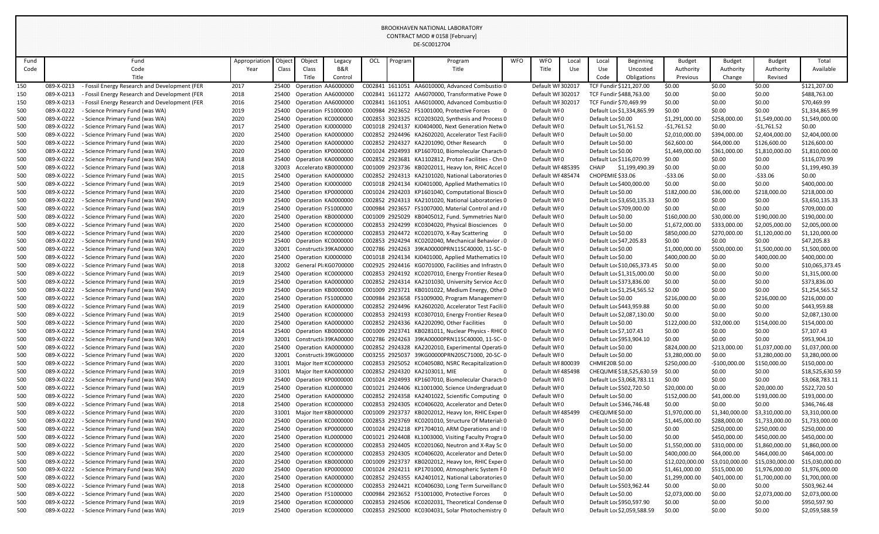|            |                          |                                                                    |               |                |                           |                                              |     |         | DE-SC0012704                                                                                             |            |                                        |       |                                       |                             |                                |                          |                                  |                                |
|------------|--------------------------|--------------------------------------------------------------------|---------------|----------------|---------------------------|----------------------------------------------|-----|---------|----------------------------------------------------------------------------------------------------------|------------|----------------------------------------|-------|---------------------------------------|-----------------------------|--------------------------------|--------------------------|----------------------------------|--------------------------------|
| Fund       |                          | Fund                                                               | Appropriation | Object         | Object                    | Legacy                                       | OCL | Program | Program                                                                                                  | <b>WFO</b> | <b>WFO</b>                             | Local | Local                                 | <b>Beginning</b>            | <b>Budget</b>                  | <b>Budget</b>            | <b>Budget</b>                    | Total                          |
| Code       |                          | Code                                                               | Year          | Class          | Class                     | B&R                                          |     |         | Title                                                                                                    |            | Title                                  | Use   | Use                                   | Uncosted                    | Authority                      | Authority                | Authority                        | Available                      |
|            |                          | Title                                                              |               |                | Title                     | Control                                      |     |         |                                                                                                          |            |                                        |       | Code                                  | Obligations                 | Previous                       | Change                   | Revised                          |                                |
| 150        | 089-X-0213               | - Fossil Energy Research and Development (FER                      | 2017          |                | 25400 Operation AA6000000 |                                              |     |         | C002841 1611051 AA6010000, Advanced Combustio                                                            |            | Default WI 302017                      |       |                                       | TCF Fundir \$121,207.00     | \$0.00                         | \$0.00                   | \$0.00                           | \$121,207.00                   |
| 150        | 089-X-0213               | - Fossil Energy Research and Development (FER                      | 2018          | 25400          |                           | Operation AA6000000                          |     |         | C002841 1611272 AA6070000, Transformative Powe 0                                                         |            | Default WI 302017                      |       |                                       | TCF Fundir \$488,763.00     | \$0.00                         | \$0.00                   | \$0.00                           | \$488,763.00                   |
| 150        | 089-X-0213               | - Fossil Energy Research and Development (FER                      | 2016          |                |                           | 25400 Operation AA6000000                    |     |         | C002841 1611051 AA6010000, Advanced Combustio                                                            |            | Default WI 302017                      |       | TCF Fundir \$70,469.99                |                             | \$0.00                         | \$0.00                   | \$0.00                           | \$70,469.99                    |
| 500        | 089-X-0222               | - Science Primary Fund (was WA)                                    | 2019          | 25400          | Operation FS1000000       |                                              |     |         | C000984 2923652 FS1001000, Protective Forces 0                                                           |            | Default WI0                            |       |                                       | Default Lor \$1,334,865.99  | \$0.00                         | \$0.00                   | \$0.00                           | \$1,334,865.99                 |
| 500        | 089-X-0222               | - Science Primary Fund (was WA)                                    | 2020          | 25400          | Operation KC0000000       |                                              |     |         | C002853 3023325 KC0203020, Synthesis and Process 0                                                       |            | Default WF0                            |       | Default Lor \$0.00                    |                             | \$1,291,000.00                 | \$258,000.00             | \$1,549,000.00                   | \$1,549,000.00                 |
| 500        | 089-X-0222               | - Science Primary Fund (was WA)                                    | 2017          | 25400          | Operation KJ0000000       |                                              |     |         | C001018 2924137 KJ0404000, Next Generation Netw 0                                                        |            | Default WI0                            |       | Default Loc \$1,761.52                |                             | $-51,761.52$                   | \$0.00                   | -\$1,761.52                      | \$0.00                         |
| 500        | 089-X-0222               | - Science Primary Fund (was WA)                                    | 2020          | 25400          |                           | Operation KA0000000                          |     |         | C002852 2924496 KA2602020, Accelerator Test Facili 0                                                     |            | Default WFO                            |       | Default Lor \$0.00                    |                             | \$2,010,000.00                 | \$394,000.00             | \$2,404,000.00                   | \$2,404,000.00                 |
| 500        | 089-X-0222               | - Science Primary Fund (was WA)                                    | 2020          |                |                           | 25400 Operation KA0000000                    |     |         | C002852 2924327 KA2201090, Other Research<br>- 0                                                         |            | Default WF0                            |       | Default Lor \$0.00                    |                             | \$62,600.00                    | \$64,000.00              | \$126,600.00                     | \$126,600.00                   |
| 500        | 089-X-0222               | - Science Primary Fund (was WA)                                    | 2020          | 25400          | Operation KP0000000       |                                              |     |         | C001024 2924993 KP1607010, Biomolecular Charact(0                                                        |            | Default WF0                            |       | Default Lor \$0.00                    |                             | \$1,449,000.00                 | \$361,000.00             | \$1,810,000.00                   | \$1,810,000.00                 |
| 500        | 089-X-0222               | <b>Science Primary Fund (was WA)</b>                               | 2018          | 25400          |                           | Operation KA0000000                          |     |         | C002852 2923681 KA1102812, Proton Facilities - Chn 0                                                     |            | Default WI0                            |       | Default Loc \$116,070.99              |                             | \$0.00                         | \$0.00                   | \$0.00                           | \$116,070.99                   |
| 500        | 089-X-0222<br>089-X-0222 | - Science Primary Fund (was WA)<br>- Science Primary Fund (was WA) | 2018          | 32003<br>25400 |                           | Accelerato KB0000000<br>Operation KA0000000  |     |         | C001009 2923736 KB0202011, Heavy Ion, RHIC Accel 0<br>C002852 2924313 KA2101020, National Laboratories 0 |            | Default WI 485395<br>Default WI 485474 |       | <b>CHAIP</b><br>CHOPEMIE \$33.06      | \$1,199,490.39              | \$0.00<br>$-$ \$33.06          | \$0.00<br>\$0.00         | \$0.00<br>$-533.06$              | \$1,199,490.39<br>\$0.00       |
| 500<br>500 | 089-X-0222               | - Science Primary Fund (was WA)                                    | 2015<br>2019  | 25400          | Operation KJ0000000       |                                              |     |         | C001018 2924134 KJ0401000, Applied Mathematics I0                                                        |            | Default WI0                            |       |                                       | Default Lor \$400,000.00    | \$0.00                         | \$0.00                   | \$0.00                           | \$400,000.00                   |
| 500        | 089-X-0222               | - Science Primary Fund (was WA)                                    | 2020          | 25400          | Operation KP0000000       |                                              |     |         | C001024 2924203 KP1601040, Computational Bioscit 0                                                       |            | Default WI0                            |       | Default Lor \$0.00                    |                             | \$182,000.00                   | \$36,000.00              | \$218,000.00                     | \$218,000.00                   |
| 500        | 089-X-0222               | - Science Primary Fund (was WA)                                    | 2019          | 25400          | Operation KA0000000       |                                              |     |         | C002852 2924313 KA2101020, National Laboratories 0                                                       |            | Default WF0                            |       |                                       | Default Loc \$3,650,135.33  | \$0.00                         | \$0.00                   | \$0.00                           | \$3,650,135.33                 |
| 500        | 089-X-0222               | - Science Primary Fund (was WA)                                    | 2019          |                | 25400 Operation FS1000000 |                                              |     |         | C000984 2923657 FS1007000, Material Control and /0                                                       |            | Default WI0                            |       |                                       | Default Lor \$709,000.00    | \$0.00                         | \$0.00                   | \$0.00                           | \$709,000.00                   |
| 500        | 089-X-0222               | - Science Primary Fund (was WA)                                    | 2020          | 25400          |                           | Operation KB0000000                          |     |         | C001009 2925029 KB0405012, Fund. Symmetries Nat0                                                         |            | Default WF0                            |       | Default Lor \$0.00                    |                             | \$160,000.00                   | \$30,000.00              | \$190,000.00                     | \$190,000.00                   |
| 500        | 089-X-0222               | - Science Primary Fund (was WA)                                    | 2020          |                |                           | 25400 Operation KC0000000                    |     |         | C002853 2924299 KC0304020, Physical Biosciences 0                                                        |            | Default WI0                            |       | Default Lor \$0.00                    |                             | \$1,672,000.00                 | \$333,000.00             | \$2,005,000.00                   | \$2,005,000.00                 |
| 500        | 089-X-0222               | - Science Primary Fund (was WA)                                    | 2020          | 25400          |                           | Operation KC0000000                          |     |         | C002853 2924472 KC0201070, X-Ray Scattering<br>- 0                                                       |            | Default WF0                            |       | Default Lor \$0.00                    |                             | \$850,000.00                   | \$270,000.00             | \$1,120,000.00                   | \$1,120,000.00                 |
| 500        | 089-X-0222               | - Science Primary Fund (was WA)                                    | 2019          | 25400          | Operation KC0000000       |                                              |     |         | C002853 2924294 KC0202040, Mechanical Behavior (0                                                        |            | Default WF0                            |       | Default Loc \$47,205.83               |                             | \$0.00                         | \$0.00                   | \$0.00                           | \$47,205.83                    |
| 500        | 089-X-0222               | - Science Primary Fund (was WA)                                    | 2020          | 32001          | Constructic 39KA00000     |                                              |     |         | C002786 2924263 39KA00000PRN11SC40000, 11-SC-0                                                           |            | Default WF0                            |       | Default Lor \$0.00                    |                             | \$1,000,000.00                 | \$500,000.00             | \$1,500,000.00                   | \$1,500,000.00                 |
| 500        | 089-X-0222               | - Science Primary Fund (was WA)                                    | 2020          | 25400          | Operation KJ0000000       |                                              |     |         | C001018 2924134 KJ0401000, Applied Mathematics IO                                                        |            | Default WF0                            |       | Default Lor \$0.00                    |                             | \$400,000.00                   | \$0.00                   | \$400,000.00                     | \$400,000.00                   |
| 500        | 089-X-0222               | - Science Primary Fund (was WA)                                    | 2018          | 32002          |                           | General Pli KG0700000                        |     |         | C002925 2924416 KG0701000, Facilities and Infrastru0                                                     |            | Default WI0                            |       |                                       | Default Loc \$10,065,373.45 | \$0.00                         | \$0.00                   | \$0.00                           | \$10,065,373.45                |
| 500        | 089-X-0222               | - Science Primary Fund (was WA)                                    | 2019          | 25400          |                           | Operation KC0000000                          |     |         | C002853 2924192 KC0207010, Energy Frontier Resea 0                                                       |            | Default WF0                            |       |                                       | Default Lor \$1,315,000.00  | \$0.00                         | \$0.00                   | \$0.00                           | \$1,315,000.00                 |
| 500        | 089-X-0222               | - Science Primary Fund (was WA)                                    | 2019          | 25400          |                           | Operation KA0000000                          |     |         | C002852 2924314 KA2101030, University Service Acc 0                                                      |            | Default WFO                            |       |                                       | Default Lor \$373,836.00    | \$0.00                         | \$0.00                   | \$0.00                           | \$373,836.00                   |
| 500        | 089-X-0222               | - Science Primary Fund (was WA)                                    | 2019          |                |                           | Operation KB0000000                          |     |         | C001009 2923721 KB0101022, Medium Energy, Othe 0                                                         |            | Default WI0                            |       |                                       | Default Loc \$1,254,565.52  | \$0.00                         | \$0.00                   | \$0.00                           | \$1,254,565.52                 |
| 500        | 089-X-0222               | - Science Primary Fund (was WA)                                    | 2020          |                |                           | Operation FS1000000                          |     |         | C000984 2923658 FS1009000, Program Management 0                                                          |            | Default WI0                            |       | Default Lor \$0.00                    |                             | \$216,000.00                   | \$0.00                   | \$216,000.00                     | \$216,000.00                   |
| 500        | 089-X-0222               | - Science Primary Fund (was WA)                                    | 2019          | 25400          |                           | Operation KA0000000                          |     |         | C002852 2924496 KA2602020, Accelerator Test Facili 0                                                     |            | Default WI0                            |       |                                       | Default Loc \$443,959.88    | \$0.00                         | \$0.00                   | \$0.00                           | \$443,959.88                   |
| 500        | 089-X-0222               | - Science Primary Fund (was WA)                                    | 2019          | 25400          |                           | Operation KC0000000                          |     |         | C002853 2924193 KC0307010, Energy Frontier Resea 0                                                       |            | Default WI0                            |       |                                       | Default Lor \$2,087,130.00  | \$0.00                         | \$0.00                   | \$0.00                           | \$2,087,130.00                 |
| 500        | 089-X-0222               | - Science Primary Fund (was WA)                                    | 2020          |                |                           | 25400 Operation KA0000000                    |     |         | C002852 2924336 KA2202090, Other Facilities<br>$\overline{\mathbf{0}}$                                   |            | Default WI0                            |       | Default Lor \$0.00                    |                             | \$122,000.00                   | \$32,000.00              | \$154,000.00                     | \$154,000.00                   |
| 500        | 089-X-0222               | - Science Primary Fund (was WA)                                    | 2014          | 25400          |                           | Operation KB0000000                          |     |         | C001009 2923741 KB0281011, Nuclear Physics - RHICO                                                       |            | Default WI0                            |       | Default Lo(\$7,107.43                 |                             | \$0.00                         | \$0.00                   | \$0.00                           | \$7,107.43                     |
| 500        | 089-X-0222               | - Science Primary Fund (was WA)                                    | 2019          | 32001          |                           | Constructic 39KA00000                        |     |         | C002786 2924263 39KA00000PRN11SC40000, 11-SC-0                                                           |            | Default WF0                            |       |                                       | Default Lor \$953,904.10    | \$0.00                         | \$0.00                   | \$0.00                           | \$953,904.10                   |
| 500        | 089-X-0222               | - Science Primary Fund (was WA)                                    | 2020          | 25400          |                           | Operation KA0000000                          |     |         | C002852 2924328 KA2202010, Experimental Operatio                                                         |            | Default WI0                            |       | Default Lor \$0.00                    |                             | \$824,000.00                   | \$213,000.00             | \$1,037,000.00<br>\$3,280,000.00 | \$1,037,000.00                 |
| 500<br>500 | 089-X-0222<br>089-X-0222 | - Science Primary Fund (was WA)<br>- Science Primary Fund (was WA) | 2020<br>2020  | 32001<br>31001 |                           | Constructi 39KG00000<br>Major Item KC0000000 |     |         | C003255 2925037 39KG00000PRN20SC71000, 20-SC-0<br>C002853 2925052 KC0405080, NSRC Recapitalization 0     |            | Default WI0<br>Default WI 800039       |       | Default Lor \$0.00<br>CHMIE20B \$0.00 |                             | \$3,280,000.00<br>\$250,000.00 | \$0.00<br>$-$100,000.00$ | \$150,000.00                     | \$3,280,000.00<br>\$150,000.00 |
| 500        | 089-X-0222               | - Science Primary Fund (was WA)                                    | 2019          | 31001          |                           | Major Item KA0000000                         |     |         | C002852 2924320 KA2103011, MIE<br>0                                                                      |            | Default WI 485498                      |       |                                       | CHEQUMIE \$18,525,630.59    | \$0.00                         | \$0.00                   | \$0.00                           | \$18,525,630.59                |
| 500        | 089-X-0222               | - Science Primary Fund (was WA)                                    | 2019          | 25400          |                           | Operation KP0000000                          |     |         | C001024 2924993 KP1607010, Biomolecular Charact(0                                                        |            | Default WI0                            |       |                                       | Default Loc \$3,068,783.11  | \$0.00                         | \$0.00                   | \$0.00                           | \$3,068,783.11                 |
| 500        | 089-X-0222               | - Science Primary Fund (was WA)                                    | 2019          | 25400          | Operation KL0000000       |                                              |     |         | C001021 2924406 KL1001000, Science Undergraduat 0                                                        |            | Default WI0                            |       |                                       | Default Lor \$502,720.50    | \$20,000.00                    | \$0.00                   | \$20,000.00                      | \$522,720.50                   |
| 500        | 089-X-0222               | - Science Primary Fund (was WA)                                    | 2020          | 25400          |                           | Operation KA0000000                          |     |         | C002852 2924358 KA2401022, Scientific Computing 0                                                        |            | Default WI0                            |       | Default Lor \$0.00                    |                             | \$152,000.00                   | \$41,000.00              | \$193,000.00                     | \$193,000.00                   |
| 500        | 089-X-0222               | - Science Primary Fund (was WA)                                    | 2018          | 25400          |                           | Operation KC0000000                          |     |         | C002853 2924305 KC0406020, Accelerator and Deter 0                                                       |            | Default WI0                            |       |                                       | Default Loc \$346,746.48    | \$0.00                         | \$0.00                   | \$0.00                           | \$346,746.48                   |
| 500        | 089-X-0222               | - Science Primary Fund (was WA)                                    | 2020          | 31001          |                           | Major Item KB0000000                         |     |         | C001009 2923737 KB0202012, Heavy Ion, RHIC Exper 0                                                       |            | Default WI 485499                      |       | CHEQUMIE \$0.00                       |                             | \$1,970,000.00                 | \$1,340,000.00           | \$3,310,000.00                   | \$3,310,000.00                 |
| 500        | 089-X-0222               | - Science Primary Fund (was WA)                                    | 2020          | 25400          |                           | Operation KC0000000                          |     |         | C002853 2923769 KC0201010, Structure Of Materials 0                                                      |            | Default WI0                            |       | Default Lor \$0.00                    |                             | \$1,445,000.00                 | \$288,000.00             | \$1,733,000.00                   | \$1,733,000.00                 |
| 500        | 089-X-0222               | - Science Primary Fund (was WA)                                    | 2020          | 25400          |                           | Operation KP0000000                          |     |         | C001024 2924218 KP1704010, ARM Operations and IO                                                         |            | Default WI0                            |       | Default Lor \$0.00                    |                             | \$0.00                         | \$250,000.00             | \$250,000.00                     | \$250,000.00                   |
| 500        | 089-X-0222               | - Science Primary Fund (was WA)                                    | 2020          | 25400          | Operation KL0000000       |                                              |     |         | C001021 2924408 KL1003000, Visiting Faculty Progra 0                                                     |            | Default WI0                            |       | Default Lor \$0.00                    |                             | \$0.00                         | \$450,000.00             | \$450,000.00                     | \$450,000.00                   |
| 500        | 089-X-0222               | - Science Primary Fund (was WA)                                    | 2020          | 25400          |                           | Operation KC0000000                          |     |         | C002853 2924405 KC0201060, Neutron and X-Ray Sc 0                                                        |            | Default WI0                            |       | Default Lor \$0.00                    |                             | \$1,550,000.00                 | \$310,000.00             | \$1,860,000.00                   | \$1,860,000.00                 |
| 500        | 089-X-0222               | - Science Primary Fund (was WA)                                    | 2020          | 25400          |                           | Operation KC0000000                          |     |         | C002853 2924305 KC0406020, Accelerator and Deter 0                                                       |            | Default WI0                            |       | Default Lor \$0.00                    |                             | \$400,000.00                   | \$64,000.00              | \$464,000.00                     | \$464,000.00                   |
| 500        | 089-X-0222               | - Science Primary Fund (was WA)                                    | 2020          | 25400          |                           | Operation KB0000000                          |     |         | C001009 2923737 KB0202012, Heavy Ion, RHIC Exper 0                                                       |            | Default WF0                            |       | Default Lor \$0.00                    |                             | \$12,020,000.00                | \$3,010,000.00           | \$15,030,000.00                  | \$15,030,000.00                |
| 500        | 089-X-0222               | - Science Primary Fund (was WA)                                    | 2020          | 25400          |                           | Operation KP0000000                          |     |         | C001024 2924211 KP1701000, Atmospheric System F0                                                         |            | Default WI0                            |       | Default Lor \$0.00                    |                             | \$1,461,000.00                 | \$515,000.00             | \$1,976,000.00                   | \$1,976,000.00                 |
| 500        | 089-X-0222               | - Science Primary Fund (was WA)                                    | 2020          | 25400          |                           | Operation KA0000000                          |     |         | C002852 2924355 KA2401012, National Laboratories 0                                                       |            | Default WI0                            |       | Default Lor \$0.00                    |                             | \$1,299,000.00                 | \$401,000.00             | \$1,700,000.00                   | \$1,700,000.00                 |
| 500        | 089-X-0222               | - Science Primary Fund (was WA)                                    | 2018          |                |                           | 25400 Operation KC0000000                    |     |         | C002853 2924421 KC0406030, Long Term Surveillanc 0                                                       |            | Default WI0                            |       | Default Loc \$503,962.44              |                             | \$0.00                         | \$0.00                   | \$0.00                           | \$503,962.44                   |
| 500        | 089-X-0222               | - Science Primary Fund (was WA)                                    | 2020          |                | 25400 Operation FS1000000 |                                              |     |         | C000984 2923652 FS1001000, Protective Forces 0                                                           |            | Default WI0                            |       | Default Lor \$0.00                    |                             | \$2,073,000.00                 | \$0.00                   | \$2,073,000.00                   | \$2,073,000.00                 |
| 500        | 089-X-0222               | - Science Primary Fund (was WA)                                    | 2019          | 25400          |                           | Operation KC0000000                          |     |         | C002853 2924506 KC0202031, Theoretical Condense 0                                                        |            | Default WF0                            |       |                                       | Default Lor \$950,597.90    | \$0.00                         | \$0.00                   | \$0.00                           | \$950,597.90                   |
| 500        | 089-X-0222               | - Science Primary Fund (was WA)                                    | 2019          |                |                           | 25400 Operation KC0000000                    |     |         | C002853 2925000 KC0304031, Solar Photochemistry 0                                                        |            | Default WI0                            |       |                                       | Default Loc \$2,059,588.59  | \$0.00                         | \$0.00                   | \$0.00                           | \$2,059,588.59                 |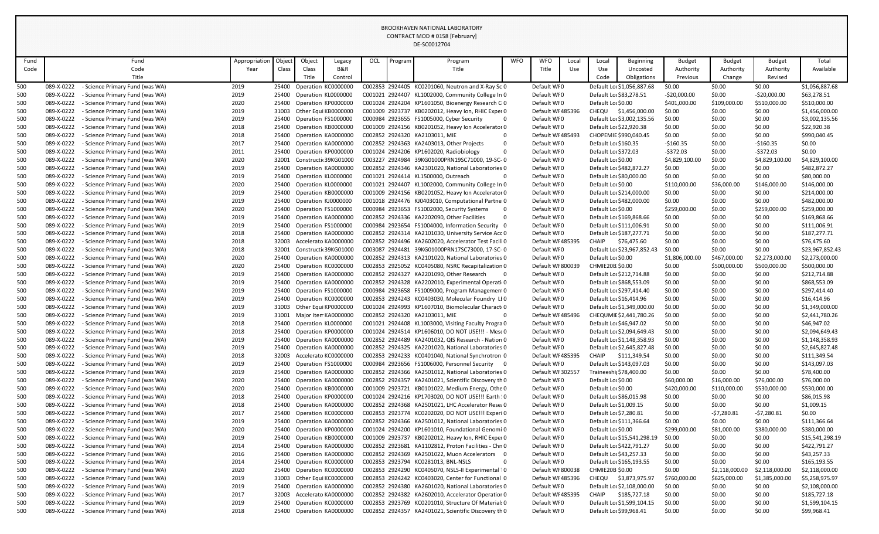|              |                                                                                                |                       |                |                                            |               |     |         | DE-SC0012704                                                                                             |            |                                  |              |                                     |                             |                            |                            |                            |                              |
|--------------|------------------------------------------------------------------------------------------------|-----------------------|----------------|--------------------------------------------|---------------|-----|---------|----------------------------------------------------------------------------------------------------------|------------|----------------------------------|--------------|-------------------------------------|-----------------------------|----------------------------|----------------------------|----------------------------|------------------------------|
|              | Fund                                                                                           |                       | Object         | Object                                     |               | OCL |         |                                                                                                          | <b>WFO</b> | <b>WFO</b>                       |              |                                     |                             |                            |                            |                            | Total                        |
| Fund<br>Code | Code                                                                                           | Appropriation<br>Year | Class          | Class                                      | Legacy<br>B&R |     | Program | Program<br>Title                                                                                         |            | Title                            | Local<br>Use | Local<br>Use                        | Beginning<br>Uncosted       | <b>Budget</b><br>Authority | <b>Budget</b><br>Authority | <b>Budget</b><br>Authority | Available                    |
|              | Title                                                                                          |                       |                | Title                                      | Control       |     |         |                                                                                                          |            |                                  |              | Code                                | Obligations                 | Previous                   | Change                     | Revised                    |                              |
| 500          | 089-X-0222<br>- Science Primary Fund (was WA)                                                  | 2019                  | 25400          | Operation KC0000000                        |               |     |         | C002853 2924405 KC0201060, Neutron and X-Ray Sc 0                                                        |            | Default WI0                      |              |                                     | Default Loc \$1,056,887.68  | \$0.00                     | \$0.00                     | \$0.00                     | \$1,056,887.68               |
| 500          | 089-X-0222<br>Science Primary Fund (was WA)                                                    | 2019                  | 25400          | Operation KL0000000                        |               |     |         | C001021 2924407 KL1002000, Community College In 0                                                        |            | Default WI0                      |              | Default Loc \$83,278.51             |                             | $-520,000.00$              | \$0.00                     | $-520,000.00$              | \$63,278.51                  |
| 500          | 089-X-0222<br>Science Primary Fund (was WA)                                                    | 2020                  | 25400          | Operation KP0000000                        |               |     |         | C001024 2924204 KP1601050, Bioenergy Research CO                                                         |            | Default WI0                      |              | Default Lor \$0.00                  |                             | \$401,000.00               | \$109,000.00               | \$510,000.00               | \$510,000.00                 |
| 500          | 089-X-0222<br>Science Primary Fund (was WA)                                                    | 2019                  | 31003          | Other Equi KB0000000                       |               |     |         | C001009 2923737 KB0202012, Heavy Ion, RHIC Exper 0                                                       |            | Default WI 485396                |              | CHEQU                               | \$1,456,000.00              | \$0.00                     | \$0.00                     | \$0.00                     | \$1,456,000.00               |
| 500          | 089-X-0222<br>Science Primary Fund (was WA)                                                    | 2019                  | 25400          | Operation FS1000000                        |               |     |         | C000984 2923655 FS1005000, Cyber Security<br>- 0                                                         |            | Default WI0                      |              |                                     | Default Loc \$3,002,135.56  | \$0.00                     | \$0.00                     | \$0.00                     | \$3,002,135.56               |
| 500          | 089-X-0222<br><b>Science Primary Fund (was WA)</b>                                             | 2018                  | 25400          | Operation KB0000000                        |               |     |         | C001009 2924156 KB0201052, Heavy Ion Accelerator 0                                                       |            | Default WI0                      |              | Default Lo: \$22,920.38             |                             | \$0.00                     | \$0.00                     | \$0.00                     | \$22,920.38                  |
| 500          | 089-X-0222<br>Science Primary Fund (was WA)                                                    | 2018                  | 25400          | Operation KA0000000                        |               |     |         | C002852 2924320 KA2103011, MIE                                                                           |            | Default WI 485493                |              |                                     | CHOPEMIE \$990,040.45       | \$0.00                     | \$0.00                     | \$0.00                     | \$990,040.45                 |
| 500          | 089-X-0222<br>Science Primary Fund (was WA)                                                    | 2017                  | 25400          | Operation KA0000000                        |               |     |         | C002852 2924363 KA2403013, Other Projects                                                                |            | Default WI0                      |              | Default Lor \$160.35                |                             | $-5160.35$                 | \$0.00                     | $-5160.35$                 | \$0.00                       |
| 500          | 089-X-0222<br>Science Primary Fund (was WA)                                                    | 2011                  | 25400          | Operation KP0000000                        |               |     |         | C001024 2924206 KP1602020, Radiobiology                                                                  |            | Default WI0                      |              | Default Lor \$372.03                |                             | $-5372.03$                 | \$0.00                     | $-5372.03$                 | \$0.00                       |
| 500          | 089-X-0222<br>Science Primary Fund (was WA)                                                    | 2020                  | 32001          | Constructi 39KG01000                       |               |     |         | C003227 2924984 39KG01000PRN19SC71000, 19-SC-0                                                           |            | Default WI0                      |              | Default Lor \$0.00                  |                             | \$4,829,100.00             | \$0.00                     | \$4,829,100.00             | \$4,829,100.00               |
| 500          | 089-X-0222<br><b>Science Primary Fund (was WA)</b>                                             | 2019                  | 25400          | Operation KA0000000                        |               |     |         | C002852 2924346 KA2301020, National Laboratories 0                                                       |            | Default WI0                      |              |                                     | Default Loc \$482,872.27    | \$0.00                     | \$0.00                     | \$0.00                     | \$482,872.27                 |
| 500          | 089-X-0222<br>Science Primary Fund (was WA)                                                    | 2019                  | 25400          | Operation KL0000000                        |               |     |         | C001021 2924414 KL1500000, Outreach                                                                      |            | Default WI0                      |              | Default Lor \$80,000.00             |                             | \$0.00                     | \$0.00                     | \$0.00                     | \$80,000.00                  |
| 500          | 089-X-0222<br>Science Primary Fund (was WA)                                                    | 2020                  | 25400          | Operation KL0000000                        |               |     |         | C001021 2924407 KL1002000, Community College In 0                                                        |            | Default WI0                      |              | Default Lor \$0.00                  |                             | \$110,000.00               | \$36,000.00                | \$146,000.00               | \$146,000.00                 |
| 500          | 089-X-0222<br>Science Primary Fund (was WA)                                                    | 2019                  | 25400          | Operation KB0000000                        |               |     |         | C001009 2924156 KB0201052, Heavy Ion Accelerator 0                                                       |            | Default WI0                      |              |                                     | Default Lor \$214,000.00    | \$0.00                     | \$0.00                     | \$0.00                     | \$214,000.00                 |
| 500          | 089-X-0222<br><b>Science Primary Fund (was WA)</b>                                             | 2019                  | 25400          | Operation KJ0000000                        |               |     |         | C001018 2924476 KJ0403010, Computational Partne 0                                                        |            | Default WI0                      |              |                                     | Default Lo: \$482,000.00    | \$0.00                     | \$0.00                     | \$0.00                     | \$482,000.00                 |
| 500          | 089-X-0222<br><b>Science Primary Fund (was WA)</b>                                             | 2020                  | 25400          | Operation FS1000000                        |               |     |         | C000984 2923653 FS1002000, Security Systems                                                              |            | Default WI0                      |              | Default Lor \$0.00                  |                             | \$259,000.00               | \$0.00                     | \$259,000.00               | \$259,000.00                 |
| 500          | 089-X-0222<br>Science Primary Fund (was WA)                                                    | 2019                  | 25400          | Operation KA0000000                        |               |     |         | C002852 2924336 KA2202090, Other Facilities                                                              |            | Default WI0                      |              |                                     | Default Lo: \$169,868.66    | \$0.00                     | \$0.00                     | \$0.00                     | \$169,868.66                 |
| 500          | 089-X-0222<br>Science Primary Fund (was WA)                                                    | 2019                  | 25400          | Operation FS1000000                        |               |     |         | C000984 2923654 FS1004000, Information Security 0                                                        |            | Default WI0                      |              |                                     | Default Loc \$111,006.91    | \$0.00                     | \$0.00                     | \$0.00                     | \$111,006.91                 |
| 500          | 089-X-0222<br>Science Primary Fund (was WA)                                                    | 2018                  | 25400          | Operation KA0000000                        |               |     |         | C002852 2924314 KA2101030, University Service Acc 0                                                      |            | Default WI0                      |              |                                     | Default Loc \$187,277.71    | \$0.00                     | \$0.00                     | \$0.00                     | \$187,277.71                 |
| 500          | 089-X-0222<br><b>Science Primary Fund (was WA)</b>                                             | 2018                  | 32003          | Accelerato KA0000000                       |               |     |         | C002852 2924496 KA2602020, Accelerator Test Facili 0                                                     |            | Default WI 485395                |              | <b>CHAIP</b>                        | \$76,475.60                 | \$0.00                     | \$0.00                     | \$0.00                     | \$76,475.60                  |
| 500          | 089-X-0222<br><b>Science Primary Fund (was WA)</b>                                             | 2018                  | 32001          | Constructi 39KG01000                       |               |     |         | C003087 2924481 39KG01000PRN17SC73000, 17-SC-0                                                           |            | Default WI0                      |              |                                     | Default Loc \$23,967,852.43 | \$0.00                     | \$0.00                     | \$0.00                     | \$23,967,852.43              |
| 500          | 089-X-0222<br>- Science Primary Fund (was WA)                                                  | 2020                  | 25400          | Operation KA0000000                        |               |     |         | C002852 2924313 KA2101020, National Laboratories 0<br>C002853 2925052 KC0405080, NSRC Recapitalization 0 |            | Default WI0                      |              | Default Lor \$0.00                  |                             | \$1,806,000.00             | \$467,000.00               | \$2,273,000.00             | \$2,273,000.00               |
| 500<br>500   | 089-X-0222<br>Science Primary Fund (was WA)<br>089-X-0222<br>Science Primary Fund (was WA)     | 2020<br>2019          | 25400<br>25400 | Operation KC0000000<br>Operation KA0000000 |               |     |         | C002852 2924327 KA2201090, Other Research                                                                |            | Default WI 800039<br>Default WI0 |              | CHMIE20B \$0.00                     | Default Loc \$212,714.88    | \$0.00<br>\$0.00           | \$500,000.00<br>\$0.00     | \$500,000.00<br>\$0.00     | \$500,000.00<br>\$212,714.88 |
| 500          | 089-X-0222<br><b>Science Primary Fund (was WA)</b>                                             | 2019                  | 25400          | Operation KA0000000                        |               |     |         | C002852 2924328 KA2202010, Experimental Operatio                                                         |            | Default WI0                      |              |                                     | Default Lo: \$868,553.09    | \$0.00                     | \$0.00                     | \$0.00                     | \$868,553.09                 |
| 500          | 089-X-0222<br>- Science Primary Fund (was WA)                                                  | 2019                  |                | 25400 Operation FS1000000                  |               |     |         | C000984 2923658 FS1009000, Program Management 0                                                          |            | Default WI0                      |              |                                     | Default Lor \$297,414.40    | \$0.00                     | \$0.00                     | \$0.00                     | \$297,414.40                 |
| 500          | 089-X-0222<br>Science Primary Fund (was WA)                                                    | 2019                  |                | Operation KC0000000                        |               |     |         | C002853 2924243 KC0403030, Molecular Foundry LEO                                                         |            | Default WI0                      |              |                                     | Default Loc \$16,414.96     | \$0.00                     | \$0.00                     | \$0.00                     | \$16,414.96                  |
| 500          | 089-X-0222<br>Science Primary Fund (was WA)                                                    | 2019                  | 31003          | Other Equi KP0000000                       |               |     |         | C001024 2924993 KP1607010, Biomolecular Charact 0                                                        |            | Default WI0                      |              |                                     | Default Lo(\$1,349,000.00   | \$0.00                     | \$0.00                     | \$0.00                     | \$1,349,000.00               |
| 500          | 089-X-0222<br>Science Primary Fund (was WA)                                                    | 2019                  | 31001          | Major Iten KA0000000                       |               |     |         | C002852 2924320 KA2103011, MIE                                                                           |            | Default WI 485496                |              |                                     | CHEQUMIE \$2,441,780.26     | \$0.00                     | \$0.00                     | \$0.00                     | \$2,441,780.26               |
| 500          | 089-X-0222<br>- Science Primary Fund (was WA)                                                  | 2018                  | 25400          | Operation KL0000000                        |               |     |         | C001021 2924408 KL1003000, Visiting Faculty Progra 0                                                     |            | Default WI0                      |              | Default Loc \$46,947.02             |                             | \$0.00                     | \$0.00                     | \$0.00                     | \$46,947.02                  |
| 500          | 089-X-0222<br>- Science Primary Fund (was WA)                                                  | 2018                  | 25400          | Operation KP0000000                        |               |     |         | C001024 2924514 KP1606010, DO NOT USE!!! - Mesc 0                                                        |            | Default WI0                      |              |                                     | Default Loc \$2,094,649.43  | \$0.00                     | \$0.00                     | \$0.00                     | \$2,094,649.43               |
| 500          | 089-X-0222<br>Science Primary Fund (was WA)                                                    | 2019                  | 25400          | Operation KA0000000                        |               |     |         | C002852 2924489 KA2401032, QIS Research - Nation 0                                                       |            | Default WI0                      |              |                                     | Default Loc \$1,148,358.93  | \$0.00                     | \$0.00                     | \$0.00                     | \$1,148,358.93               |
| 500          | 089-X-0222<br>Science Primary Fund (was WA)                                                    | 2019                  | 25400          | Operation KA0000000                        |               |     |         | C002852 2924325 KA2201020, National Laboratories 0                                                       |            | Default WI0                      |              |                                     | Default Loc \$2,645,827.48  | \$0.00                     | \$0.00                     | \$0.00                     | \$2,645,827.48               |
| 500          | 089-X-0222<br>- Science Primary Fund (was WA)                                                  | 2018                  | 32003          | Accelerato KC0000000                       |               |     |         | C002853 2924233 KC0401040, National Synchrotron 0                                                        |            | Default WI 485395                |              | <b>CHAIP</b>                        | \$111,349.54                | \$0.00                     | \$0.00                     | \$0.00                     | \$111,349.54                 |
| 500          | 089-X-0222<br>- Science Primary Fund (was WA)                                                  | 2019                  | 25400          | Operation FS1000000                        |               |     |         | C000984 2923656 FS1006000, Personnel Security 0                                                          |            | Default WI0                      |              |                                     | Default Lo: \$143,097.03    | \$0.00                     | \$0.00                     | \$0.00                     | \$143,097.03                 |
| 500          | 089-X-0222<br>- Science Primary Fund (was WA)                                                  | 2019                  | 25400          | Operation KA0000000                        |               |     |         | C002852 2924366 KA2501012, National Laboratories 0                                                       |            | Default WI 302557                |              | Traineeshi <sub>l</sub> \$78,400.00 |                             | \$0.00                     | \$0.00                     | \$0.00                     | \$78,400.00                  |
| 500          | 089-X-0222<br>Science Primary Fund (was WA)                                                    | 2020                  | 25400          | Operation KA0000000                        |               |     |         | C002852 2924357 KA2401021, Scientific Discovery th 0                                                     |            | Default WI0                      |              | Default Lor \$0.00                  |                             | \$60,000.00                | \$16,000.00                | \$76,000.00                | \$76,000.00                  |
| 500          | 089-X-0222<br>Science Primary Fund (was WA)                                                    | 2020                  | 25400          | Operation KB0000000                        |               |     |         | C001009 2923721 KB0101022, Medium Energy, Othe 0                                                         |            | Default WI0                      |              | Default Lor \$0.00                  |                             | \$420,000.00               | \$110,000.00               | \$530,000.00               | \$530,000.00                 |
| 500          | 089-X-0222<br>- Science Primary Fund (was WA)                                                  | 2018                  | 25400          | Operation KP0000000                        |               |     |         | C001024 2924216 KP1703020, DO NOT USE!!! Earth : 0                                                       |            | Default WI0                      |              | Default Lor \$86,015.98             |                             | \$0.00                     | \$0.00                     | \$0.00                     | \$86,015.98                  |
| 500          | 089-X-0222<br>- Science Primary Fund (was WA)                                                  | 2018                  | 25400          | Operation KA0000000                        |               |     |         | C002852 2924368 KA2501021, LHC Accelerator Resea 0                                                       |            | Default WI0                      |              | Default Lo: \$1,009.15              |                             | \$0.00                     | \$0.00                     | \$0.00                     | \$1,009.15                   |
| 500          | 089-X-0222<br>- Science Primary Fund (was WA)                                                  | 2017                  | 25400          | Operation KC0000000                        |               |     |         | C002853 2923774 KC0202020, DO NOT USE !!! Experi 0                                                       |            | Default WI0                      |              | Default Loc \$7,280.81              |                             | \$0.00                     | -\$7,280.81                | -\$7,280.81                | \$0.00                       |
| 500          | 089-X-0222<br>Science Primary Fund (was WA)                                                    | 2019                  | 25400          | Operation KA0000000                        |               |     |         | C002852 2924366 KA2501012, National Laboratories 0                                                       |            | Default WI0                      |              |                                     | Default Loc \$111,366.64    | \$0.00                     | \$0.00                     | \$0.00                     | \$111,366.64                 |
| 500          | 089-X-0222<br>Science Primary Fund (was WA)                                                    | 2020                  | 25400          | Operation KP0000000                        |               |     |         | C001024 2924200 KP1601010, Foundational Genomi 0                                                         |            | Default WI0                      |              | Default Lor \$0.00                  |                             | \$299,000.00               | \$81,000.00                | \$380,000.00               | \$380,000.00                 |
| 500          | 089-X-0222<br>- Science Primary Fund (was WA)                                                  | 2019                  |                | 25400 Operation KB0000000                  |               |     |         | C001009 2923737 KB0202012, Heavy Ion, RHIC Exper 0                                                       |            | Default WI0                      |              |                                     | Default Loc \$15,541,298.19 | \$0.00                     | \$0.00                     | \$0.00                     | \$15,541,298.19              |
| 500          | 089-X-0222<br>- Science Primary Fund (was WA)                                                  | 2014                  | 25400          | Operation KA0000000                        |               |     |         | C002852 2923681 KA1102812, Proton Facilities - Chn 0<br>C002852 2924369 KA2501022, Muon Accelerators 0   |            | Default WI0                      |              |                                     | Default Loc \$422,791.27    | \$0.00                     | \$0.00                     | \$0.00                     | \$422,791.27                 |
| 500<br>500   | 089-X-0222<br>- Science Primary Fund (was WA)<br>089-X-0222<br>- Science Primary Fund (was WA) | 2016<br>2014          | 25400<br>25400 | Operation KA0000000<br>Operation KC0000000 |               |     |         | C002853 2923794 KC0281013, BNL-NSLS                                                                      |            | Default WI0<br>Default WI0       |              | Default Loc \$43,257.33             | Default Loc \$165,193.55    | \$0.00<br>\$0.00           | \$0.00<br>\$0.00           | \$0.00<br>\$0.00           | \$43,257.33<br>\$165,193.55  |
| 500          | 089-X-0222<br>- Science Primary Fund (was WA)                                                  | 2020                  | 25400          | Operation KC0000000                        |               |     |         | C002853 2924290 KC0405070, NSLS-II Experimental 10                                                       |            | Default WI 800038                |              | <b>CHMIE20B \$0.00</b>              |                             | \$0.00                     | \$2,118,000.00             | \$2,118,000.00             | \$2,118,000.00               |
| 500          | 089-X-0222<br>- Science Primary Fund (was WA)                                                  | 2019                  | 31003          | Other Equi KC0000000                       |               |     |         | C002853 2924242 KC0403020, Center for Functional 0                                                       |            | Default WI 485396                |              | <b>CHEQU</b>                        | \$3,873,975.97              | \$760,000.00               | \$625,000.00               | \$1,385,000.00             | \$5,258,975.97               |
| 500          | 089-X-0222<br>- Science Primary Fund (was WA)                                                  | 2019                  | 25400          | Operation KA0000000                        |               |     |         | C002852 2924380 KA2601020, National Laboratories 0                                                       |            | Default WI0                      |              |                                     | Default Lor \$2,108,000.00  | \$0.00                     | \$0.00                     | \$0.00                     | \$2,108,000.00               |
| 500          | 089-X-0222<br>- Science Primary Fund (was WA)                                                  | 2017                  | 32003          | Accelerato KA0000000                       |               |     |         | C002852 2924382 KA2602010, Accelerator Operatior 0                                                       |            | Default WI 485395                |              | CHAIP                               | \$185,727.18                | \$0.00                     | \$0.00                     | \$0.00                     | \$185,727.18                 |
| 500          | 089-X-0222<br>- Science Primary Fund (was WA)                                                  | 2019                  | 25400          | Operation KC0000000                        |               |     |         | C002853 2923769 KC0201010, Structure Of Material: 0                                                      |            | Default WI0                      |              |                                     | Default Lor \$1,599,104.15  | \$0.00                     | \$0.00                     | \$0.00                     | \$1,599,104.15               |
| 500          | 089-X-0222<br>- Science Primary Fund (was WA)                                                  | 2018                  |                | 25400 Operation KA0000000                  |               |     |         | C002852 2924357 KA2401021, Scientific Discovery th 0                                                     |            | Default WI0                      |              | Default Lor \$99,968.41             |                             | \$0.00                     | \$0.00                     | \$0.00                     | \$99,968.41                  |
|              |                                                                                                |                       |                |                                            |               |     |         |                                                                                                          |            |                                  |              |                                     |                             |                            |                            |                            |                              |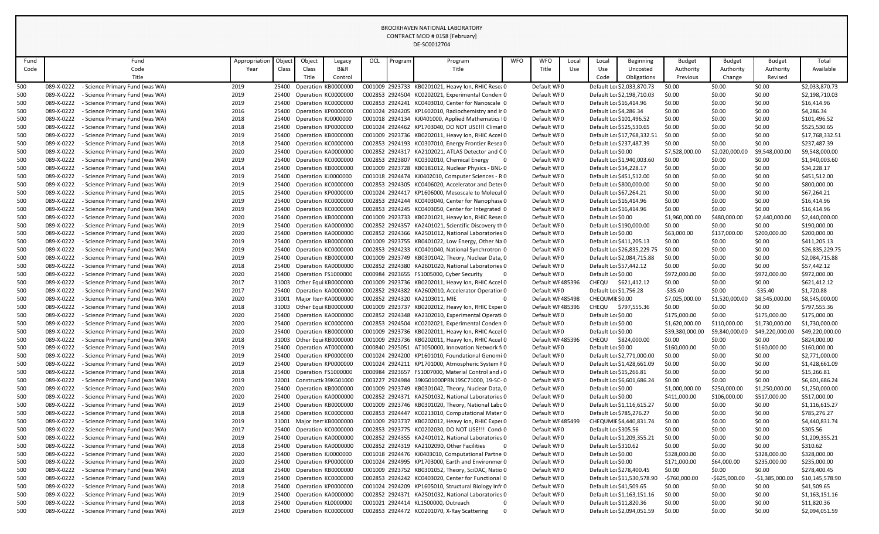|            |                          |                                                                    |               |                |                                             |                           |     |         | DE-SC0012704                                                                                             |            |                                  |       |                             |                             |                           |                          |                           |                                  |
|------------|--------------------------|--------------------------------------------------------------------|---------------|----------------|---------------------------------------------|---------------------------|-----|---------|----------------------------------------------------------------------------------------------------------|------------|----------------------------------|-------|-----------------------------|-----------------------------|---------------------------|--------------------------|---------------------------|----------------------------------|
| Fund       |                          | Fund                                                               | Appropriation | Object         | Object                                      | Legacy                    | OCL | Program | Program                                                                                                  | <b>WFO</b> | <b>WFO</b>                       | Local | Local                       | <b>Beginning</b>            | <b>Budget</b>             | <b>Budget</b>            | <b>Budget</b>             | Total                            |
| Code       |                          | Code                                                               | Year          | Class          | Class                                       | <b>B&amp;R</b>            |     |         | Title                                                                                                    |            | Title                            | Use   | Use                         | Uncosted                    | Authority                 | Authority                | Authority                 | Available                        |
|            |                          | Title                                                              |               |                | Title                                       | Control                   |     |         |                                                                                                          |            |                                  |       | Code                        | Obligations                 | Previous                  | Change                   | Revised                   |                                  |
| 500        | 089-X-0222               | Science Primary Fund (was WA)                                      | 2019          | 25400          | Operation KB0000000                         |                           |     |         | C001009 2923733 KB0201021, Heavy Ion, RHIC Resea 0                                                       |            | Default WI0                      |       |                             | Default Loc \$2,033,870.73  | \$0.00                    | \$0.00                   | \$0.00                    | \$2,033,870.73                   |
| 500        | 089-X-0222               | - Science Primary Fund (was WA)                                    | 2019          |                | 25400 Operation KC0000000                   |                           |     |         | C002853 2924504 KC0202021, Experimental Conden: 0                                                        |            | Default WI0                      |       |                             | Default Loc \$2,198,710.03  | \$0.00                    | \$0.00                   | \$0.00                    | \$2,198,710.03                   |
| 500        | 089-X-0222               | - Science Primary Fund (was WA)                                    | 2019          | 25400          | Operation KC0000000                         |                           |     |         | C002853 2924241 KC0403010, Center for Nanoscale 0                                                        |            | Default WI0                      |       | Default Lo: \$16,414.96     |                             | \$0.00                    | \$0.00                   | \$0.00                    | \$16,414.96                      |
| 500        | 089-X-0222               | - Science Primary Fund (was WA)                                    | 2016          | 25400          | Operation KP0000000                         |                           |     |         | C001024 2924205 KP1602010, Radiochemistry and Ir 0                                                       |            | Default WI0                      |       | Default Lor \$4,286.34      |                             | \$0.00                    | \$0.00                   | \$0.00                    | \$4,286.34                       |
| 500        | 089-X-0222               | - Science Primary Fund (was WA)                                    | 2018          | 25400          | Operation KJ0000000                         |                           |     |         | C001018 2924134 KJ0401000, Applied Mathematics IO                                                        |            | Default WI0                      |       |                             | Default Loc \$101,496.52    | \$0.00                    | \$0.00                   | \$0.00                    | \$101,496.52                     |
| 500        | 089-X-0222               | - Science Primary Fund (was WA)                                    | 2018          | 25400          | Operation KP0000000                         |                           |     |         | C001024 2924462 KP1703040, DO NOT USE !!! Climat 0                                                       |            | Default WI0                      |       |                             | Default Lor \$525,530.65    | \$0.00                    | \$0.00                   | \$0.00                    | \$525,530.65                     |
| 500        | 089-X-0222               | - Science Primary Fund (was WA)                                    | 2019          |                | 25400 Operation KB0000000                   |                           |     |         | C001009 2923736 KB0202011, Heavy Ion, RHIC Accel 0                                                       |            | Default WI0                      |       |                             | Default Loc \$17,768,332.51 | \$0.00                    | \$0.00                   | \$0.00                    | \$17,768,332.51                  |
| 500        | 089-X-0222               | - Science Primary Fund (was WA)                                    | 2018          | 25400<br>25400 | Operation KC0000000                         |                           |     |         | C002853 2924193 KC0307010, Energy Frontier Resea 0<br>C002852 2924317 KA2102021, ATLAS Detector and CO   |            | Default WI0                      |       |                             | Default Loc \$237,487.39    | \$0.00                    | \$0.00                   | \$0.00                    | \$237,487.39                     |
| 500        | 089-X-0222<br>089-X-0222 | - Science Primary Fund (was WA)<br>- Science Primary Fund (was WA) | 2020          | 25400          | Operation KA0000000<br>Operation KC0000000  |                           |     |         | C002853 2923807 KC0302010, Chemical Energy<br>- 0                                                        |            | Default WI0<br>Default WI0       |       | Default Lor \$0.00          | Default Lor \$1,940,003.60  | \$7,528,000.00            | \$2,020,000.00<br>\$0.00 | \$9,548,000.00            | \$9,548,000.00<br>\$1,940,003.60 |
| 500<br>500 | 089-X-0222               | - Science Primary Fund (was WA)                                    | 2019<br>2014  | 25400          | Operation KB0000000                         |                           |     |         | C001009 2923728 KB0181012, Nuclear Physics - BNL-0                                                       |            | Default WI0                      |       | Default Loc \$34,228.17     |                             | \$0.00<br>\$0.00          | \$0.00                   | \$0.00<br>\$0.00          | \$34,228.17                      |
| 500        | 089-X-0222               | - Science Primary Fund (was WA)                                    | 2019          |                | 25400 Operation KJ0000000                   |                           |     |         | C001018 2924474 KJ0402010, Computer Sciences - R 0                                                       |            | Default WI0                      |       |                             | Default Lor \$451,512.00    | \$0.00                    | \$0.00                   | \$0.00                    | \$451,512.00                     |
| 500        | 089-X-0222               | Science Primary Fund (was WA)                                      | 2019          | 25400          | Operation KC0000000                         |                           |     |         | C002853 2924305 KC0406020, Accelerator and Deter 0                                                       |            | Default WI0                      |       |                             | Default Lor \$800,000.00    | \$0.00                    | \$0.00                   | \$0.00                    | \$800,000.00                     |
| 500        | 089-X-0222               | - Science Primary Fund (was WA)                                    | 2015          | 25400          | Operation KP0000000                         |                           |     |         | C001024 2924417 KP1606000, Mesoscale to Molecul 0                                                        |            | Default WI0                      |       | Default Lor \$67,264.21     |                             | \$0.00                    | \$0.00                   | \$0.00                    | \$67,264.21                      |
| 500        | 089-X-0222               | - Science Primary Fund (was WA)                                    | 2019          |                | 25400 Operation KC0000000                   |                           |     |         | C002853 2924244 KC0403040, Center for Nanophase 0                                                        |            | Default WI0                      |       |                             | Default Loc \$16,414.96     | \$0.00                    | \$0.00                   | \$0.00                    | \$16,414.96                      |
| 500        | 089-X-0222               | - Science Primary Fund (was WA)                                    | 2019          | 25400          | Operation KC0000000                         |                           |     |         | C002853 2924245 KC0403050, Center for Integrated 0                                                       |            | Default WI0                      |       |                             | Default Loc \$16,414.96     | \$0.00                    | \$0.00                   | \$0.00                    | \$16,414.96                      |
| 500        | 089-X-0222               | - Science Primary Fund (was WA)                                    | 2020          | 25400          | Operation KB0000000                         |                           |     |         | C001009 2923733 KB0201021, Heavy Ion, RHIC Resea 0                                                       |            | Default WI0                      |       | Default Lor \$0.00          |                             | \$1,960,000.00            | \$480,000.00             | \$2,440,000.00            | \$2,440,000.00                   |
| 500        | 089-X-0222               | - Science Primary Fund (was WA)                                    | 2019          | 25400          | Operation KA0000000                         |                           |     |         | C002852 2924357 KA2401021, Scientific Discovery th 0                                                     |            | Default WI0                      |       |                             | Default Lor \$190,000.00    | \$0.00                    | \$0.00                   | \$0.00                    | \$190,000.00                     |
| 500        | 089-X-0222               | - Science Primary Fund (was WA)                                    | 2020          | 25400          | Operation KA0000000                         |                           |     |         | C002852 2924366 KA2501012, National Laboratories 0                                                       |            | Default WI0                      |       | Default Lor \$0.00          |                             | \$63,000.00               | \$137,000.00             | \$200,000.00              | \$200,000.00                     |
| 500        | 089-X-0222               | - Science Primary Fund (was WA)                                    | 2019          |                | 25400 Operation KB0000000                   |                           |     |         | C001009 2923755 KB0401022, Low Energy, Other Na 0                                                        |            | Default WI0                      |       |                             | Default Lor \$411,205.13    | \$0.00                    | \$0.00                   | \$0.00                    | \$411,205.13                     |
| 500        | 089-X-0222               | - Science Primary Fund (was WA)                                    | 2019          | 25400          | Operation KC0000000                         |                           |     |         | C002853 2924233 KC0401040, National Synchrotron 0                                                        |            | Default WI0                      |       |                             | Default Loc \$26,835,229.75 | \$0.00                    | \$0.00                   | \$0.00                    | \$26,835,229.75                  |
| 500        | 089-X-0222               | - Science Primary Fund (was WA)                                    | 2019          |                | 25400 Operation KB0000000                   |                           |     |         | C001009 2923749 KB0301042, Theory, Nuclear Data, 0                                                       |            | Default WI0                      |       |                             | Default Loc \$2,084,715.88  | \$0.00                    | \$0.00                   | \$0.00                    | \$2,084,715.88                   |
| 500        | 089-X-0222               | - Science Primary Fund (was WA)                                    | 2018          | 25400          | Operation KA0000000                         |                           |     |         | C002852 2924380 KA2601020, National Laboratories 0                                                       |            | Default WI0                      |       |                             | Default Loc \$57,442.12     | \$0.00                    | \$0.00                   | \$0.00                    | \$57,442.12                      |
| 500        | 089-X-0222               | - Science Primary Fund (was WA)                                    | 2020          | 25400          | Operation FS1000000                         |                           |     |         | C000984 2923655 FS1005000, Cyber Security<br>- 0                                                         |            | Default WI0                      |       | Default Lor \$0.00          |                             | \$972,000.00              | \$0.00                   | \$972,000.00              | \$972,000.00                     |
| 500        | 089-X-0222               | - Science Primary Fund (was WA)                                    | 2017          | 31003          | Other Equi KB0000000                        |                           |     |         | C001009 2923736 KB0202011, Heavy Ion, RHIC Accel 0                                                       |            | Default WI 485396                |       | CHEQU                       | \$621,412.12                | \$0.00                    | \$0.00                   | \$0.00                    | \$621,412.12                     |
| 500        | 089-X-0222               | - Science Primary Fund (was WA)                                    | 2017          |                |                                             | 25400 Operation KA0000000 |     |         | C002852 2924382 KA2602010, Accelerator Operatior 0                                                       |            | Default WI0                      |       | Default Lor \$1,756.28      |                             | $-535.40$                 | \$0.00                   | $-$ \$35.40               | \$1,720.88                       |
| 500        | 089-X-0222               | - Science Primary Fund (was WA)                                    | 2020          | 31001          | Major Iten KA0000000                        |                           |     |         | C002852 2924320 KA2103011, MIE                                                                           |            | Default WI 485498                |       | CHEQUMIE \$0.00             |                             | \$7,025,000.00            | \$1,520,000.00           | \$8,545,000.00            | \$8,545,000.00                   |
| 500        | 089-X-0222               | - Science Primary Fund (was WA)                                    | 2018          | 31003          | Other Equi KB0000000                        |                           |     |         | C001009 2923737 KB0202012, Heavy Ion, RHIC Exper 0                                                       |            | Default WI 485396                |       | CHEQU                       | \$797,555.36                | \$0.00                    | \$0.00                   | \$0.00                    | \$797,555.36                     |
| 500        | 089-X-0222               | - Science Primary Fund (was WA)                                    | 2020          | 25400          | Operation KA0000000                         |                           |     |         | C002852 2924348 KA2302010, Experimental Operatio                                                         |            | Default WI0                      |       | Default Lor \$0.00          |                             | \$175,000.00              | \$0.00                   | \$175,000.00              | \$175,000.00                     |
| 500        | 089-X-0222               | - Science Primary Fund (was WA)                                    | 2020          | 25400          | Operation KC0000000                         |                           |     |         | C002853 2924504 KC0202021, Experimental Conden: 0                                                        |            | Default WI0                      |       | Default Lor \$0.00          |                             | \$1,620,000.00            | \$110,000.00             | \$1,730,000.00            | \$1,730,000.00                   |
| 500<br>500 | 089-X-0222<br>089-X-0222 | - Science Primary Fund (was WA)<br>- Science Primary Fund (was WA) | 2020<br>2018  | 25400<br>31003 | Operation KB0000000<br>Other Equi KB0000000 |                           |     |         | C001009 2923736 KB0202011, Heavy Ion, RHIC Accel 0<br>C001009 2923736 KB0202011, Heavy Ion, RHIC Accel 0 |            | Default WI0<br>Default WI 485396 |       | Default Lor \$0.00<br>CHEQU | \$824,000.00                | \$39,380,000.00<br>\$0.00 | \$9,840,000.00<br>\$0.00 | \$49,220,000.00<br>\$0.00 | \$49,220,000.00<br>\$824,000.00  |
| 500        | 089-X-0222               | Science Primary Fund (was WA)                                      | 2019          | 25400          | Operation AT0000000                         |                           |     |         | C000840 2925051 AT1050000, Innovation Network fr 0                                                       |            | Default WI0                      |       | Default Lor \$0.00          |                             | \$160,000.00              | \$0.00                   | \$160,000.00              | \$160,000.00                     |
| 500        | 089-X-0222               | - Science Primary Fund (was WA)                                    | 2019          |                | 25400 Operation KP0000000                   |                           |     |         | C001024 2924200 KP1601010, Foundational Genomi 0                                                         |            | Default WI0                      |       |                             | Default Loc \$2,771,000.00  | \$0.00                    | \$0.00                   | \$0.00                    | \$2,771,000.00                   |
| 500        | 089-X-0222               | - Science Primary Fund (was WA)                                    | 2019          |                | 25400 Operation KP0000000                   |                           |     |         | C001024 2924211 KP1701000, Atmospheric System F0                                                         |            | Default WI0                      |       |                             | Default Loc \$1,428,661.09  | \$0.00                    | \$0.00                   | \$0.00                    | \$1,428,661.09                   |
| 500        | 089-X-0222               | - Science Primary Fund (was WA)                                    | 2018          | 25400          | Operation FS1000000                         |                           |     |         | C000984 2923657 FS1007000, Material Control and /0                                                       |            | Default WI0                      |       | Default Loc \$15,266.81     |                             | \$0.00                    | \$0.00                   | \$0.00                    | \$15,266.81                      |
| 500        | 089-X-0222               | - Science Primary Fund (was WA)                                    | 2019          | 32001          |                                             | Constructic 39KG01000     |     |         | C003227 2924984 39KG01000PRN19SC71000, 19-SC-0                                                           |            | Default WI0                      |       |                             | Default Loc \$6,601,686.24  | \$0.00                    | \$0.00                   | \$0.00                    | \$6,601,686.24                   |
| 500        | 089-X-0222               | - Science Primary Fund (was WA)                                    | 2020          | 25400          | Operation KB0000000                         |                           |     |         | C001009 2923749 KB0301042, Theory, Nuclear Data, 0                                                       |            | Default WI0                      |       | Default Lor \$0.00          |                             | \$1,000,000.00            | \$250,000.00             | \$1,250,000.00            | \$1,250,000.00                   |
| 500        | 089-X-0222               | - Science Primary Fund (was WA)                                    | 2020          |                | 25400 Operation KA0000000                   |                           |     |         | C002852 2924371 KA2501032, National Laboratories 0                                                       |            | Default WI0                      |       | Default Lor \$0.00          |                             | \$411,000.00              | \$106,000.00             | \$517,000.00              | \$517,000.00                     |
| 500        | 089-X-0222               | - Science Primary Fund (was WA)                                    | 2019          |                | 25400 Operation KB0000000                   |                           |     |         | C001009 2923746 KB0301020, Theory, National Labo 0                                                       |            | Default WI0                      |       |                             | Default Lo: \$1,116,615.27  | \$0.00                    | \$0.00                   | \$0.00                    | \$1,116,615.27                   |
| 500        | 089-X-0222               | - Science Primary Fund (was WA)                                    | 2018          | 25400          | Operation KC0000000                         |                           |     |         | C002853 2924447 KC0213010, Computational Mater 0                                                         |            | Default WI0                      |       |                             | Default Loc \$785,276.27    | \$0.00                    | \$0.00                   | \$0.00                    | \$785,276.27                     |
| 500        | 089-X-0222               | - Science Primary Fund (was WA)                                    | 2019          | 31001          | Major Item KB0000000                        |                           |     |         | C001009 2923737 KB0202012, Heavy Ion, RHIC Exper 0                                                       |            | Default WI 485499                |       |                             | CHEQUMIE \$4,440,831.74     | \$0.00                    | \$0.00                   | \$0.00                    | \$4,440,831.74                   |
| 500        | 089-X-0222               | - Science Primary Fund (was WA)                                    | 2017          | 25400          | Operation KC0000000                         |                           |     |         | C002853 2923775 KC0202030, DO NOT USE!!! Cond(0                                                          |            | Default WI0                      |       | Default Lor \$305.56        |                             | \$0.00                    | \$0.00                   | \$0.00                    | \$305.56                         |
| 500        | 089-X-0222               | - Science Primary Fund (was WA)                                    | 2019          | 25400          | Operation KA0000000                         |                           |     |         | C002852 2924355 KA2401012, National Laboratories 0                                                       |            | Default WI0                      |       |                             | Default Lor \$1,209,355.21  | \$0.00                    | \$0.00                   | \$0.00                    | \$1,209,355.21                   |
| 500        | 089-X-0222               | - Science Primary Fund (was WA)                                    | 2018          | 25400          | Operation KA0000000                         |                           |     |         | C002852 2924319 KA2102090, Other Facilities<br>- 0                                                       |            | Default WI0                      |       | Default Loc \$310.62        |                             | \$0.00                    | \$0.00                   | \$0.00                    | \$310.62                         |
| 500        | 089-X-0222               | - Science Primary Fund (was WA)                                    | 2020          | 25400          | Operation KJ0000000                         |                           |     |         | C001018 2924476 KJ0403010, Computational Partne 0                                                        |            | Default WI0                      |       | Default Lor \$0.00          |                             | \$328,000.00              | \$0.00                   | \$328,000.00              | \$328,000.00                     |
| 500        | 089-X-0222               | - Science Primary Fund (was WA)                                    | 2020          |                | 25400 Operation KP0000000                   |                           |     |         | C001024 2924995 KP1703000, Earth and Environmer 0                                                        |            | Default WI0                      |       | Default Lor \$0.00          |                             | \$171,000.00              | \$64,000.00              | \$235,000.00              | \$235,000.00                     |
| 500        | 089-X-0222               | - Science Primary Fund (was WA)                                    | 2018          | 25400          | Operation KB0000000                         |                           |     |         | C001009 2923752 KB0301052, Theory, SciDAC, Natio 0                                                       |            | Default WI0                      |       |                             | Default Lor \$278,400.45    | \$0.00                    | \$0.00                   | \$0.00                    | \$278,400.45                     |
| 500        | 089-X-0222               | - Science Primary Fund (was WA)                                    | 2019          |                | 25400 Operation KC0000000                   |                           |     |         | C002853 2924242 KC0403020, Center for Functional 0                                                       |            | Default WI0                      |       |                             | Default Loc \$11,530,578.90 | $-5760,000.00$            | $-5625,000.00$           | $-51,385,000.00$          | \$10,145,578.90                  |
| 500        | 089-X-0222               | - Science Primary Fund (was WA)                                    | 2018          |                | 25400 Operation KP0000000                   |                           |     |         | C001024 2924209 KP1605010, Structural Biology Infr 0                                                     |            | Default WI0                      |       |                             | Default Loc \$41,509.65     | \$0.00                    | \$0.00                   | \$0.00                    | \$41,509.65                      |
| 500        | 089-X-0222               | - Science Primary Fund (was WA)                                    | 2019          | 25400          | Operation KA0000000                         |                           |     |         | C002852 2924371 KA2501032, National Laboratories 0                                                       |            | Default WI0                      |       |                             | Default Loc \$1,163,151.16  | \$0.00                    | \$0.00                   | \$0.00                    | \$1,163,151.16                   |
| 500        | 089-X-0222               | - Science Primary Fund (was WA)<br>- Science Primary Fund (was WA) | 2018          | 25400          | Operation KL0000000                         |                           |     |         | C001021 2924414 KL1500000, Outreach<br>0<br>C002853 2924472 KC0201070, X-Ray Scattering                  |            | Default WI0                      |       |                             | Default Loc \$11,820.36     | \$0.00                    | \$0.00                   | \$0.00                    | \$11,820.36                      |
| 500        | 089-X-0222               |                                                                    | 2019          |                | 25400 Operation KC0000000                   |                           |     |         | 0                                                                                                        |            | Default WI0                      |       |                             | Default Loc \$2,094,051.59  | \$0.00                    | \$0.00                   | \$0.00                    | \$2,094,051.59                   |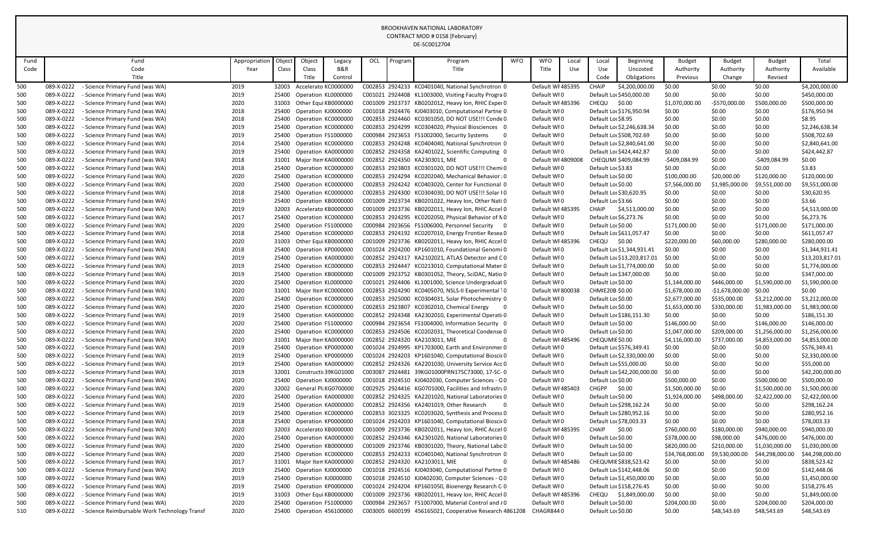|            |                                                                                                              |                       |                |                      |                                            |     |         | DE-SC0012704                                                                                             |            |                                  |              |                                          |                                                        |                            |                            |                             |                                |
|------------|--------------------------------------------------------------------------------------------------------------|-----------------------|----------------|----------------------|--------------------------------------------|-----|---------|----------------------------------------------------------------------------------------------------------|------------|----------------------------------|--------------|------------------------------------------|--------------------------------------------------------|----------------------------|----------------------------|-----------------------------|--------------------------------|
| Fund       | Fund                                                                                                         |                       | Object         |                      |                                            |     |         |                                                                                                          | <b>WFO</b> | <b>WFO</b>                       |              |                                          |                                                        |                            |                            |                             | Total                          |
| Code       | Code                                                                                                         | Appropriatior<br>Year | <b>Class</b>   | Object<br>Class      | Legacy<br><b>B&amp;R</b>                   | OCL | Program | Program<br>Title                                                                                         |            | Title                            | Local<br>Use | Local<br>Use                             | Beginning<br>Uncosted                                  | <b>Budget</b><br>Authority | <b>Budget</b><br>Authority | <b>Budget</b><br>Authority  | Available                      |
|            | Title                                                                                                        |                       |                | Title                | Control                                    |     |         |                                                                                                          |            |                                  |              | Code                                     | Obligations                                            | Previous                   | Change                     | Revised                     |                                |
| 500        | 089-X-0222<br>- Science Primary Fund (was WA)                                                                | 2019                  | 32003          | Accelerato KC000000C |                                            |     |         | C002853 2924233 KC0401040, National Synchrotron 0                                                        |            | Default WI 485395                |              | <b>CHAIP</b>                             | \$4,200,000.00                                         | \$0.00                     | \$0.00                     | \$0.00                      | \$4,200,000.00                 |
| 500        | 089-X-0222<br>- Science Primary Fund (was WA)                                                                | 2019                  | 25400          | Operation KL0000000  |                                            |     |         | C001021 2924408 KL1003000, Visiting Faculty Progra 0                                                     |            | Default WI0                      |              |                                          | Default Lor \$450,000.00                               | \$0.00                     | \$0.00                     | \$0.00                      | \$450,000.00                   |
| 500        | 089-X-0222<br>- Science Primary Fund (was WA)                                                                | 2020                  | 31003          |                      | Other Equi KB0000000                       |     |         | C001009 2923737 KB0202012, Heavy Ion, RHIC Exper 0                                                       |            | Default WI 485396                |              | CHEQU                                    | \$0.00                                                 | \$1,070,000.00             | -\$570,000.00              | \$500,000.00                | \$500,000.00                   |
| 500        | 089-X-0222<br><b>Science Primary Fund (was WA)</b>                                                           | 2018                  | 25400          | Operation KJ0000000  |                                            |     |         | C001018 2924476 KJ0403010, Computational Partne 0                                                        |            | Default WIO                      |              |                                          | Default Lor \$176,950.94                               | \$0.00                     | \$0.00                     | \$0.00                      | \$176,950.94                   |
| 500        | 089-X-0222<br><b>Science Primary Fund (was WA)</b>                                                           | 2018                  | 25400          | Operation KC0000000  |                                            |     |         | C002853 2924460 KC0301050, DO NOT USE!!! Conde 0                                                         |            | Default WI0                      |              | Default Loc \$8.95                       |                                                        | \$0.00                     | \$0.00                     | \$0.00                      | \$8.95                         |
| 500        | 089-X-0222<br><b>Science Primary Fund (was WA)</b>                                                           | 2019                  | 25400          |                      | Operation KC0000000                        |     |         | C002853 2924299 KC0304020, Physical Biosciences 0                                                        |            | Default WI0                      |              |                                          | Default Loc \$2,246,638.34                             | \$0.00                     | \$0.00                     | \$0.00                      | \$2,246,638.34                 |
| 500        | 089-X-0222<br>- Science Primary Fund (was WA)                                                                | 2019                  | 25400          | Operation FS1000000  |                                            |     |         | C000984 2923653 FS1002000, Security Systems                                                              |            | Default WI0                      |              |                                          | Default Lo: \$508,702.69                               | \$0.00                     | \$0.00                     | \$0.00                      | \$508,702.69                   |
| 500        | 089-X-0222<br><b>Science Primary Fund (was WA)</b>                                                           | 2014                  | 25400          | Operation KC000000C  |                                            |     |         | C002853 2924248 KC0404040, National Synchrotron 0                                                        |            | Default WI0                      |              |                                          | Default Loc \$2,840,641.00                             | \$0.00                     | \$0.00                     | \$0.00                      | \$2,840,641.00                 |
| 500        | 089-X-0222<br><b>Science Primary Fund (was WA)</b>                                                           | 2019                  | 25400          |                      | Operation KA0000000                        |     |         | C002852 2924358 KA2401022, Scientific Computing 0                                                        |            | Default WI0                      |              |                                          | Default Loc \$424,442.87                               | \$0.00                     | \$0.00                     | \$0.00                      | \$424,442.87                   |
| 500        | 089-X-0222<br>- Science Primary Fund (was WA)                                                                | 2018                  | 31001          |                      | Major Item KA0000000                       |     |         | C002852 2924350 KA2303011, MIE                                                                           |            | Default WI 4809008               |              |                                          | CHEQUMI \$409,084.99                                   | $-$409,084.99$             | \$0.00                     | -\$409,084.99               | \$0.00                         |
| 500        | 089-X-0222<br>- Science Primary Fund (was WA)                                                                | 2018                  | 25400          |                      | Operation KC0000000                        |     |         | C002853 2923803 KC0301020, DO NOT USE !!! Chemi 0                                                        |            | Default WI0                      |              | Default Loc \$3.83                       |                                                        | \$0.00                     | \$0.00                     | \$0.00                      | \$3.83                         |
| 500        | 089-X-0222<br><b>Science Primary Fund (was WA)</b>                                                           | 2020                  | 25400          | Operation KC000000C  |                                            |     |         | C002853 2924294 KC0202040, Mechanical Behavior (0                                                        |            | Default WI0                      |              | Default Lor \$0.00                       |                                                        | \$100,000.00               | \$20,000.00                | \$120,000.00                | \$120,000.00                   |
| 500        | 089-X-0222<br><b>Science Primary Fund (was WA)</b>                                                           | 2020                  | 25400          | Operation KC000000C  |                                            |     |         | C002853 2924242 KC0403020, Center for Functional 0                                                       |            | Default WI0                      |              | Default Lor \$0.00                       |                                                        | \$7,566,000.00             | \$1,985,000.00             | \$9,551,000.00              | \$9,551,000.00                 |
| 500        | 089-X-0222<br>- Science Primary Fund (was WA)                                                                | 2018                  | 25400          | Operation KC000000C  |                                            |     |         | C002853 2924300 KC0304030, DO NOT USE!!! Solar IO                                                        |            | Default WI0                      |              |                                          | Default Lor \$30,620.95                                | \$0.00                     | \$0.00                     | \$0.00                      | \$30,620.95                    |
| 500<br>500 | 089-X-0222<br>- Science Primary Fund (was WA)<br>089-X-0222<br>- Science Primary Fund (was WA)               | 2019<br>2019          | 25400<br>32003 | Accelerato KB000000C | Operation KB0000000                        |     |         | C001009 2923734 KB0201022, Heavy Ion, Other Nati 0<br>C001009 2923736 KB0202011, Heavy Ion, RHIC Accel 0 |            | Default WI0<br>Default WI 485395 |              | Default Loc \$3.66<br>CHAIP              | \$4,513,000.00                                         | \$0.00<br>\$0.00           | \$0.00<br>\$0.00           | \$0.00<br>\$0.00            | \$3.66<br>\$4,513,000.00       |
| 500        | 089-X-0222<br>- Science Primary Fund (was WA)                                                                | 2017                  | 25400          | Operation KC000000C  |                                            |     |         | C002853 2924295 KC0202050, Physical Behavior of NO                                                       |            | Default WI0                      |              | Default Lor \$6,273.76                   |                                                        | \$0.00                     | \$0.00                     | \$0.00                      | \$6,273.76                     |
| 500        | 089-X-0222<br><b>Science Primary Fund (was WA)</b>                                                           | 2020                  | 25400          | Operation FS1000000  |                                            |     |         | C000984 2923656 FS1006000, Personnel Security 0                                                          |            | Default WI0                      |              | Default Lor \$0.00                       |                                                        | \$171,000.00               | \$0.00                     | \$171,000.00                | \$171,000.00                   |
| 500        | 089-X-0222<br>Science Primary Fund (was WA)                                                                  | 2018                  | 25400          | Operation KC000000C  |                                            |     |         | C002853 2924192 KC0207010, Energy Frontier Resea 0                                                       |            | Default WI0                      |              |                                          | Default Lor \$611,057.47                               | \$0.00                     | \$0.00                     | \$0.00                      | \$611,057.47                   |
| 500        | 089-X-0222<br>- Science Primary Fund (was WA)                                                                | 2020                  | 31003          | Other Equi KB000000C |                                            |     |         | C001009 2923736 KB0202011, Heavy Ion, RHIC Accel 0                                                       |            | Default WI 485396                |              | <b>CHEQU</b>                             | \$0.00                                                 | \$220,000.00               | \$60,000.00                | \$280,000.00                | \$280,000.00                   |
| 500        | 089-X-0222<br><b>Science Primary Fund (was WA)</b>                                                           | 2018                  | 25400          |                      | Operation KP0000000                        |     |         | C001024 2924200 KP1601010, Foundational Genomi 0                                                         |            | Default WI0                      |              |                                          | Default Loc \$1,344,931.41                             | \$0.00                     | \$0.00                     | \$0.00                      | \$1,344,931.41                 |
| 500        | 089-X-0222<br>- Science Primary Fund (was WA)                                                                | 2019                  | 25400          |                      | Operation KA0000000                        |     |         | C002852 2924317 KA2102021, ATLAS Detector and CO                                                         |            | Default WI0                      |              |                                          | Default Lo: \$13,203,817.01                            | \$0.00                     | \$0.00                     | \$0.00                      | \$13,203,817.01                |
| 500        | 089-X-0222<br>- Science Primary Fund (was WA)                                                                | 2019                  | 25400          |                      | Operation KC0000000                        |     |         | C002853 2924447 KC0213010, Computational Mater 0                                                         |            | Default WI0                      |              |                                          | Default Loc \$1,774,000.00                             | \$0.00                     | \$0.00                     | \$0.00                      | \$1,774,000.00                 |
| 500        | 089-X-0222<br><b>Science Primary Fund (was WA)</b>                                                           | 2019                  | 25400          |                      | Operation KB0000000                        |     |         | C001009 2923752 KB0301052, Theory, SciDAC, Natio 0                                                       |            | Default WIO                      |              |                                          | Default Lor \$347,000.00                               | \$0.00                     | \$0.00                     | \$0.00                      | \$347,000.00                   |
| 500        | 089-X-0222<br><b>Science Primary Fund (was WA)</b>                                                           | 2020                  | 25400          | Operation KL0000000  |                                            |     |         | C001021 2924406 KL1001000, Science Undergraduat 0                                                        |            | Default WIO                      |              | Default Lor \$0.00                       |                                                        | \$1,144,000.00             | \$446,000.00               | \$1,590,000.00              | \$1,590,000.00                 |
| 500        | 089-X-0222<br>- Science Primary Fund (was WA)                                                                | 2020                  |                |                      | Major Item KC0000000                       |     |         | C002853 2924290 KC0405070, NSLS-II Experimental 10                                                       |            | Default WI 800038                |              | <b>CHMIE20B \$0.00</b>                   |                                                        | \$1,678,000.00             | $-$1,678,000.00$           | \$0.00                      | \$0.00                         |
| 500        | 089-X-0222<br>- Science Primary Fund (was WA)                                                                | 2020                  |                | Operation KC000000C  |                                            |     |         | C002853 2925000 KC0304031, Solar Photochemistry 0                                                        |            | Default WI0                      |              | Default Lor \$0.00                       |                                                        | \$2,677,000.00             | \$535,000.00               | \$3,212,000.00              | \$3,212,000.00                 |
| 500        | 089-X-0222<br>- Science Primary Fund (was WA)                                                                | 2020                  | 25400          |                      | Operation KC0000000                        |     |         | C002853 2923807 KC0302010, Chemical Energy                                                               |            | Default WIO                      |              | Default Lor \$0.00                       |                                                        | \$1,653,000.00             | \$330,000.00               | \$1,983,000.00              | \$1,983,000.00                 |
| 500        | 089-X-0222<br>- Science Primary Fund (was WA)                                                                | 2019                  | 25400          |                      | Operation KA0000000                        |     |         | C002852 2924348 KA2302010, Experimental Operatio                                                         |            | Default WIO                      |              |                                          | Default Lor \$186,151.30                               | \$0.00                     | \$0.00                     | \$0.00                      | \$186,151.30                   |
| 500        | 089-X-0222<br>- Science Primary Fund (was WA)                                                                | 2020                  | 25400          | Operation FS1000000  |                                            |     |         | C000984 2923654 FS1004000, Information Security 0                                                        |            | Default WI0                      |              | Default Lor \$0.00                       |                                                        | \$146,000.00               | \$0.00                     | \$146,000.00                | \$146,000.00                   |
| 500        | 089-X-0222<br>- Science Primary Fund (was WA)                                                                | 2020                  | 25400          |                      | Operation KC0000000                        |     |         | C002853 2924506 KC0202031, Theoretical Condense 0                                                        |            | Default WIO                      |              | Default Lor \$0.00                       |                                                        | \$1,047,000.00             | \$209,000.00               | \$1,256,000.00              | \$1,256,000.00                 |
| 500        | 089-X-0222<br><b>Science Primary Fund (was WA)</b>                                                           | 2020                  | 31001          |                      | Major Item KA0000000                       |     |         | C002852 2924320 KA2103011, MIE                                                                           |            | Default WI 485496                |              | CHEQUMIE \$0.00                          |                                                        | \$4,116,000.00             | \$737,000.00               | \$4,853,000.00              | \$4,853,000.00                 |
| 500        | 089-X-0222<br><b>Science Primary Fund (was WA)</b><br>089-X-0222<br>- Science Primary Fund (was WA)          | 2019<br>2019          | 25400<br>25400 |                      | Operation KP0000000<br>Operation KP0000000 |     |         | C001024 2924995 KP1703000, Earth and Environmer 0<br>C001024 2924203 KP1601040, Computational Bioscie 0  |            | Default WI0<br>Default WI0       |              |                                          | Default Lor \$576,349.41<br>Default Loc \$2,330,000.00 | \$0.00<br>\$0.00           | \$0.00<br>\$0.00           | \$0.00<br>\$0.00            | \$576,349.41<br>\$2,330,000.00 |
| 500<br>500 | 089-X-0222<br>- Science Primary Fund (was WA)                                                                | 2019                  | 25400          |                      | Operation KA0000000                        |     |         | C002852 2924326 KA2201030, University Service Acc 0                                                      |            | Default WI0                      |              |                                          | Default Lo: \$55,000.00                                | \$0.00                     | \$0.00                     | \$0.00                      | \$55,000.00                    |
| 500        | 089-X-0222<br>- Science Primary Fund (was WA)                                                                | 2019                  | 32001          |                      | Constructic 39KG01000                      |     |         | C003087 2924481 39KG01000PRN17SC73000, 17-SC-0                                                           |            | Default WIO                      |              |                                          | Default Loc \$42,200,000.00                            | \$0.00                     | \$0.00                     | \$0.00                      | \$42,200,000.00                |
| 500        | 089-X-0222<br>- Science Primary Fund (was WA)                                                                | 2020                  | 25400          | Operation KJ0000000  |                                            |     |         | C001018 2924510 KJ0402030, Computer Sciences - Q0                                                        |            | Default WI0                      |              | Default Lor \$0.00                       |                                                        | \$500,000.00               | \$0.00                     | \$500,000.00                | \$500,000.00                   |
| 500        | 089-X-0222<br>- Science Primary Fund (was WA)                                                                | 2020                  | 32002          |                      | General Pli KG0700000                      |     |         | C002925 2924416 KG0701000, Facilities and Infrastru0                                                     |            | Default WI 485403                |              | <b>CHGPP</b>                             | \$0.00                                                 | \$1,500,000.00             | \$0.00                     | \$1,500,000.00              | \$1,500,000.00                 |
| 500        | 089-X-0222<br>- Science Primary Fund (was WA)                                                                | 2020                  | 25400          |                      | Operation KA0000000                        |     |         | C002852 2924325 KA2201020, National Laboratories 0                                                       |            | Default WI0                      |              | Default Lor \$0.00                       |                                                        | \$1,924,000.00             | \$498,000.00               | \$2,422,000.00              | \$2,422,000.00                 |
| 500        | 089-X-0222<br>- Science Primary Fund (was WA)                                                                | 2019                  | 25400          |                      | Operation KA0000000                        |     |         | C002852 2924356 KA2401019, Other Research                                                                |            | Default WIO                      |              |                                          | Default Loc \$298,162.24                               | \$0.00                     | \$0.00                     | \$0.00                      | \$298,162.24                   |
| 500        | 089-X-0222<br>- Science Primary Fund (was WA)                                                                | 2019                  | 25400          |                      | Operation KC0000000                        |     |         | C002853 3023325 KC0203020, Synthesis and Process 0                                                       |            | Default WIO                      |              |                                          | Default Lor \$280,952.16                               | \$0.00                     | \$0.00                     | \$0.00                      | \$280,952.16                   |
| 500        | 089-X-0222<br>- Science Primary Fund (was WA)                                                                | 2018                  | 25400          |                      | Operation KP0000000                        |     |         | C001024 2924203 KP1601040, Computational Bioscie 0                                                       |            | Default WI0                      |              |                                          | Default Loc \$78,003.33                                | \$0.00                     | \$0.00                     | \$0.00                      | \$78,003.33                    |
| 500        | 089-X-0222<br>- Science Primary Fund (was WA)                                                                | 2020                  | 32003          |                      | Accelerato KB0000000                       |     |         | C001009 2923736 KB0202011, Heavy Ion, RHIC Accel 0                                                       |            | Default WI 485395                |              | CHAIP                                    | \$0.00                                                 | \$760,000.00               | \$180,000.00               | \$940,000.00                | \$940,000.00                   |
| 500        | 089-X-0222<br>- Science Primary Fund (was WA)                                                                | 2020                  | 25400          |                      | Operation KA0000000                        |     |         | C002852 2924346 KA2301020, National Laboratories 0                                                       |            | Default WIO                      |              | Default Lor \$0.00                       |                                                        | \$378,000.00               | \$98,000.00                | \$476,000.00                | \$476,000.00                   |
| 500        | 089-X-0222<br>- Science Primary Fund (was WA)                                                                | 2020                  | 25400          |                      | Operation KB0000000                        |     |         | C001009 2923746 KB0301020, Theory, National Labo 0                                                       |            | Default WIO                      |              | Default Lor \$0.00                       |                                                        | \$820,000.00               | \$210,000.00               | \$1,030,000.00              | \$1,030,000.00                 |
| 500        | 089-X-0222<br>- Science Primary Fund (was WA)                                                                | 2020                  | 25400          |                      | Operation KC0000000                        |     |         | C002853 2924233 KC0401040, National Synchrotron 0                                                        |            | Default WIO                      |              | Default Lor \$0.00                       |                                                        | \$34,768,000.00            | \$9,530,000.00             | \$44,298,000.00             | \$44,298,000.00                |
| 500        | 089-X-0222<br>- Science Primary Fund (was WA)                                                                | 2017                  | 31001          |                      | Major Item KA0000000                       |     |         | C002852 2924320 KA2103011, MIE                                                                           |            | Default WI 485486                |              |                                          | CHEQUMIE \$838,523.42                                  | \$0.00                     | \$0.00                     | \$0.00                      | \$838,523.42                   |
| 500        | 089-X-0222<br><b>Science Primary Fund (was WA)</b>                                                           | 2019                  | 25400          | Operation KJ0000000  |                                            |     |         | C001018 2924516 KJ0403040, Computational Partne 0                                                        |            | Default WIO                      |              |                                          | Default Lor \$142,448.06                               | \$0.00                     | \$0.00                     | \$0.00                      | \$142,448.06                   |
| 500        | 089-X-0222<br>- Science Primary Fund (was WA)                                                                | 2019                  | 25400          | Operation KJ0000000  |                                            |     |         | C001018 2924510 KJ0402030, Computer Sciences - Q0                                                        |            | Default WI0                      |              |                                          | Default Loc \$1,450,000.00                             | \$0.00                     | \$0.00                     | \$0.00                      | \$1,450,000.00                 |
| 500        | 089-X-0222<br>- Science Primary Fund (was WA)                                                                | 2019                  | 25400          | Operation KP0000000  |                                            |     |         | C001024 2924204 KP1601050, Bioenergy Research CO                                                         |            | Default WI0                      |              |                                          | Default Lo: \$158,276.45                               | \$0.00                     | \$0.00                     | \$0.00                      | \$158,276.45                   |
| 500        | 089-X-0222<br>- Science Primary Fund (was WA)                                                                | 2019                  | 31003<br>25400 |                      | Other Equi KB0000000                       |     |         | C001009 2923736 KB0202011, Heavy Ion, RHIC Accel 0<br>C000984 2923657 FS1007000, Material Control and /0 |            | Default WI 485396<br>Default WI0 |              |                                          | CHEQU \$1,849,000.00                                   | \$0.00                     | \$0.00<br>\$0.00           | \$0.00                      | \$1,849,000.00                 |
| 500<br>510 | 089-X-0222<br>- Science Primary Fund (was WA)<br>089-X-0222<br>- Science Reimbursable Work Technology Transf | 2020<br>2020          |                | Operation FS1000000  | 25400 Operation 456100000                  |     |         | C003005 6600199 456165021, Cooperative Research 4861208                                                  |            | CHAGR8440                        |              | Default Lor \$0.00<br>Default Lor \$0.00 |                                                        | \$204,000.00<br>\$0.00     | \$48,543.69                | \$204,000.00<br>\$48,543.69 | \$204,000.00<br>\$48,543.69    |
|            |                                                                                                              |                       |                |                      |                                            |     |         |                                                                                                          |            |                                  |              |                                          |                                                        |                            |                            |                             |                                |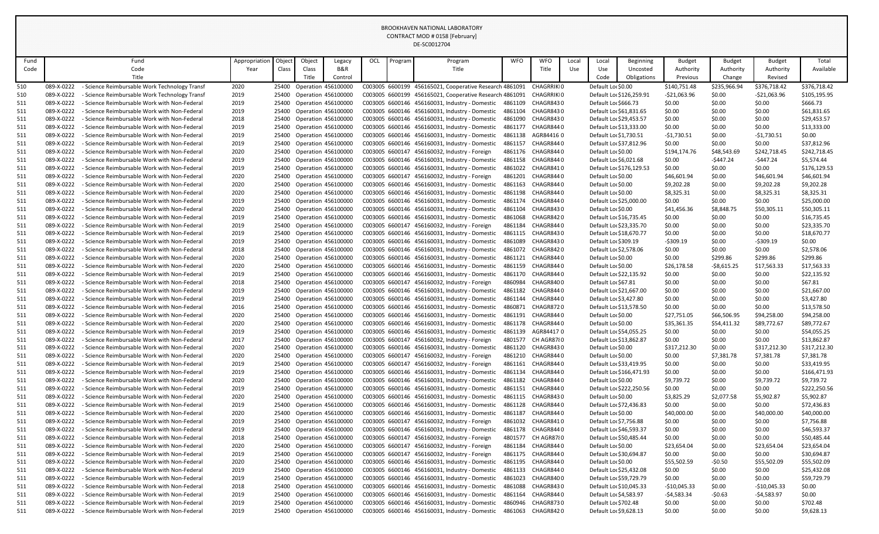|            |                          |                                                                                              |               |        |                           |                                                        |     |         | DE-SC0012704                                                                                     |                    |                        |       |                         |                          |                       |                      |                       |                            |
|------------|--------------------------|----------------------------------------------------------------------------------------------|---------------|--------|---------------------------|--------------------------------------------------------|-----|---------|--------------------------------------------------------------------------------------------------|--------------------|------------------------|-------|-------------------------|--------------------------|-----------------------|----------------------|-----------------------|----------------------------|
| Fund       |                          | Fund                                                                                         | Appropriation | Object | Object                    | Legacy                                                 | OCL | Program | Program                                                                                          | <b>WFO</b>         | <b>WFO</b>             | Local | Local                   | <b>Beginning</b>         | <b>Budget</b>         | <b>Budget</b>        | <b>Budget</b>         | Total                      |
| Code       |                          | Code                                                                                         | Year          | Class  | Class                     | B&R                                                    |     |         | Title                                                                                            |                    | Title                  | Use   | Use                     | Uncosted                 | Authority             | Authority            | Authority             | Available                  |
|            |                          | Title                                                                                        |               |        | Title                     | Control                                                |     |         |                                                                                                  |                    |                        |       | Code                    | Obligations              | Previous              | Change               | Revised               |                            |
| 510        | 089-X-0222               | - Science Reimbursable Work Technology Transf                                                | 2020          |        | 25400 Operation 456100000 |                                                        |     |         | C003005 6600199 456165021, Cooperative Research 4861091                                          |                    | CHAGRRIKIO             |       | Default Lor \$0.00      |                          | \$140,751.48          | \$235,966.94         | \$376,718.42          | \$376,718.42               |
| 510        | 089-X-0222               | - Science Reimbursable Work Technology Transf                                                | 2019          |        | 25400 Operation 456100000 |                                                        |     |         | C003005 6600199 456165021, Cooperative Research 4861091                                          |                    | CHAGRRIKI0             |       |                         | Default Loc \$126,259.91 | $-521,063.96$         | \$0.00               | -\$21,063.96          | \$105,195.95               |
| 511        | 089-X-0222               | - Science Reimbursable Work with Non-Federal                                                 | 2019          |        | 25400 Operation 456100000 |                                                        |     |         | C003005 6600146 456160031, Industry - Domestic                                                   | 4861109            | CHAGR8430              |       | Default Lor \$666.73    |                          | \$0.00                | \$0.00               | \$0.00                | \$666.73                   |
| 511        | 089-X-0222               | - Science Reimbursable Work with Non-Federal                                                 | 2019          |        |                           | 25400 Operation 456100000                              |     |         | C003005 6600146 456160031, Industry - Domestic                                                   | 4861104            | CHAGR8430              |       |                         | Default Lor \$61,831.65  | \$0.00                | \$0.00               | \$0.00                | \$61,831.65                |
| 511        | 089-X-0222               | - Science Reimbursable Work with Non-Federal                                                 | 2018          |        |                           | 25400 Operation 456100000                              |     |         | C003005 6600146 456160031, Industry - Domestic                                                   | 4861090            | CHAGR8430              |       |                         | Default Lor \$29,453.57  | \$0.00                | \$0.00               | \$0.00                | \$29,453.57                |
| 511        | 089-X-0222               | - Science Reimbursable Work with Non-Federal                                                 | 2019          |        |                           | 25400 Operation 456100000                              |     |         | C003005 6600146 456160031, Industry - Domestic                                                   | 4861177            | CHAGR8440              |       | Default Loc \$13,333.00 |                          | \$0.00                | \$0.00               | \$0.00                | \$13,333.00                |
| 511        | 089-X-0222               | - Science Reimbursable Work with Non-Federal                                                 | 2019          |        |                           | 25400 Operation 456100000                              |     |         | C003005 6600146 456160031, Industry - Domestic                                                   | 4861138            | AGR844160              |       | Default Loc \$1,730.51  |                          | $-51,730.51$          | \$0.00               | -\$1,730.51           | \$0.00                     |
| 511        | 089-X-0222               | - Science Reimbursable Work with Non-Federal                                                 | 2019          |        |                           | 25400 Operation 456100000                              |     |         | C003005 6600146 456160031, Industry - Domestic                                                   | 4861157            | CHAGR8440              |       |                         | Default Loc \$37,812.96  | \$0.00                | \$0.00               | \$0.00                | \$37,812.96                |
| 511        | 089-X-0222               | - Science Reimbursable Work with Non-Federal                                                 | 2020          |        |                           | 25400 Operation 456100000                              |     |         | C003005 6600147 456160032, Industry - Foreign                                                    | 4861176            | CHAGR844 0             |       | Default Lor \$0.00      |                          | \$194,174.76          | \$48,543.69          | \$242,718.45          | \$242,718.45               |
| 511        | 089-X-0222               | - Science Reimbursable Work with Non-Federal                                                 | 2019          |        |                           | 25400 Operation 456100000                              |     |         | C003005 6600146 456160031, Industry - Domestic                                                   | 4861158            | CHAGR8440              |       | Default Lor \$6,021.68  |                          | \$0.00                | -\$447.24            | $-5447.24$            | \$5,574.44                 |
| 511        | 089-X-0222               | - Science Reimbursable Work with Non-Federal                                                 | 2019          |        |                           | 25400 Operation 456100000                              |     |         | C003005 6600146 456160031, Industry - Domestic                                                   | 4861022            | CHAGR8410              |       |                         | Default Loc \$176,129.53 | \$0.00                | \$0.00               | \$0.00                | \$176,129.53               |
| 511        | 089-X-0222               | - Science Reimbursable Work with Non-Federal                                                 | 2020          |        |                           | 25400 Operation 456100000                              |     |         | C003005 6600147 456160032, Industry - Foreign                                                    | 4861201            | CHAGR844 0             |       | Default Loc \$0.00      |                          | \$46,601.94           | \$0.00               | \$46,601.94           | \$46,601.94                |
| 511        | 089-X-0222<br>089-X-0222 | - Science Reimbursable Work with Non-Federal                                                 | 2020          |        |                           | 25400 Operation 456100000                              |     |         | C003005 6600146 456160031, Industry - Domestic                                                   | 4861163            | CHAGR8440<br>CHAGR8440 |       | Default Lor \$0.00      |                          | \$9,202.28            | \$0.00               | \$9,202.28            | \$9,202.28                 |
| 511        | 089-X-0222               | - Science Reimbursable Work with Non-Federal<br>- Science Reimbursable Work with Non-Federal | 2020          |        |                           | 25400 Operation 456100000                              |     |         | C003005 6600146 456160031, Industry - Domestic<br>C003005 6600146 456160031, Industry - Domestic | 4861198<br>4861174 | CHAGR8440              |       | Default Loc \$0.00      | Default Lor \$25,000.00  | \$8,325.31            | \$0.00               | \$8,325.31            | \$8,325.31                 |
| 511        | 089-X-0222               | - Science Reimbursable Work with Non-Federal                                                 | 2019<br>2020  |        |                           | 25400 Operation 456100000<br>25400 Operation 456100000 |     |         | C003005 6600146 456160031, Industry - Domestic                                                   | 4861104            | CHAGR8430              |       | Default Lor \$0.00      |                          | \$0.00<br>\$41,456.36 | \$0.00<br>\$8,848.75 | \$0.00<br>\$50,305.11 | \$25,000.00<br>\$50,305.11 |
| 511<br>511 | 089-X-0222               | - Science Reimbursable Work with Non-Federal                                                 | 2019          |        | 25400 Operation 456100000 |                                                        |     |         | C003005 6600146 456160031, Industry - Domestic                                                   | 4861068            | CHAGR8420              |       |                         | Default Loc \$16,735.45  | \$0.00                | \$0.00               | \$0.00                | \$16,735.45                |
| 511        | 089-X-0222               | - Science Reimbursable Work with Non-Federal                                                 | 2019          |        | 25400 Operation 456100000 |                                                        |     |         | C003005 6600147 456160032, Industry - Foreign                                                    | 4861184            | CHAGR8440              |       |                         | Default Loc \$23,335.70  | \$0.00                | \$0.00               | \$0.00                | \$23,335.70                |
| 511        | 089-X-0222               | - Science Reimbursable Work with Non-Federal                                                 | 2019          |        |                           | 25400 Operation 456100000                              |     |         | C003005 6600146 456160031, Industry - Domestic                                                   | 4861115            | CHAGR8430              |       | Default Loc \$18,670.77 |                          | \$0.00                | \$0.00               | \$0.00                | \$18,670.77                |
| 511        | 089-X-0222               | - Science Reimbursable Work with Non-Federal                                                 | 2019          |        |                           | 25400 Operation 456100000                              |     |         | C003005 6600146 456160031, Industry - Domestic                                                   | 4861089            | CHAGR8430              |       | Default Lor \$309.19    |                          | $-5309.19$            | \$0.00               | $-5309.19$            | \$0.00                     |
| 511        | 089-X-0222               | - Science Reimbursable Work with Non-Federal                                                 | 2018          |        |                           | 25400 Operation 456100000                              |     |         | C003005 6600146 456160031, Industry - Domestic                                                   | 4861072            | CHAGR8420              |       | Default Loc \$2,578.06  |                          | \$0.00                | \$0.00               | \$0.00                | \$2,578.06                 |
| 511        | 089-X-0222               | - Science Reimbursable Work with Non-Federal                                                 | 2020          |        | 25400 Operation 456100000 |                                                        |     |         | C003005 6600146 456160031, Industry - Domestic                                                   | 4861121            | CHAGR8440              |       | Default Loc \$0.00      |                          | \$0.00                | \$299.86             | \$299.86              | \$299.86                   |
| 511        | 089-X-0222               | - Science Reimbursable Work with Non-Federal                                                 | 2020          |        |                           | 25400 Operation 456100000                              |     |         | C003005 6600146 456160031, Industry - Domestic                                                   | 4861159            | CHAGR8440              |       | Default Loc \$0.00      |                          | \$26,178.58           | $-$ \$8,615.25       | \$17,563.33           | \$17,563.33                |
| 511        | 089-X-0222               | - Science Reimbursable Work with Non-Federal                                                 | 2019          |        |                           | 25400 Operation 456100000                              |     |         | C003005 6600146 456160031, Industry - Domestic                                                   | 4861170            | CHAGR8440              |       |                         | Default Loc \$22,135.92  | \$0.00                | \$0.00               | \$0.00                | \$22,135.92                |
| 511        | 089-X-0222               | - Science Reimbursable Work with Non-Federal                                                 | 2018          |        |                           | 25400 Operation 456100000                              |     |         | C003005 6600147 456160032, Industry - Foreign                                                    | 4860984            | CHAGR8400              |       | Default Loc \$67.81     |                          | \$0.00                | \$0.00               | \$0.00                | \$67.81                    |
| 511        | 089-X-0222               | - Science Reimbursable Work with Non-Federal                                                 | 2019          |        |                           | 25400 Operation 456100000                              |     |         | C003005 6600146 456160031, Industry - Domestic                                                   | 4861182            | CHAGR8440              |       |                         | Default Lor \$21,667.00  | \$0.00                | \$0.00               | \$0.00                | \$21,667.00                |
| 511        | 089-X-0222               | - Science Reimbursable Work with Non-Federal                                                 | 2019          |        |                           | 25400 Operation 456100000                              |     |         | C003005 6600146 456160031, Industry - Domestic                                                   |                    | 4861144 CHAGR8440      |       | Default Lo: \$3,427.80  |                          | \$0.00                | \$0.00               | \$0.00                | \$3,427.80                 |
| 511        | 089-X-0222               | - Science Reimbursable Work with Non-Federal                                                 | 2016          |        |                           | 25400 Operation 456100000                              |     |         | C003005 6600146 456160031, Industry - Domestic                                                   | 4860871            | CHAGR8720              |       |                         | Default Loc \$13,578.50  | \$0.00                | \$0.00               | \$0.00                | \$13,578.50                |
| 511        | 089-X-0222               | - Science Reimbursable Work with Non-Federal                                                 | 2020          |        |                           | 25400 Operation 456100000                              |     |         | C003005 6600146 456160031, Industry - Domestic                                                   | 4861191            | CHAGR8440              |       | Default Lor \$0.00      |                          | \$27,751.05           | \$66,506.95          | \$94,258.00           | \$94,258.00                |
| 511        | 089-X-0222               | - Science Reimbursable Work with Non-Federal                                                 | 2020          |        |                           | 25400 Operation 456100000                              |     |         | C003005 6600146 456160031, Industry - Domestic                                                   | 4861178            | CHAGR8440              |       | Default Lor \$0.00      |                          | \$35,361.35           | \$54,411.32          | \$89,772.67           | \$89,772.67                |
| 511        | 089-X-0222               | - Science Reimbursable Work with Non-Federal                                                 | 2019          | 25400  |                           | <b>Operation 456100000</b>                             |     |         | C003005 6600146 456160031, Industry - Domestic                                                   | 4861139            | AGR844170              |       | Default Loc \$54,055.25 |                          | \$0.00                | \$0.00               | \$0.00                | \$54,055.25                |
| 511        | 089-X-0222               | - Science Reimbursable Work with Non-Federal                                                 | 2017          |        |                           | 25400 Operation 456100000                              |     |         | C003005 6600147 456160032, Industry - Foreign                                                    | 4801577            | CH AGR87{0             |       | Default Loc \$13,862.87 |                          | \$0.00                | \$0.00               | \$0.00                | \$13,862.87                |
| 511        | 089-X-0222               | - Science Reimbursable Work with Non-Federal                                                 | 2020          | 25400  |                           | <b>Operation 456100000</b>                             |     |         | C003005 6600146 456160031, Industry - Domestic                                                   | 4861120            | CHAGR8430              |       | Default Lor \$0.00      |                          | \$317,212.30          | \$0.00               | \$317,212.30          | \$317,212.30               |
| 511        | 089-X-0222               | - Science Reimbursable Work with Non-Federal                                                 | 2020          | 25400  |                           | Operation 456100000                                    |     |         | C003005 6600147 456160032, Industry - Foreign                                                    | 4861210            | CHAGR8440              |       | Default Lor \$0.00      |                          | \$0.00                | \$7,381.78           | \$7,381.78            | \$7,381.78                 |
| 511        | 089-X-0222               | - Science Reimbursable Work with Non-Federal                                                 | 2019          |        |                           | 25400 Operation 456100000                              |     |         | C003005 6600147 456160032, Industry - Foreign                                                    | 4861161            | CHAGR8440              |       |                         | Default Loc \$33,419.95  | \$0.00                | \$0.00               | \$0.00                | \$33,419.95                |
| 511        | 089-X-0222<br>089-X-0222 | - Science Reimbursable Work with Non-Federal<br>- Science Reimbursable Work with Non-Federal | 2019<br>2020  | 25400  |                           | <b>Operation 456100000</b>                             |     |         | C003005 6600146 456160031, Industry - Domestic<br>C003005 6600146 456160031, Industry - Domestic | 4861134<br>4861182 | CHAGR8440<br>CHAGR8440 |       |                         | Default Loc \$166,471.93 | \$0.00<br>\$9,739.72  | \$0.00<br>\$0.00     | \$0.00<br>\$9,739.72  | \$166,471.93<br>\$9,739.72 |
| 511        | 089-X-0222               | - Science Reimbursable Work with Non-Federal                                                 |               |        |                           | 25400 Operation 456100000                              |     |         | C003005 6600146 456160031, Industry - Domestic                                                   | 4861151            | CHAGR8440              |       | Default Lor \$0.00      | Default Lor \$222,250.56 | \$0.00                | \$0.00               | \$0.00                |                            |
| 511<br>511 | 089-X-0222               | - Science Reimbursable Work with Non-Federal                                                 | 2019<br>2020  | 25400  |                           | Operation 456100000<br>25400 Operation 456100000       |     |         | C003005 6600146 456160031, Industry - Domestic                                                   | 4861115            | CHAGR8430              |       | Default Lor \$0.00      |                          | \$3,825.29            | \$2,077.58           | \$5,902.87            | \$222,250.56<br>\$5,902.87 |
| 511        | 089-X-0222               | - Science Reimbursable Work with Non-Federal                                                 | 2019          |        |                           | 25400 Operation 456100000                              |     |         | C003005 6600146 456160031, Industry - Domestic                                                   | 4861128            | CHAGR8440              |       |                         | Default Loc \$72,436.83  | \$0.00                | \$0.00               | \$0.00                | \$72,436.83                |
| 511        | 089-X-0222               | - Science Reimbursable Work with Non-Federal                                                 | 2020          | 25400  |                           | <b>Operation 456100000</b>                             |     |         | C003005 6600146 456160031, Industry - Domestic                                                   | 4861187            | CHAGR8440              |       | Default Lor \$0.00      |                          | \$40,000.00           | \$0.00               | \$40,000.00           | \$40,000.00                |
| 511        | 089-X-0222               | - Science Reimbursable Work with Non-Federal                                                 | 2019          | 25400  |                           | Operation 456100000                                    |     |         | C003005 6600147 456160032, Industry - Foreign                                                    | 4861032            | CHAGR8410              |       | Default Loc \$7,756.88  |                          | \$0.00                | \$0.00               | \$0.00                | \$7,756.88                 |
| 511        | 089-X-0222               | - Science Reimbursable Work with Non-Federal                                                 | 2019          |        |                           | 25400 Operation 456100000                              |     |         | C003005 6600146 456160031, Industry - Domestic                                                   | 4861178            | CHAGR8440              |       | Default Loc \$46,593.37 |                          | \$0.00                | \$0.00               | \$0.00                | \$46,593.37                |
| 511        | 089-X-0222               | - Science Reimbursable Work with Non-Federal                                                 | 2018          |        |                           | 25400 Operation 456100000                              |     |         | C003005 6600147 456160032, Industry - Foreign                                                    | 4801577            | CH AGR87{0             |       | Default Loc \$50,485.44 |                          | \$0.00                | \$0.00               | \$0.00                | \$50,485.44                |
| 511        | 089-X-0222               | - Science Reimbursable Work with Non-Federal                                                 | 2020          |        |                           | 25400 Operation 456100000                              |     |         | C003005 6600147 456160032, Industry - Foreign                                                    | 4861184            | CHAGR8440              |       | Default Lor \$0.00      |                          | \$23,654.04           | \$0.00               | \$23,654.04           | \$23,654.04                |
| 511        | 089-X-0222               | - Science Reimbursable Work with Non-Federal                                                 | 2019          | 25400  |                           | Operation 456100000                                    |     |         | C003005 6600147 456160032, Industry - Foreign                                                    | 4861175            | CHAGR8440              |       | Default Loc \$30,694.87 |                          | \$0.00                | \$0.00               | \$0.00                | \$30,694.87                |
| 511        | 089-X-0222               | - Science Reimbursable Work with Non-Federal                                                 | 2020          | 25400  |                           | Operation 456100000                                    |     |         | C003005 6600146 456160031, Industry - Domestic                                                   | 4861195            | CHAGR8440              |       | Default Loc \$0.00      |                          | \$55,502.59           | $-50.50$             | \$55,502.09           | \$55,502.09                |
| 511        | 089-X-0222               | - Science Reimbursable Work with Non-Federal                                                 | 2019          |        |                           | 25400 Operation 456100000                              |     |         | C003005 6600146 456160031, Industry - Domestic                                                   | 4861133            | CHAGR8440              |       |                         | Default Lor \$25,432.08  | \$0.00                | \$0.00               | \$0.00                | \$25,432.08                |
| 511        | 089-X-0222               | - Science Reimbursable Work with Non-Federal                                                 | 2019          |        |                           | 25400 Operation 456100000                              |     |         | C003005 6600146 456160031, Industry - Domestic                                                   | 4861023            | CHAGR8400              |       | Default Loc \$59,729.79 |                          | \$0.00                | \$0.00               | \$0.00                | \$59,729.79                |
| 511        | 089-X-0222               | - Science Reimbursable Work with Non-Federal                                                 | 2018          |        |                           | 25400 Operation 456100000                              |     |         | C003005 6600146 456160031, Industry - Domestic                                                   | 4861088            | CHAGR8430              |       |                         | Default Lor \$10,045.33  | $-$10,045.33$         | \$0.00               | $-$10,045.33$         | \$0.00                     |
| 511        | 089-X-0222               | - Science Reimbursable Work with Non-Federal                                                 | 2019          | 25400  |                           | <b>Operation 456100000</b>                             |     |         | C003005 6600146 456160031, Industry - Domestic                                                   | 4861164            | CHAGR844 0             |       | Default Loc \$4,583.97  |                          | $-54,583.34$          | $-50.63$             | -\$4,583.97           | \$0.00                     |
| 511        | 089-X-0222               | - Science Reimbursable Work with Non-Federal                                                 | 2019          |        |                           | 25400 Operation 456100000                              |     |         | C003005 6600146 456160031, Industry - Domestic                                                   | 4860946            | CHAGR8730              |       | Default Loc \$702.48    |                          | \$0.00                | \$0.00               | \$0.00                | \$702.48                   |
| 511        | 089-X-0222               | - Science Reimbursable Work with Non-Federal                                                 | 2019          |        |                           | 25400 Operation 456100000                              |     |         | C003005 6600146 456160031, Industry - Domestic                                                   | 4861063            | CHAGR8420              |       | Default Loc \$9,628.13  |                          | \$0.00                | \$0.00               | \$0.00                | \$9,628.13                 |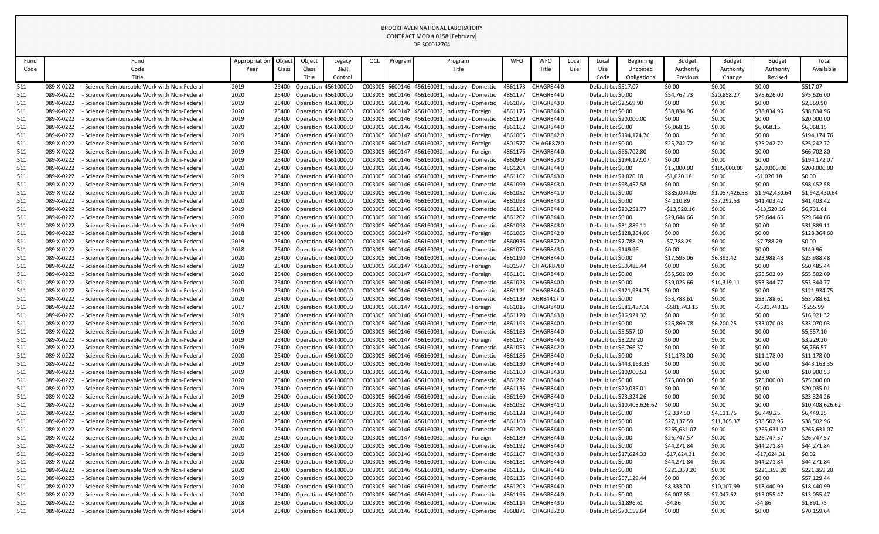|            |                          |                                                                                              |               |        |                           |                                                        |     |         | DE-SC0012704                                                                                    |                    |                         |            |                                               |                             |                       |                       |                       |                            |
|------------|--------------------------|----------------------------------------------------------------------------------------------|---------------|--------|---------------------------|--------------------------------------------------------|-----|---------|-------------------------------------------------------------------------------------------------|--------------------|-------------------------|------------|-----------------------------------------------|-----------------------------|-----------------------|-----------------------|-----------------------|----------------------------|
| Fund       |                          | Fund                                                                                         | Appropriation | Object | Object                    | Legacy                                                 | OCL | Program | Program                                                                                         | <b>WFO</b>         | <b>WFO</b>              | Local      | Local                                         | <b>Beginning</b>            | <b>Budget</b>         | <b>Budget</b>         | <b>Budget</b>         | Total                      |
| Code       |                          | Code                                                                                         | Year          | Class  | Class                     | B&R                                                    |     |         | Title                                                                                           |                    | Title                   | <b>Use</b> | Use                                           | Uncosted                    | Authority             | Authority             | Authority             | Available                  |
|            |                          | Title                                                                                        |               |        | Title                     | Control                                                |     |         |                                                                                                 |                    |                         |            | Code                                          | Obligations                 | Previous              | Change                | Revised               |                            |
| 511        | 089-X-0222               | - Science Reimbursable Work with Non-Federal                                                 | 2019          |        | 25400 Operation 456100000 |                                                        |     |         | C003005 6600146 456160031, Industry - Domestic                                                  | 4861173            | CHAGR8440               |            | Default Lor \$517.07                          |                             | \$0.00                | \$0.00                | \$0.00                | \$517.07                   |
| 511        | 089-X-0222               | - Science Reimbursable Work with Non-Federal                                                 | 2020          |        | 25400 Operation 456100000 |                                                        |     |         | C003005 6600146 456160031, Industry - Domestic                                                  | 4861177            | CHAGR8440               |            | Default Lor \$0.00                            |                             | \$54,767.73           | \$20,858.2            | \$75,626.00           | \$75,626.00                |
| 511        | 089-X-0222               | - Science Reimbursable Work with Non-Federal                                                 | 2019          |        | 25400 Operation 456100000 |                                                        |     |         | C003005 6600146 456160031, Industry - Domestic                                                  | 4861075            | CHAGR8430               |            | Default Lor \$2,569.90                        |                             | \$0.00                | \$0.00                | \$0.00                | \$2,569.90                 |
| 511        | 089-X-0222               | - Science Reimbursable Work with Non-Federal                                                 | 2020          |        |                           | 25400 Operation 456100000                              |     |         | C003005 6600147 456160032, Industry - Foreign                                                   | 4861175            | CHAGR844 0              |            | Default Lor \$0.00                            |                             | \$38,834.96           | \$0.00                | \$38,834.96           | \$38,834.96                |
| 511        | 089-X-0222               | - Science Reimbursable Work with Non-Federal                                                 | 2019          |        |                           | 25400 Operation 456100000                              |     |         | C003005 6600146 456160031, Industry - Domestic                                                  | 4861179            | CHAGR844 0              |            | Default Lor \$20,000.00                       |                             | \$0.00                | \$0.00                | \$0.00                | \$20,000.00                |
| 511        | 089-X-0222               | - Science Reimbursable Work with Non-Federal                                                 | 2020          |        |                           | 25400 Operation 456100000                              |     |         | C003005 6600146 456160031, Industry - Domestic                                                  | 4861162            | CHAGR8440               |            | Default Lor \$0.00                            |                             | \$6,068.15            | \$0.00                | \$6,068.15            | \$6,068.15                 |
| 511        | 089-X-0222               | - Science Reimbursable Work with Non-Federal                                                 | 2019          |        |                           | 25400 Operation 456100000                              |     |         | C003005 6600147 456160032, Industry - Foreign                                                   | 4861065            | CHAGR8420               |            |                                               | Default Loc \$194,174.76    | \$0.00                | \$0.00                | \$0.00                | \$194,174.76               |
| 511        | 089-X-0222               | - Science Reimbursable Work with Non-Federal                                                 | 2020          |        |                           | 25400 Operation 456100000                              |     |         | C003005 6600147 456160032, Industry - Foreign                                                   | 4801577            | CH AGR8780              |            | Default Lor \$0.00                            |                             | \$25,242.72           | \$0.00                | \$25,242.72           | \$25,242.72                |
| 511        | 089-X-0222               | - Science Reimbursable Work with Non-Federal                                                 | 2019          |        |                           | 25400 Operation 456100000                              |     |         | C003005 6600147 456160032, Industry - Foreign                                                   | 4861176            | CHAGR844 0              |            | Default Lo: \$66,702.80                       |                             | \$0.00                | \$0.00                | \$0.00                | \$66,702.80                |
| 511        | 089-X-0222               | - Science Reimbursable Work with Non-Federal                                                 | 2019          |        |                           | 25400 Operation 456100000                              |     |         | C003005 6600146 456160031, Industry - Domestic                                                  | 4860969            | CHAGR8730               |            |                                               | Default Loc \$194,172.07    | \$0.00                | \$0.00                | \$0.00                | \$194,172.07               |
| 511        | 089-X-0222               | - Science Reimbursable Work with Non-Federal                                                 | 2020          |        | 25400 Operation 456100000 |                                                        |     |         | C003005 6600146 456160031, Industry - Domestic                                                  | 4861204            | CHAGR844 0              |            | Default Lor \$0.00                            |                             | \$15,000.00           | \$185,000.00          | \$200,000.00          | \$200,000.00               |
| 511        | 089-X-0222               | - Science Reimbursable Work with Non-Federal                                                 | 2019          |        | 25400 Operation 456100000 |                                                        |     |         | C003005 6600146 456160031, Industry - Domestic                                                  | 4861102            | CHAGR843 0              |            | Default Lor \$1,020.18                        |                             | $-$1,020.18$          | \$0.00                | $-51,020.18$          | \$0.00                     |
| 511        | 089-X-0222               | - Science Reimbursable Work with Non-Federal                                                 | 2019          |        |                           | 25400 Operation 456100000                              |     |         | C003005 6600146 456160031, Industry - Domestic                                                  | 4861099            | CHAGR8430               |            | Default Loc \$98,452.58                       |                             | \$0.00                | \$0.00                | \$0.00                | \$98,452.58                |
| 511        | 089-X-0222               | - Science Reimbursable Work with Non-Federal                                                 | 2020          |        |                           | 25400 Operation 456100000                              |     |         | C003005 6600146 456160031, Industry - Domestic                                                  | 4861052            | CHAGR8410               |            | Default Lor \$0.00                            |                             | \$885,004.06          | \$1,057,426.58        | \$1,942,430.64        | \$1,942,430.64             |
| 511        | 089-X-0222               | - Science Reimbursable Work with Non-Federal                                                 | 2020          |        |                           | 25400 Operation 456100000                              |     |         | C003005 6600146 456160031, Industry - Domestic                                                  | 4861098            | CHAGR8430               |            | Default Lor \$0.00                            |                             | \$4,110.89            | \$37,292.53           | \$41,403.42           | \$41,403.42                |
| 511        | 089-X-0222               | - Science Reimbursable Work with Non-Federal                                                 | 2019          |        |                           | 25400 Operation 456100000                              |     |         | C003005 6600146 456160031, Industry - Domestic                                                  | 4861162            | CHAGR844 0              |            | Default Loc \$20,251.77                       |                             | $-$13,520.16$         | \$0.00                | -\$13,520.16          | \$6,731.61                 |
| 511        | 089-X-0222               | - Science Reimbursable Work with Non-Federal                                                 | 2020          |        | 25400 Operation 456100000 |                                                        |     |         | C003005 6600146 456160031, Industry - Domestic                                                  | 4861202            | CHAGR8440               |            | Default Lor \$0.00                            |                             | \$29,644.66           | \$0.00                | \$29,644.66           | \$29,644.66                |
| 511        | 089-X-0222               | - Science Reimbursable Work with Non-Federal                                                 | 2019          |        | 25400 Operation 456100000 |                                                        |     |         | C003005 6600146 456160031, Industry - Domestic                                                  | 4861098            | CHAGR8430               |            | Default Loc \$31,889.11                       |                             | \$0.00                | \$0.00                | \$0.00                | \$31,889.11                |
| 511        | 089-X-0222               | - Science Reimbursable Work with Non-Federal                                                 | 2018          |        |                           | 25400 Operation 456100000                              |     |         | C003005 6600147 456160032, Industry - Foreign                                                   | 4861065            | CHAGR8420               |            |                                               | Default Lor \$128,364.60    | \$0.00                | \$0.00                | \$0.00                | \$128,364.60               |
| 511        | 089-X-0222               | - Science Reimbursable Work with Non-Federal                                                 | 2019          |        |                           | 25400 Operation 456100000                              |     |         | C003005 6600146 456160031, Industry - Domestic                                                  | 4860936            | CHAGR8720               |            | Default Loc \$7,788.29                        |                             | $-57,788.29$          | \$0.00                | $-57,788.29$          | \$0.00                     |
| 511        | 089-X-0222               | - Science Reimbursable Work with Non-Federal                                                 | 2018          |        |                           | 25400 Operation 456100000                              |     |         | C003005 6600146 456160031, Industry - Domestic                                                  | 4861075            | CHAGR8430<br>CHAGR8440  |            | Default Lor \$149.96                          |                             | \$0.00                | \$0.00                | \$0.00                | \$149.96                   |
| 511        | 089-X-0222<br>089-X-0222 | - Science Reimbursable Work with Non-Federal<br>- Science Reimbursable Work with Non-Federal | 2020          |        | 25400 Operation 456100000 |                                                        |     |         | C003005 6600146 456160031, Industry - Domestic<br>C003005 6600147 456160032, Industry - Foreign | 4861190            |                         |            | Default Lor \$0.00                            |                             | \$17,595.06           | \$6,393.42            | \$23,988.48           | \$23,988.48                |
| 511        |                          |                                                                                              | 2019          |        |                           | 25400 Operation 456100000                              |     |         | C003005 6600147 456160032, Industry - Foreign                                                   | 4801577            | CH AGR87{0              |            | Default Lo: \$50,485.44<br>Default Lor \$0.00 |                             | \$0.00                | \$0.00<br>\$0.00      | \$0.00                | \$50,485.44                |
| 511        | 089-X-0222<br>089-X-0222 | - Science Reimbursable Work with Non-Federal<br>- Science Reimbursable Work with Non-Federal | 2020<br>2020  |        |                           | 25400 Operation 456100000<br>25400 Operation 456100000 |     |         | C003005 6600146 456160031, Industry - Domestic                                                  | 4861161<br>4861023 | CHAGR844 0<br>CHAGR8400 |            | Default Lor \$0.00                            |                             | \$55,502.09           |                       | \$55,502.09           | \$55,502.09<br>\$53,344.77 |
| 511<br>511 | 089-X-0222               | - Science Reimbursable Work with Non-Federal                                                 | 2019          |        |                           | 25400 Operation 456100000                              |     |         | C003005 6600146 456160031, Industry - Domestic                                                  | 4861121            | CHAGR8440               |            |                                               | Default Loc \$121,934.75    | \$39,025.66<br>\$0.00 | \$14,319.11<br>\$0.00 | \$53,344.77<br>\$0.00 | \$121,934.75               |
| 511        | 089-X-0222               | - Science Reimbursable Work with Non-Federal                                                 | 2020          |        |                           | 25400 Operation 456100000                              |     |         | C003005 6600146 456160031, Industry - Domestic                                                  |                    | 4861139 AGR844170       |            | Default Lor \$0.00                            |                             | \$53,788.61           | \$0.00                | \$53,788.61           | \$53,788.61                |
| 511        | 089-X-0222               | - Science Reimbursable Work with Non-Federal                                                 | 2017          |        |                           | 25400 Operation 456100000                              |     |         | C003005 6600147 456160032, Industry - Foreign                                                   |                    | 4861015 CHAGR8400       |            |                                               | Default Loc \$581,487.16    | -\$581,743.15         | \$0.00                | -\$581,743.15         | $-$ \$255.99               |
| 511        | 089-X-0222               | - Science Reimbursable Work with Non-Federal                                                 | 2019          |        |                           | 25400 Operation 456100000                              |     |         | C003005 6600146 456160031, Industry - Domestic                                                  | 4861120            | CHAGR8430               |            | Default Loc \$16,921.32                       |                             | \$0.00                | \$0.00                | \$0.00                | \$16,921.32                |
| 511        | 089-X-0222               | - Science Reimbursable Work with Non-Federal                                                 | 2020          |        |                           | 25400 Operation 456100000                              |     |         | C003005 6600146 456160031, Industry - Domestic                                                  | 4861193            | CHAGR8400               |            | Default Lor \$0.00                            |                             | \$26,869.78           | \$6,200.25            | \$33,070.03           | \$33,070.03                |
| 511        | 089-X-0222               | - Science Reimbursable Work with Non-Federal                                                 | 2019          | 25400  |                           | <b>Operation 456100000</b>                             |     |         | C003005 6600146 456160031, Industry - Domestic                                                  | 4861163            | CHAGR8440               |            | Default Lor \$5,557.10                        |                             | \$0.00                | \$0.00                | \$0.00                | \$5,557.10                 |
| 511        | 089-X-0222               | - Science Reimbursable Work with Non-Federal                                                 | 2019          |        |                           | 25400 Operation 456100000                              |     |         | C003005 6600147 456160032, Industry - Foreign                                                   | 4861167            | CHAGR844 0              |            | Default Lor \$3,229.20                        |                             | \$0.00                | \$0.00                | \$0.00                | \$3,229.20                 |
| 511        | 089-X-0222               | - Science Reimbursable Work with Non-Federal                                                 | 2019          |        |                           | 25400 Operation 456100000                              |     |         | C003005 6600146 456160031, Industry - Domestic                                                  | 4861053            | CHAGR8420               |            | Default Lor \$6,766.57                        |                             | \$0.00                | \$0.00                | \$0.00                | \$6,766.57                 |
| 511        | 089-X-0222               | - Science Reimbursable Work with Non-Federal                                                 | 2020          | 25400  |                           | <b>Operation 456100000</b>                             |     |         | C003005 6600146 456160031, Industry - Domestic                                                  | 4861186            | CHAGR8440               |            | Default Lor \$0.00                            |                             | \$11,178.00           | \$0.00                | \$11,178.00           | \$11,178.00                |
| 511        | 089-X-0222               | - Science Reimbursable Work with Non-Federal                                                 | 2019          |        |                           | 25400 Operation 456100000                              |     |         | C003005 6600146 456160031, Industry - Domestic                                                  | 4861130            | CHAGR8440               |            |                                               | Default Loc \$443,163.35    | \$0.00                | \$0.00                | \$0.00                | \$443,163.35               |
| 511        | 089-X-0222               | - Science Reimbursable Work with Non-Federal                                                 | 2019          | 25400  |                           | <b>Operation 456100000</b>                             |     |         | C003005 6600146 456160031, Industry - Domestic                                                  | 4861100            | CHAGR8430               |            | Default Lor \$10,900.53                       |                             | \$0.00                | \$0.00                | \$0.00                | \$10,900.53                |
| 511        | 089-X-0222               | - Science Reimbursable Work with Non-Federal                                                 | 2020          |        |                           | 25400 Operation 456100000                              |     |         | C003005 6600146 456160031, Industry - Domestic                                                  | 4861212            | CHAGR844 0              |            | Default Lor \$0.00                            |                             | \$75,000.00           | \$0.00                | \$75,000.00           | \$75,000.00                |
| 511        | 089-X-0222               | - Science Reimbursable Work with Non-Federal                                                 | 2019          | 25400  |                           | Operation 456100000                                    |     |         | C003005 6600146 456160031, Industry - Domestic                                                  | 4861136            | CHAGR8440               |            | Default Lor \$20,035.01                       |                             | \$0.00                | \$0.00                | \$0.00                | \$20,035.01                |
| 511        | 089-X-0222               | - Science Reimbursable Work with Non-Federal                                                 | 2019          |        |                           | 25400 Operation 456100000                              |     |         | C003005 6600146 456160031, Industry - Domestic                                                  | 4861160            | CHAGR8440               |            | Default Loc \$23,324.26                       |                             | \$0.00                | \$0.00                | \$0.00                | \$23,324.26                |
| 511        | 089-X-0222               | - Science Reimbursable Work with Non-Federal                                                 | 2019          |        |                           | 25400 Operation 456100000                              |     |         | C003005 6600146 456160031, Industry - Domestic                                                  | 4861052            | CHAGR8410               |            |                                               | Default Loc \$10,408,626.62 | \$0.00                | \$0.00                | \$0.00                | \$10,408,626.62            |
| 511        | 089-X-0222               | - Science Reimbursable Work with Non-Federal                                                 | 2020          | 25400  |                           | <b>Operation 456100000</b>                             |     |         | C003005 6600146 456160031, Industry - Domestic                                                  | 4861128            | CHAGR8440               |            | Default Lor \$0.00                            |                             | \$2,337.50            | \$4,111.75            | \$6,449.25            | \$6,449.25                 |
| 511        | 089-X-0222               | - Science Reimbursable Work with Non-Federal                                                 | 2020          |        |                           | 25400 Operation 456100000                              |     |         | C003005 6600146 456160031, Industry - Domestic                                                  | 4861160            | CHAGR844 0              |            | Default Lor \$0.00                            |                             | \$27,137.59           | \$11,365.37           | \$38,502.96           | \$38,502.96                |
| 511        | 089-X-0222               | - Science Reimbursable Work with Non-Federal                                                 | 2020          |        |                           | 25400 Operation 456100000                              |     |         | C003005 6600146 456160031, Industry - Domestic                                                  | 4861200            | CHAGR8440               |            | Default Lor \$0.00                            |                             | \$265,631.07          | \$0.00                | \$265,631.07          | \$265,631.07               |
| 511        | 089-X-0222               | - Science Reimbursable Work with Non-Federal                                                 | 2020          |        |                           | 25400 Operation 456100000                              |     |         | C003005 6600147 456160032, Industry - Foreign                                                   | 4861189            | CHAGR8440               |            | Default Lor \$0.00                            |                             | \$26,747.57           | \$0.00                | \$26,747.57           | \$26,747.57                |
| 511        | 089-X-0222               | - Science Reimbursable Work with Non-Federal                                                 | 2020          |        |                           | 25400 Operation 456100000                              |     |         | C003005 6600146 456160031, Industry - Domestic                                                  | 4861192            | CHAGR8440               |            | Default Lor \$0.00                            |                             | \$44,271.84           | \$0.00                | \$44,271.84           | \$44,271.84                |
| 511        | 089-X-0222               | - Science Reimbursable Work with Non-Federal                                                 | 2019          | 25400  |                           | <b>Operation 456100000</b>                             |     |         | C003005 6600146 456160031, Industry - Domestic                                                  | 4861107            | CHAGR8430               |            | Default Loc \$17,624.33                       |                             | -\$17,624.31          | \$0.00                | -\$17,624.31          | \$0.02                     |
| 511        | 089-X-0222               | - Science Reimbursable Work with Non-Federal                                                 | 2020          | 25400  |                           | Operation 456100000                                    |     |         | C003005 6600146 456160031, Industry - Domestic                                                  | 4861181            | CHAGR8440               |            | Default Lor \$0.00                            |                             | \$44,271.84           | \$0.00                | \$44,271.84           | \$44,271.84                |
| 511        | 089-X-0222               | - Science Reimbursable Work with Non-Federal                                                 | 2020          |        |                           | 25400 Operation 456100000                              |     |         | C003005 6600146 456160031, Industry - Domestic                                                  | 4861135            | CHAGR8440               |            | Default Lor \$0.00                            |                             | \$221,359.20          | \$0.00                | \$221,359.20          | \$221,359.20               |
| 511        | 089-X-0222               | - Science Reimbursable Work with Non-Federal                                                 | 2019          |        |                           | 25400 Operation 456100000                              |     |         | C003005 6600146 456160031, Industry - Domestic                                                  | 4861135            | CHAGR8440               |            | Default Loc \$57,129.44                       |                             | \$0.00                | \$0.00                | \$0.00                | \$57,129.44                |
| 511        | 089-X-0222               | - Science Reimbursable Work with Non-Federal                                                 | 2020          |        |                           | 25400 Operation 456100000                              |     |         | C003005 6600146 456160031, Industry - Domestic                                                  | 4861203            | CHAGR8440               |            | Default Lor \$0.00                            |                             | \$8,333.00            | \$10,107.99           | \$18,440.99           | \$18,440.99                |
| 511        | 089-X-0222               | - Science Reimbursable Work with Non-Federal                                                 | 2020          | 25400  |                           | <b>Operation 456100000</b>                             |     |         | C003005 6600146 456160031, Industry - Domestic                                                  | 4861196            | CHAGR844 0              |            | Default Lor \$0.00                            |                             | \$6,007.85            | \$7,047.62            | \$13,055.47           | \$13,055.47                |
| 511        | 089-X-0222               | - Science Reimbursable Work with Non-Federal                                                 | 2018          |        | 25400 Operation 456100000 |                                                        |     |         | C003005 6600146 456160031, Industry - Domestic                                                  | 4861114            | CHAGR843 0              |            | Default Lor \$1,896.61                        |                             | -\$4.86               | \$0.00                | -\$4.86               | \$1,891.75                 |
| 511        | 089-X-0222               | - Science Reimbursable Work with Non-Federal                                                 | 2014          |        |                           | 25400 Operation 456100000                              |     |         | C003005 6600146 456160031, Industry - Domestic                                                  | 4860871            | CHAGR8720               |            | Default Lor \$70,159.64                       |                             | \$0.00                | \$0.00                | \$0.00                | \$70,159.64                |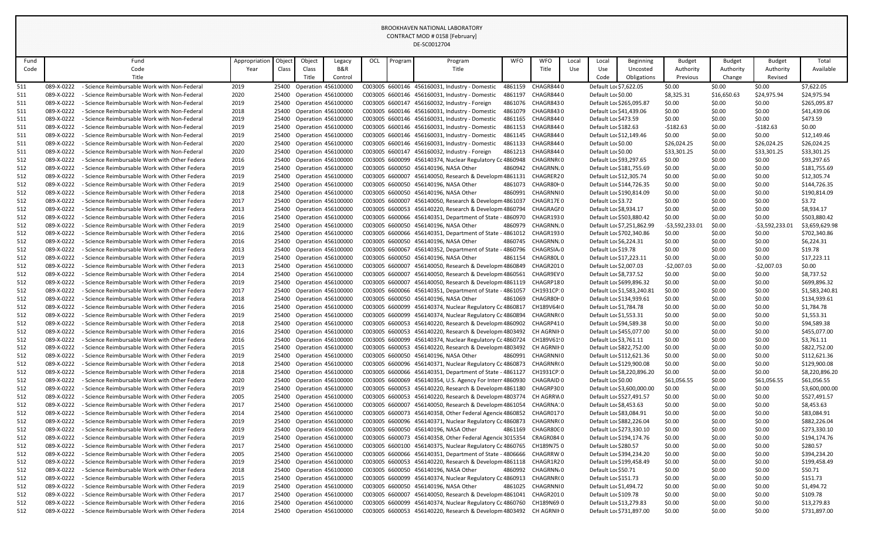|            |                          |                                                                                                |               |        |                                                        |         |                 |        | DE-SC0012704                                                                                                         |            |                          |       |                                              |                            |                       |                  |                  |                               |
|------------|--------------------------|------------------------------------------------------------------------------------------------|---------------|--------|--------------------------------------------------------|---------|-----------------|--------|----------------------------------------------------------------------------------------------------------------------|------------|--------------------------|-------|----------------------------------------------|----------------------------|-----------------------|------------------|------------------|-------------------------------|
| Fund       |                          | Fund                                                                                           | Appropriation | Object | Object                                                 | Legacy  | OCL             | rogram | Program                                                                                                              | <b>WFO</b> | <b>WFO</b>               | Local | Local                                        | <b>Beginning</b>           | <b>Budget</b>         | <b>Budget</b>    | <b>Budget</b>    | Total                         |
| Code       |                          | Code                                                                                           | Year          | Class  | Class                                                  | B&R     |                 |        | Title                                                                                                                |            | Title                    | Use   | Use                                          | Uncosted                   | Authority             | Authority        | Authority        | Available                     |
|            |                          | Title                                                                                          |               |        | Title                                                  | Control |                 |        |                                                                                                                      |            |                          |       | Code                                         | Obligations                | Previous              | Change           | Revised          |                               |
| 511        | 089-X-0222               | - Science Reimbursable Work with Non-Federal                                                   | 2019          |        | 25400 Operation 456100000                              |         |                 |        | C003005 6600146 456160031, Industry - Domestic                                                                       | 4861159    | CHAGR8440                |       | Default Lo: \$7,622.05                       |                            | \$0.00                | \$0.00           | \$0.00           | \$7,622.05                    |
| 511        | 089-X-0222               | - Science Reimbursable Work with Non-Federal                                                   | 2020          |        | 25400 Operation 456100000                              |         |                 |        | C003005 6600146 456160031, Industry - Domestic                                                                       | 4861197    | CHAGR8440                |       | Default Lor \$0.00                           |                            | \$8,325.31            | \$16,650.63      | \$24,975.94      | \$24,975.94                   |
| 511        | 089-X-0222               | - Science Reimbursable Work with Non-Federal                                                   | 2019          | 25400  | <b>Operation 456100000</b>                             |         |                 |        | C003005 6600147 456160032, Industry - Foreign                                                                        | 4861076    | CHAGR8430                |       |                                              | Default Loc \$265,095.87   | \$0.00                | \$0.00           | \$0.00           | \$265,095.87                  |
| 511        | 089-X-0222               | - Science Reimbursable Work with Non-Federal                                                   | 2018          | 25400  | <b>Operation 456100000</b>                             |         |                 |        | C003005 6600146 456160031, Industry - Domestic                                                                       | 4861079    | CHAGR8430                |       | Default Lor \$41,439.06                      |                            | \$0.00                | \$0.00           | \$0.00           | \$41,439.06                   |
| 511        | 089-X-0222               | - Science Reimbursable Work with Non-Federal                                                   | 2019          | 25400  | <b>Operation 456100000</b>                             |         |                 |        | C003005 6600146 456160031, Industry - Domestic                                                                       | 4861165    | CHAGR8440                |       | Default Lor \$473.59                         |                            | \$0.00                | \$0.00           | \$0.00           | \$473.59                      |
| 511        | 089-X-0222               | - Science Reimbursable Work with Non-Federal                                                   | 2019          |        | 25400 Operation 456100000                              |         |                 |        | C003005 6600146 456160031, Industry - Domestic                                                                       | 4861153    | CHAGR8440                |       | Default Lor \$182.63                         |                            | $-5182.63$            | \$0.00           | $-5182.63$       | \$0.00                        |
| 511        | 089-X-0222               | - Science Reimbursable Work with Non-Federal                                                   | 2019          |        | 25400 Operation 456100000                              |         |                 |        | C003005 6600146 456160031, Industry - Domestic                                                                       | 4861145    | CHAGR8440                |       | Default Loc \$12,149.46                      |                            | \$0.00                | \$0.00           | \$0.00           | \$12,149.46                   |
| 511        | 089-X-0222               | - Science Reimbursable Work with Non-Federal                                                   | 2020          | 25400  | Operation 456100000                                    |         |                 |        | C003005 6600146 456160031, Industry - Domestic                                                                       | 4861133    | CHAGR8440                |       | Default Lor \$0.00                           |                            | \$26,024.25           | \$0.00           | \$26,024.25      | \$26,024.25                   |
| 511        | 089-X-0222               | - Science Reimbursable Work with Non-Federal                                                   | 2020          | 25400  | <b>Operation 456100000</b>                             |         |                 |        | C003005 6600147 456160032, Industry - Foreign                                                                        | 4861213    | CHAGR8440                |       | Default Lor \$0.00                           |                            | \$33,301.25           | \$0.00           | \$33,301.25      | \$33,301.25                   |
| 512        | 089-X-0222               | - Science Reimbursable Work with Other Federa                                                  | 2016          | 25400  | <b>Operation 456100000</b>                             |         | C003005 6600099 |        | 456140374, Nuclear Regulatory Cc 4860948                                                                             |            | CHAGRNR(0                |       | Default Loc \$93,297.65                      |                            | \$0.00                | \$0.00           | \$0.00           | \$93,297.65                   |
| 512        | 089-X-0222               | - Science Reimbursable Work with Other Federa                                                  | 2019          |        | 25400 Operation 456100000                              |         |                 |        | C003005 6600050 456140196, NASA Other                                                                                | 4860942    | CHAGRNN.0                |       |                                              | Default Loc \$181,755.69   | \$0.00                | \$0.00           | \$0.00           | \$181,755.69                  |
| 512        | 089-X-0222               | - Science Reimbursable Work with Other Federa                                                  | 2019          |        | 25400 Operation 456100000                              |         |                 |        | C003005 6600007 456140050, Research & Developm 4861131                                                               |            | CHAGRER20                |       | Default Loc \$12,305.74                      |                            | \$0.00                | \$0.00           | \$0.00           | \$12,305.74                   |
| 512        | 089-X-0222               | - Science Reimbursable Work with Other Federa                                                  | 2019          | 25400  | <b>Operation 456100000</b>                             |         |                 |        | C003005 6600050 456140196, NASA Other                                                                                | 4861073    | CHAGR80H0                |       |                                              | Default Loc \$144,726.35   | \$0.00                | \$0.00           | \$0.00           | \$144,726.35                  |
| 512        | 089-X-0222               | - Science Reimbursable Work with Other Federa<br>- Science Reimbursable Work with Other Federa | 2018          |        | 25400 Operation 456100000                              |         | C003005 6600007 |        | C003005 6600050 456140196, NASA Other                                                                                | 4860991    | CHAGRNNI0                |       |                                              | Default Lor \$190,814.09   | \$0.00                | \$0.00           | \$0.00           | \$190,814.09                  |
| 512<br>512 | 089-X-0222<br>089-X-0222 | - Science Reimbursable Work with Other Federa                                                  | 2017<br>2013  |        | 25400 Operation 456100000<br>25400 Operation 456100000 |         |                 |        | 456140050, Research & Developm 4861037<br>C003005 6600053 456140220, Research & Developm 4860794                     |            | CHAGR17E0<br>CHAGRAGI0   |       | Default Loc \$3.72<br>Default Lor \$8,934.17 |                            | \$0.00<br>\$0.00      | \$0.00<br>\$0.00 | \$0.00<br>\$0.00 | \$3.72<br>\$8,934.17          |
| 512        | 089-X-0222               | - Science Reimbursable Work with Other Federa                                                  | 2016          |        | 25400 Operation 456100000                              |         |                 |        | C003005 6600066 456140351, Department of State - 4860970                                                             |            | CHAGR1930                |       |                                              | Default Lo: \$503,880.42   | \$0.00                | \$0.00           | \$0.00           | \$503,880.42                  |
| 512        | 089-X-0222               | - Science Reimbursable Work with Other Federa                                                  | 2019          | 25400  | Operation 456100000                                    |         |                 |        | C003005 6600050 456140196, NASA Other                                                                                | 4860979    | CHAGRNN.0                |       |                                              | Default Loc \$7,251,862.99 | $-53,592,233.0$       | \$0.00           | -\$3,592,233.01  | \$3,659,629.98                |
| 512        | 089-X-0222               | - Science Reimbursable Work with Other Federa                                                  | 2016          |        | 25400 Operation 456100000                              |         |                 |        | C003005 6600066 456140351, Department of State - 4861012                                                             |            | CHAGR1930                |       |                                              | Default Lor \$702,340.86   | \$0.00                | \$0.00           | \$0.00           | \$702,340.86                  |
| 512        | 089-X-0222               | - Science Reimbursable Work with Other Federa                                                  | 2016          | 25400  | <b>Operation 456100000</b>                             |         |                 |        | C003005 6600050 456140196, NASA Other                                                                                | 4860745    | CHAGRNN.0                |       | Default Lor \$6,224.31                       |                            | \$0.00                | \$0.00           | \$0.00           | \$6,224.31                    |
| 512        | 089-X-0222               | - Science Reimbursable Work with Other Federa                                                  | 2013          |        | 25400 Operation 456100000                              |         | C003005 6600067 |        | 456140352, Department of State                                                                                       | - 4860796  | CHAGRSIA <sub>0</sub>    |       | Default Lor \$19.78                          |                            | \$0.00                | \$0.00           | \$0.00           | \$19.78                       |
| 512        | 089-X-0222               | - Science Reimbursable Work with Other Federa                                                  | 2019          |        | 25400 Operation 456100000                              |         |                 |        | C003005 6600050 456140196, NASA Other                                                                                | 4861154    | CHAGR80L0                |       | Default Loc \$17,223.11                      |                            | \$0.00                | \$0.00           | \$0.00           | \$17,223.11                   |
| 512        | 089-X-0222               | - Science Reimbursable Work with Other Federa                                                  | 2013          | 25400  | Operation 456100000                                    |         |                 |        | C003005 6600007 456140050, Research & Developm 4860849                                                               |            | CHAGR2010                |       | Default Lor \$2,007.03                       |                            | -\$2,007.03           | \$0.00           | $-52,007.03$     | \$0.00                        |
| 512        | 089-X-0222               | - Science Reimbursable Work with Other Federa                                                  | 2014          | 25400  | <b>Operation 456100000</b>                             |         | C003005 6600007 |        | 456140050, Research & Developm 4860561                                                                               |            | CHAGR9EV0                |       | Default Loc \$8,737.52                       |                            | \$0.00                | \$0.00           | \$0.00           | \$8,737.52                    |
| 512        | 089-X-0222               | - Science Reimbursable Work with Other Federa                                                  | 2019          | 25400  | Operation 456100000                                    |         | C003005 6600007 |        | 456140050, Research & Developm 4861119                                                                               |            | CHAGRP180                |       |                                              | Default Loc \$699,896.32   | \$0.00                | \$0.00           | \$0.00           | \$699,896.32                  |
| 512        | 089-X-0222               | - Science Reimbursable Work with Other Federa                                                  | 2017          |        | 25400 Operation 456100000                              |         |                 |        | C003005 6600066 456140351, Department of State - 4861057                                                             |            | CH1931CP:0               |       |                                              | Default Loc \$1,583,240.81 | \$0.00                | \$0.00           | \$0.00           | \$1,583,240.81                |
| 512        | 089-X-0222               | - Science Reimbursable Work with Other Federa                                                  | 2018          |        | <b>Operation 456100000</b>                             |         |                 |        | C003005 6600050 456140196, NASA Other                                                                                | 4861069    | CHAGR80H0                |       |                                              | Default Loc \$134,939.61   | \$0.00                | \$0.00           | \$0.00           | \$134,939.61                  |
| 512        | 089-X-0222               | - Science Reimbursable Work with Other Federa                                                  | 2016          |        | 25400 Operation 456100000                              |         |                 |        | C003005 6600099 456140374, Nuclear Regulatory Cc 4860817                                                             |            | CH189V64(0               |       | Default Loc \$1,784.78                       |                            | \$0.00                | \$0.00           | \$0.00           | \$1,784.78                    |
| 512        | 089-X-0222               | - Science Reimbursable Work with Other Federa                                                  | 2019          |        | 25400 Operation 456100000                              |         |                 |        | C003005 6600099 456140374, Nuclear Regulatory Cc 4860894                                                             |            | CHAGRNR(0                |       | Default Loc \$1,553.31                       |                            | \$0.00                | \$0.00           | \$0.00           | \$1,553.31                    |
| 512        | 089-X-0222               | - Science Reimbursable Work with Other Federa                                                  | 2018          | 25400  | <b>Operation 456100000</b>                             |         |                 |        | C003005 6600053 456140220, Research & Developm 4860902                                                               |            | CHAGRP410                |       | Default Loc \$94,589.38                      |                            | \$0.00                | \$0.00           | \$0.00           | \$94,589.38                   |
| 512        | 089-X-0222               | - Science Reimbursable Work with Other Federa                                                  | 2016          |        | 25400 Operation 456100000                              |         |                 |        | C003005 6600053 456140220, Research & Developm 4803492                                                               |            | CH AGRNII 0              |       |                                              | Default Lor \$455,077.00   | \$0.00                | \$0.00           | \$0.00           | \$455,077.00                  |
| 512        | 089-X-0222               | - Science Reimbursable Work with Other Federa                                                  | 2016          |        | 25400 Operation 456100000                              |         |                 |        | C003005 6600099 456140374, Nuclear Regulatory Cc 4860724                                                             |            | CH189V61!0               |       | Default Loc \$3,761.11                       |                            | \$0.00                | \$0.00           | \$0.00           | \$3,761.11                    |
| 512        | 089-X-0222               | - Science Reimbursable Work with Other Federa                                                  | 2015          |        | 25400 Operation 456100000                              |         |                 |        | C003005 6600053 456140220, Research & Developm 4803492                                                               |            | CH AGRNII 0              |       |                                              | Default Lor \$822,752.00   | \$0.00                | \$0.00           | \$0.00           | \$822,752.00                  |
| 512        | 089-X-0222               | - Science Reimbursable Work with Other Federa                                                  | 2019          |        | 25400 Operation 456100000                              |         |                 |        | C003005 6600050 456140196, NASA Other                                                                                | 4860991    | CHAGRNNI0                |       |                                              | Default Loc \$112,621.36   | \$0.00                | \$0.00           | \$0.00           | \$112,621.36                  |
| 512        | 089-X-0222<br>089-X-0222 | - Science Reimbursable Work with Other Federa<br>- Science Reimbursable Work with Other Federa | 2018          |        | 25400 Operation 456100000                              |         |                 |        | C003005 6600096 456140371, Nuclear Regulatory Cc 4860873<br>C003005 6600066 456140351, Department of State - 4861127 |            | CHAGRNR(0                |       |                                              | Default Lor \$129,900.08   | \$0.00                | \$0.00           | \$0.00<br>\$0.00 | \$129,900.08                  |
| 512<br>512 | 089-X-0222               | - Science Reimbursable Work with Other Federa                                                  | 2018<br>2020  |        | 25400 Operation 456100000<br>25400 Operation 456100000 |         |                 |        | C003005 6600069 456140354, U.S. Agency For Intern4860930                                                             |            | CH1931CP:0<br>CHAGRAID 0 |       | Default Lor \$0.00                           | Default Loc \$8,220,896.20 | \$0.00<br>\$61,056.55 | \$0.00<br>\$0.00 | \$61,056.55      | \$8,220,896.20<br>\$61,056.55 |
| 512        | 089-X-0222               | - Science Reimbursable Work with Other Federa                                                  | 2019          |        | 25400 Operation 456100000                              |         |                 |        | C003005 6600053 456140220, Research & Developm 4861180                                                               |            | CHAGRP300                |       |                                              | Default Lor \$3,600,000.00 | \$0.00                | \$0.00           | \$0.00           | \$3,600,000.00                |
| 512        | 089-X-0222               | - Science Reimbursable Work with Other Federa                                                  | 2005          |        | 25400 Operation 456100000                              |         |                 |        | C003005 6600053 456140220, Research & Developm 4803774                                                               |            | CH AGRRW 0               |       |                                              | Default Loc \$527,491.57   | \$0.00                | \$0.00           | \$0.00           | \$527,491.57                  |
| 512        | 089-X-0222               | - Science Reimbursable Work with Other Federa                                                  | 2017          | 25400  | <b>Operation 456100000</b>                             |         |                 |        | C003005 6600007 456140050, Research & Developm 4861054                                                               |            | CHAGRNA: 0               |       | Default Loc \$8,453.63                       |                            | \$0.00                | \$0.00           | \$0.00           | \$8,453.63                    |
| 512        | 089-X-0222               | - Science Reimbursable Work with Other Federa                                                  | 2014          |        | 25400 Operation 456100000                              |         |                 |        | C003005 6600073 456140358, Other Federal Agencic 4860852                                                             |            | CHAGR0170                |       | Default Loc \$83,084.91                      |                            | \$0.00                | \$0.00           | \$0.00           | \$83,084.91                   |
| 512        | 089-X-0222               | - Science Reimbursable Work with Other Federa                                                  | 2019          |        | 25400 Operation 456100000                              |         |                 |        | C003005 6600096 456140371, Nuclear Regulatory Cc 4860873                                                             |            | CHAGRNR(0                |       |                                              | Default Lor \$882,226.04   | \$0.00                | \$0.00           | \$0.00           | \$882,226.04                  |
| 512        | 089-X-0222               | - Science Reimbursable Work with Other Federa                                                  | 2019          |        | 25400 Operation 456100000                              |         |                 |        | C003005 6600050 456140196, NASA Other                                                                                | 4861169    | CHAGR80C0                |       |                                              | Default Lor \$273,330.10   | \$0.00                | \$0.00           | \$0.00           | \$273,330.10                  |
| 512        | 089-X-0222               | - Science Reimbursable Work with Other Federa                                                  | 2019          |        | 25400 Operation 456100000                              |         |                 |        | C003005 6600073 456140358, Other Federal Agencic 3015354                                                             |            | CRAGR0840                |       |                                              | Default Loc \$194,174.76   | \$0.00                | \$0.00           | \$0.00           | \$194,174.76                  |
| 512        | 089-X-0222               | - Science Reimbursable Work with Other Federa                                                  | 2017          | 25400  | <b>Operation 456100000</b>                             |         |                 |        | C003005 6600100 456140375, Nuclear Regulatory Cc 4860765                                                             |            | CH189N750                |       | Default Lor \$280.57                         |                            | \$0.00                | \$0.00           | \$0.00           | \$280.57                      |
| 512        | 089-X-0222               | - Science Reimbursable Work with Other Federa                                                  | 2005          |        | 25400 Operation 456100000                              |         |                 |        | C003005 6600066 456140351, Department of State - 4806666                                                             |            | CHAGRRW 0                |       |                                              | Default Lor \$394,234.20   | \$0.00                | \$0.00           | \$0.00           | \$394,234.20                  |
| 512        | 089-X-0222               | - Science Reimbursable Work with Other Federa                                                  | 2019          |        | 25400 Operation 456100000                              |         |                 |        | C003005 6600053 456140220, Research & Developm 4861118                                                               |            | CHAGR1R20                |       |                                              | Default Loc \$199,458.49   | \$0.00                | \$0.00           | \$0.00           | \$199,458.49                  |
| 512        | 089-X-0222               | - Science Reimbursable Work with Other Federa                                                  | 2018          |        | 25400 Operation 456100000                              |         |                 |        | C003005 6600050 456140196, NASA Other                                                                                | 4860992    | CHAGRNN <sub></sub> O    |       | Default Lor \$50.71                          |                            | \$0.00                | \$0.00           | \$0.00           | \$50.71                       |
| 512        | 089-X-0222               | - Science Reimbursable Work with Other Federa                                                  | 2015          |        | 25400 Operation 456100000                              |         |                 |        | C003005 6600099 456140374, Nuclear Regulatory Cc 4860913                                                             |            | CHAGRNR(0                |       | Default Lor \$151.73                         |                            | \$0.00                | \$0.00           | \$0.00           | \$151.73                      |
| 512        | 089-X-0222               | - Science Reimbursable Work with Other Federa                                                  | 2019          |        | 25400 Operation 456100000                              |         |                 |        | C003005 6600050 456140196, NASA Other                                                                                | 4861025    | CHAGRNNIO                |       | Default Lor \$1,494.72                       |                            | \$0.00                | \$0.00           | \$0.00           | \$1,494.72                    |
| 512        | 089-X-0222               | - Science Reimbursable Work with Other Federa                                                  | 2017          |        | 25400 Operation 456100000                              |         | C003005 6600007 |        | 456140050, Research & Developm 4861041                                                                               |            | CHAGR2010                |       | Default Loc \$109.78                         |                            | \$0.00                | \$0.00           | \$0.00           | \$109.78                      |
| 512        | 089-X-0222               | - Science Reimbursable Work with Other Federa                                                  | 2016          |        | 25400 Operation 456100000                              |         |                 |        | C003005 6600099 456140374, Nuclear Regulatory Cc 4860760                                                             |            | CH189N69 0               |       | Default Loc \$13,279.83                      |                            | \$0.00                | \$0.00           | \$0.00           | \$13,279.83                   |
| 512        | 089-X-0222               | - Science Reimbursable Work with Other Federa                                                  | 2014          |        | 25400 Operation 456100000                              |         |                 |        | C003005 6600053 456140220, Research & Developm 4803492                                                               |            | CH AGRNII 0              |       |                                              | Default Lor \$731,897.00   | \$0.00                | \$0.00           | \$0.00           | \$731,897.00                  |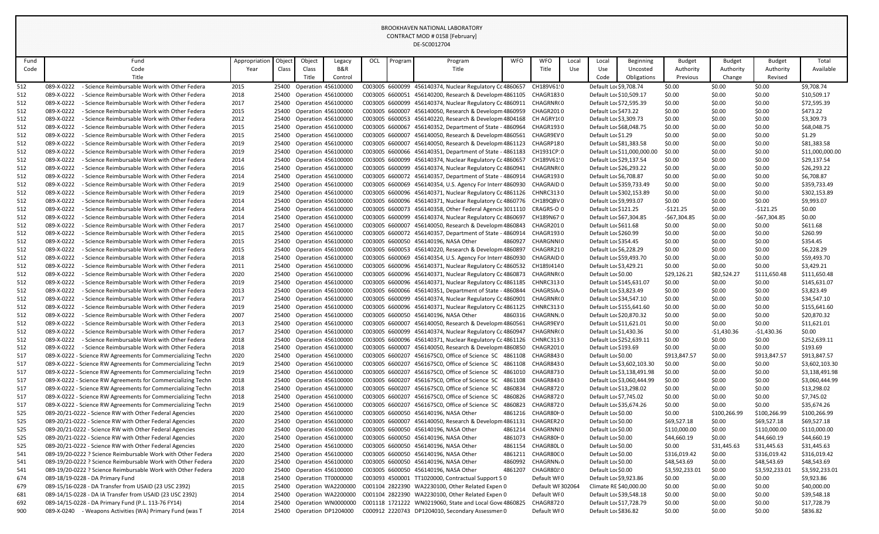|            |                                                                                                                              |               |        |                           |                                                        |                 |         | DE-SC0012704                                                                                                         |                    |                                    |       |                                                    |                             |                               |                  |                               |                               |
|------------|------------------------------------------------------------------------------------------------------------------------------|---------------|--------|---------------------------|--------------------------------------------------------|-----------------|---------|----------------------------------------------------------------------------------------------------------------------|--------------------|------------------------------------|-------|----------------------------------------------------|-----------------------------|-------------------------------|------------------|-------------------------------|-------------------------------|
| Fund       | Fund                                                                                                                         | Appropriation | Object | Object                    | Legacy                                                 | OCL             | Program | Program                                                                                                              | <b>WFO</b>         | <b>WFO</b>                         | Local | Local                                              | <b>Beginning</b>            | <b>Budget</b>                 | <b>Budget</b>    | <b>Budget</b>                 | Total                         |
| Code       | Code                                                                                                                         | Year          | Class  | Class                     | B&R                                                    |                 |         | Title                                                                                                                |                    | Title                              | Use   | Use                                                | Uncosted                    | Authority                     | Authority        | Authority                     | Available                     |
|            | Title                                                                                                                        |               |        | Title                     | Control                                                |                 |         |                                                                                                                      |                    |                                    |       | Code                                               | Obligations                 | <b>Previous</b>               | Change           | Revised                       |                               |
| 512        | - Science Reimbursable Work with Other Federa<br>089-X-0222                                                                  | 2015          |        | 25400 Operation 456100000 |                                                        |                 |         | C003005 6600099 456140374, Nuclear Regulatory Cc 4860657                                                             |                    | CH189V61!0                         |       | Default Loc \$9,708.74                             |                             | \$0.00                        | \$0.00           | \$0.00                        | \$9,708.74                    |
| 512        | 089-X-0222<br>- Science Reimbursable Work with Other Federa                                                                  | 2018          |        | 25400 Operation 456100000 |                                                        |                 |         | C003005 6600051 456140200, Research & Developm 4861105                                                               |                    | CHAGR1830                          |       | Default Lor \$10,509.17                            |                             | \$0.00                        | \$0.00           | \$0.00                        | \$10,509.17                   |
| 512        | 089-X-0222<br>- Science Reimbursable Work with Other Federa                                                                  | 2017          |        | 25400 Operation 456100000 |                                                        |                 |         | C003005 6600099 456140374, Nuclear Regulatory Cc 4860911                                                             |                    | CHAGRNR(0                          |       | Default Loc \$72,595.39                            |                             | \$0.00                        | \$0.00           | \$0.00                        | \$72,595.39                   |
| 512        | 089-X-0222<br>- Science Reimbursable Work with Other Federa                                                                  | 2015          |        |                           | 25400 Operation 456100000                              |                 |         | C003005 6600007 456140050, Research & Developm 4860959                                                               |                    | CHAGR2010                          |       | Default Lor \$473.22                               |                             | \$0.00                        | \$0.00           | \$0.00                        | \$473.22                      |
| 512        | 089-X-0222<br>- Science Reimbursable Work with Other Federa                                                                  | 2012          |        |                           | 25400 Operation 456100000                              |                 |         | C003005 6600053 456140220, Research & Developm 4804168                                                               |                    | CH AGRY1(0                         |       | Default Loc \$3,309.73                             |                             | \$0.00                        | \$0.00           | \$0.00                        | \$3,309.73                    |
| 512        | - Science Reimbursable Work with Other Federa<br>089-X-0222                                                                  | 2015          |        | 25400 Operation 456100000 |                                                        |                 |         | C003005 6600067 456140352, Department of State - 4860964                                                             |                    | CHAGR1930                          |       | Default Loc \$68,048.75                            |                             | \$0.00                        | \$0.00           | \$0.00                        | \$68,048.75                   |
| 512        | 089-X-0222<br>- Science Reimbursable Work with Other Federa                                                                  | 2015          |        |                           | 25400 Operation 456100000                              |                 |         | C003005 6600007 456140050, Research & Developm 4860561                                                               |                    | CHAGR9EV 0                         |       | Default Loc \$1.29                                 |                             | \$0.00                        | \$0.00           | \$0.00                        | \$1.29                        |
| 512        | 089-X-0222<br>- Science Reimbursable Work with Other Federa                                                                  | 2019          |        | 25400 Operation 456100000 |                                                        |                 |         | C003005 6600007 456140050, Research & Developm 4861123                                                               |                    | CHAGRP180                          |       | Default Loc \$81,383.58                            |                             | \$0.00                        | \$0.00           | \$0.00                        | \$81,383.58                   |
| 512        | 089-X-0222<br>- Science Reimbursable Work with Other Federa                                                                  | 2019          |        |                           | 25400 Operation 456100000                              |                 |         | C003005 6600066 456140351, Department of State - 4861183                                                             |                    | CH1931CP:0                         |       |                                                    | Default Loc \$11,000,000.00 | \$0.00                        | \$0.00           | \$0.00                        | \$11,000,000.00               |
| 512        | 089-X-0222<br>- Science Reimbursable Work with Other Federa                                                                  | 2014          |        |                           | 25400 Operation 456100000                              |                 |         | C003005 6600099 456140374, Nuclear Regulatory Cc 4860657                                                             |                    | CH189V61!0                         |       | Default Loc \$29,137.54                            |                             | \$0.00                        | \$0.00           | \$0.00                        | \$29,137.54                   |
| 512        | 089-X-0222<br>- Science Reimbursable Work with Other Federa                                                                  | 2016          |        | 25400 Operation 456100000 |                                                        |                 |         | C003005 6600099 456140374, Nuclear Regulatory Cc 4860941                                                             |                    | CHAGRNR(0                          |       | Default Loc \$26,293.22                            |                             | \$0.00                        | \$0.00           | \$0.00                        | \$26,293.22                   |
| 512        | 089-X-0222<br>- Science Reimbursable Work with Other Federa                                                                  | 2014          |        | 25400 Operation 456100000 |                                                        |                 |         | C003005 6600072 456140357, Department of State - 4860914                                                             |                    | CHAGR1930                          |       | Default Loc \$6,708.87                             |                             | \$0.00                        | \$0.00           | \$0.00                        | \$6,708.87                    |
| 512        | 089-X-0222<br>- Science Reimbursable Work with Other Federa<br>089-X-0222<br>- Science Reimbursable Work with Other Federa   | 2019          |        | 25400 Operation 456100000 |                                                        |                 |         | C003005 6600069 456140354, U.S. Agency For Intern4860930<br>C003005 6600096 456140371, Nuclear Regulatory Cc 4861126 |                    | CHAGRAID 0                         |       | Default Loc \$359,733.49                           |                             | \$0.00                        | \$0.00           | \$0.00<br>\$0.00              | \$359,733.49                  |
| 512<br>512 | 089-X-0222<br>- Science Reimbursable Work with Other Federa                                                                  | 2019<br>2014  |        |                           | 25400 Operation 456100000<br>25400 Operation 456100000 |                 |         | C003005 6600096 456140371, Nuclear Regulatory Cc 4860776                                                             |                    | CHNRC3130<br>CH189QBV0             |       | Default Lor \$302,153.89<br>Default Lor \$9,993.07 |                             | \$0.00<br>\$0.00              | \$0.00<br>\$0.00 | \$0.00                        | \$302,153.89<br>\$9,993.07    |
| 512        | 089-X-0222<br>- Science Reimbursable Work with Other Federa                                                                  | 2014          |        | 25400 Operation 456100000 |                                                        |                 |         | C003005 6600073 456140358, Other Federal Agencic 3011110                                                             |                    | CRAGRS-O 0                         |       | Default Lor \$121.25                               |                             | -\$121.25                     | \$0.00           | $-5121.25$                    | \$0.00                        |
| 512        | 089-X-0222<br>- Science Reimbursable Work with Other Federa                                                                  | 2014          |        | 25400 Operation 456100000 |                                                        |                 |         | C003005 6600099 456140374, Nuclear Regulatory Cc 4860697                                                             |                    | CH189N67 0                         |       | Default Loc \$67,304.85                            |                             | -\$67,304.85                  | \$0.00           | $-$67,304.85$                 | \$0.00                        |
| 512        | 089-X-0222<br>- Science Reimbursable Work with Other Federa                                                                  | 2017          |        | 25400 Operation 456100000 |                                                        |                 |         | C003005 6600007 456140050, Research & Developm 4860843                                                               |                    | CHAGR2010                          |       | Default Lor \$611.68                               |                             | \$0.00                        | \$0.00           | \$0.00                        | \$611.68                      |
| 512        | 089-X-0222<br>- Science Reimbursable Work with Other Federa                                                                  | 2015          |        |                           | 25400 Operation 456100000                              |                 |         | C003005 6600072 456140357, Department of State - 4860914                                                             |                    | CHAGR1930                          |       | Default Lor \$260.99                               |                             | \$0.00                        | \$0.00           | \$0.00                        | \$260.99                      |
| 512        | 089-X-0222<br>- Science Reimbursable Work with Other Federa                                                                  | 2015          |        |                           | 25400 Operation 456100000                              |                 |         | C003005 6600050 456140196, NASA Other                                                                                | 4860927            | CHARGNNI0                          |       | Default Loc \$354.45                               |                             | \$0.00                        | \$0.00           | \$0.00                        | \$354.45                      |
| 512        | - Science Reimbursable Work with Other Federa<br>089-X-0222                                                                  | 2015          |        |                           | 25400 Operation 456100000                              |                 |         | C003005 6600053 456140220, Research & Developm 4860897                                                               |                    | CHAGRR210                          |       | Default Loc \$6,228.29                             |                             | \$0.00                        | \$0.00           | \$0.00                        | \$6,228.29                    |
| 512        | 089-X-0222<br>- Science Reimbursable Work with Other Federa                                                                  | 2018          |        | 25400 Operation 456100000 |                                                        |                 |         | C003005 6600069 456140354, U.S. Agency For Interr 4860930                                                            |                    | CHAGRAID 0                         |       | Default Lor \$59,493.70                            |                             | \$0.00                        | \$0.00           | \$0.00                        | \$59,493.70                   |
| 512        | 089-X-0222<br>- Science Reimbursable Work with Other Federa                                                                  | 2011          |        | 25400 Operation 456100000 |                                                        |                 |         | C003005 6600096 456140371, Nuclear Regulatory Cc 4860532                                                             |                    | CH189J4140                         |       | Default Loc \$3,429.21                             |                             | \$0.00                        | \$0.00           | \$0.00                        | \$3,429.21                    |
| 512        | - Science Reimbursable Work with Other Federa<br>089-X-0222                                                                  | 2020          |        |                           | 25400 Operation 456100000                              |                 |         | C003005 6600096 456140371, Nuclear Regulatory Cc 4860873                                                             |                    | CHAGRNR(0                          |       | Default Lor \$0.00                                 |                             | \$29,126.21                   | \$82,524.27      | \$111,650.48                  | \$111,650.48                  |
| 512        | 089-X-0222<br>- Science Reimbursable Work with Other Federa                                                                  | 2019          |        |                           | 25400 Operation 456100000                              |                 |         | C003005 6600096 456140371, Nuclear Regulatory Cc 4861185                                                             |                    | CHNRC313 0                         |       | Default Loc \$145,631.07                           |                             | \$0.00                        | \$0.00           | \$0.00                        | \$145,631.07                  |
| 512        | 089-X-0222<br>- Science Reimbursable Work with Other Federa                                                                  | 2013          |        |                           | 25400 Operation 456100000                              |                 |         | C003005 6600066 456140351, Department of State - 4860844 CHAGRSIA, 0                                                 |                    |                                    |       | Default Lo: \$3,823.49                             |                             | \$0.00                        | \$0.00           | \$0.00                        | \$3,823.49                    |
| 512        | 089-X-0222<br>- Science Reimbursable Work with Other Federa                                                                  | 2017          |        |                           | 25400 Operation 456100000                              |                 |         | C003005 6600099 456140374, Nuclear Regulatory Cc 4860901                                                             |                    | CHAGRNR(0                          |       | Default Loc \$34,547.10                            |                             | \$0.00                        | \$0.00           | \$0.00                        | \$34,547.10                   |
| 512        | 089-X-0222<br>- Science Reimbursable Work with Other Federa                                                                  | 2019          |        |                           | 25400 Operation 456100000                              |                 |         | C003005 6600096 456140371, Nuclear Regulatory Cc 4861125 CHNRC3130                                                   |                    |                                    |       | Default Lor \$155,641.60                           |                             | \$0.00                        | \$0.00           | \$0.00                        | \$155,641.60                  |
| 512        | 089-X-0222<br>- Science Reimbursable Work with Other Federa                                                                  | 2007          |        |                           | 25400 Operation 456100000                              |                 |         | C003005 6600050 456140196, NASA Other                                                                                | 4860316            | CHAGRNN.0                          |       | Default Lor \$20,870.32                            |                             | \$0.00                        | \$0.00           | \$0.00                        | \$20,870.32                   |
| 512        | 089-X-0222<br>- Science Reimbursable Work with Other Federa                                                                  | 2013          |        |                           | 25400 Operation 456100000                              |                 |         | C003005 6600007 456140050, Research & Developm 4860561                                                               |                    | CHAGR9EV 0                         |       | Default Loc \$11,621.01                            |                             | \$0.00                        | \$0.00           | \$0.00                        | \$11,621.01                   |
| 512        | 089-X-0222<br>- Science Reimbursable Work with Other Federa                                                                  | 2017          | 25400  |                           | <b>Operation 456100000</b>                             |                 |         | C003005 6600099 456140374, Nuclear Regulatory Cc 4860947                                                             |                    | CHAGRNR(0                          |       | Default Lor \$1,430.36                             |                             | \$0.00                        | $-51,430.36$     | -\$1,430.36                   | \$0.00                        |
| 512        | 089-X-0222<br>- Science Reimbursable Work with Other Federa                                                                  | 2018          |        |                           | 25400 Operation 456100000                              |                 |         | C003005 6600096 456140371, Nuclear Regulatory Cc 4861126                                                             |                    | CHNRC3130                          |       | Default Lor \$252,639.11                           |                             | \$0.00                        | \$0.00           | \$0.00                        | \$252,639.11                  |
| 512        | 089-X-0222<br>- Science Reimbursable Work with Other Federa                                                                  | 2018          |        |                           | 25400 Operation 456100000                              | C003005 6600007 |         | 456140050, Research & Developm 4860850                                                                               |                    | CHAGR2010                          |       | Default Loc \$193.69                               |                             | \$0.00                        | \$0.00           | \$0.00                        | \$193.69                      |
| 517        | 089-X-0222 - Science RW Agreements for Commercializing Techn                                                                 | 2020          |        |                           | 25400 Operation 456100000                              | C003005 6600207 |         | 456167SC0, Office of Science SC 4861108                                                                              |                    | CHAGR8430                          |       | Default Lor \$0.00                                 |                             | \$913,847.57                  | \$0.00           | \$913,847.57                  | \$913,847.57                  |
| 517        | 089-X-0222 - Science RW Agreements for Commercializing Techn                                                                 | 2019          |        |                           | 25400 Operation 456100000                              |                 |         | C003005 6600207 456167SC0, Office of Science SC 4861108                                                              |                    | CHAGR8430                          |       |                                                    | Default Loc \$3,602,103.30  | \$0.00                        | \$0.00           | \$0.00                        | \$3,602,103.30                |
| 517        | 089-X-0222 - Science RW Agreements for Commercializing Techn                                                                 | 2019          | 25400  |                           | <b>Operation 456100000</b>                             | C003005 6600207 |         | 456167SC0, Office of Science SC 4861010                                                                              |                    | CHAGR8730                          |       |                                                    | Default Loc \$3,138,491.98  | \$0.00                        | \$0.00           | \$0.00                        | \$3,138,491.98                |
| 517        | 089-X-0222 - Science RW Agreements for Commercializing Techn                                                                 | 2018          |        | 25400 Operation 456100000 |                                                        | C003005 6600207 |         | 456167SC0, Office of Science SC 4861108                                                                              |                    | CHAGR8430                          |       |                                                    | Default Loc \$3,060,444.99  | \$0.00                        | \$0.00           | \$0.00                        | \$3,060,444.99                |
| 517        | 089-X-0222 - Science RW Agreements for Commercializing Techn                                                                 | 2018          | 25400  |                           | <b>Operation 456100000</b>                             | C003005 6600207 |         | 456167SC0, Office of Science SC 4860834                                                                              |                    | CHAGR8720                          |       | Default Loc \$13,298.02                            |                             | \$0.00                        | \$0.00           | \$0.00                        | \$13,298.02                   |
| 517        | 089-X-0222 - Science RW Agreements for Commercializing Techn                                                                 | 2018          |        |                           | 25400 Operation 456100000                              | C003005 6600207 |         | 456167SC0, Office of Science SC 4860826                                                                              |                    | CHAGR8720                          |       | Default Loc \$7,745.02                             |                             | \$0.00                        | \$0.00           | \$0.00                        | \$7,745.02                    |
| 517        | 089-X-0222 - Science RW Agreements for Commercializing Techn                                                                 | 2019          |        |                           | 25400 Operation 456100000                              |                 |         | C003005 6600207 456167SC0, Office of Science SC                                                                      | 4860823            | CHAGR8720                          |       | Default Loc \$35,674.26                            |                             | \$0.00                        | \$0.00           | \$0.00                        | \$35,674.26                   |
| 525        | 089-20/21-0222 - Science RW with Other Federal Agencies                                                                      | 2020          | 25400  |                           | Operation 456100000                                    |                 |         | C003005 6600050 456140196, NASA Other                                                                                | 4861216            | CHAGR80H0                          |       | Default Lor \$0.00                                 |                             | \$0.00                        | \$100,266.99     | \$100,266.99                  | \$100,266.99                  |
| 525        | 089-20/21-0222 - Science RW with Other Federal Agencies                                                                      | 2020          |        |                           | 25400 Operation 456100000                              |                 |         | C003005 6600007 456140050, Research & Developm 4861131                                                               |                    | CHAGRER20                          |       | Default Lor \$0.00                                 |                             | \$69,527.18                   | \$0.00           | \$69,527.18                   | \$69,527.18                   |
| 525        | 089-20/21-0222 - Science RW with Other Federal Agencies                                                                      | 2020          |        |                           | 25400 Operation 456100000                              |                 |         | C003005 6600050 456140196, NASA Other                                                                                | 4861214            | CHAGRNNI0                          |       | Default Lor \$0.00                                 |                             | \$110,000.00                  | \$0.00           | \$110,000.00                  | \$110,000.00                  |
| 525        | 089-20/21-0222 - Science RW with Other Federal Agencies                                                                      | 2020          |        |                           | 25400 Operation 456100000                              |                 |         | C003005 6600050 456140196, NASA Other                                                                                | 4861073            | CHAGR80F0                          |       | Default Lor \$0.00                                 |                             | \$44,660.19                   | \$0.00           | \$44,660.19                   | \$44,660.19                   |
| 525        | 089-20/21-0222 - Science RW with Other Federal Agencies                                                                      | 2020          |        |                           | 25400 Operation 456100000                              |                 |         | C003005 6600050 456140196, NASA Other                                                                                | 4861154            | CHAGR80L0                          |       | Default Lor \$0.00                                 |                             | \$0.00                        | \$31,445.63      | \$31,445.63                   | \$31,445.63                   |
| 541        | 089-19/20-0222 ? Science Reimbursable Work with Other Federa                                                                 | 2020          | 25400  |                           | Operation 456100000                                    |                 |         | C003005 6600050 456140196, NASA Other<br>C003005 6600050 456140196, NASA Other                                       | 4861211            | CHAGR80C0                          |       | Default Lor \$0.00                                 |                             | \$316,019.42                  | \$0.00           | \$316,019.42                  | \$316,019.42                  |
| 541<br>541 | 089-19/20-0222 ? Science Reimbursable Work with Other Federa<br>089-19/20-0222 ? Science Reimbursable Work with Other Federa | 2020<br>2020  | 25400  |                           | Operation 456100000<br>25400 Operation 456100000       |                 |         | C003005 6600050 456140196, NASA Other                                                                                | 4860992<br>4861207 | CHAGRNN <sub>0</sub><br>CHAGR80J!0 |       | Default Lor \$0.00<br>Default Lor \$0.00           |                             | \$48,543.69<br>\$3,592,233.01 | \$0.00<br>\$0.00 | \$48,543.69<br>\$3,592,233.01 | \$48,543.69<br>\$3,592,233.01 |
| 674        | 089-18/19-0228 - DA Primary Fund                                                                                             | 2018          |        |                           | 25400 Operation TT0000000                              |                 |         | C003093 4500001 TT1020000, Contractual Support S 0                                                                   |                    | Default WIO                        |       | Default Lor \$9,923.86                             |                             | \$0.00                        | \$0.00           | \$0.00                        | \$9,923.86                    |
| 679        | 089-15/16-0228 - DA Transfer from USAID (23 USC 2392)                                                                        | 2015          |        |                           | 25400 Operation WA2200000                              |                 |         | C001104 2822390 WA2230100, Other Related Expen 0                                                                     |                    | Default WI 302064                  |       | Climate RE \$40,000.00                             |                             | \$0.00                        | \$0.00           | \$0.00                        | \$40,000.00                   |
| 681        | 089-14/15-0228 - DA IA Transfer from USAID (23 USC 2392)                                                                     | 2014          | 25400  |                           | Operation WA2200000                                    |                 |         | C001104 2822390 WA2230100, Other Related Expen 0                                                                     |                    | Default WIO                        |       | Default Loc \$39,548.18                            |                             | \$0.00                        | \$0.00           | \$0.00                        | \$39,548.18                   |
| 692        | 089-14/15-0228 - DA Primary Fund (P.L. 113-76 FY14)                                                                          | 2014          | 25400  |                           | Operation WN0000000                                    |                 |         | C001118 1721222 WN0219060, State and Local Gove 4860825                                                              |                    | CHAGR8720                          |       | Default Loc \$17,728.79                            |                             | \$0.00                        | \$0.00           | \$0.00                        | \$17,728.79                   |
| 900        | 089-X-0240 - Weapons Activities (WA) Primary Fund (was T                                                                     | 2014          |        |                           | 25400 Operation DP1204000                              |                 |         | C000912 2220743 DP1204010, Secondary Assessmen 0                                                                     |                    | Default WF0                        |       | Default Lor \$836.82                               |                             | \$0.00                        | \$0.00           | \$0.00                        | \$836.82                      |
|            |                                                                                                                              |               |        |                           |                                                        |                 |         |                                                                                                                      |                    |                                    |       |                                                    |                             |                               |                  |                               |                               |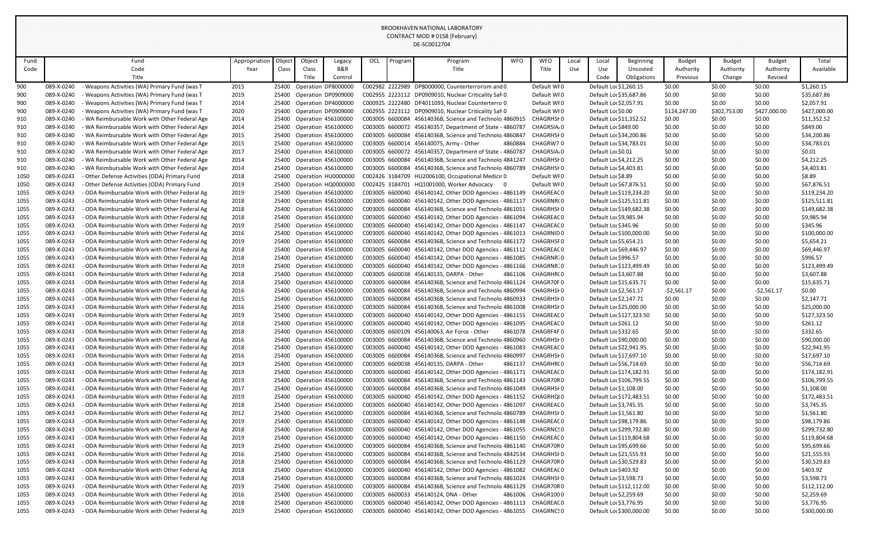|              |                          |                                                                                                |               |                |        |                                                   |     |         | DE-SC0012704                                                                                                       |         |                         |       |                          |                          |                  |                  |                  |                              |
|--------------|--------------------------|------------------------------------------------------------------------------------------------|---------------|----------------|--------|---------------------------------------------------|-----|---------|--------------------------------------------------------------------------------------------------------------------|---------|-------------------------|-------|--------------------------|--------------------------|------------------|------------------|------------------|------------------------------|
| Fund         |                          | Fund                                                                                           | Appropriation | Object         | Object | Legacy                                            | OCL | Program | Program                                                                                                            | WFO     | <b>WFO</b>              | Local | Local                    | <b>Beginning</b>         | <b>Budget</b>    | <b>Budget</b>    | <b>Budget</b>    | Total                        |
| Code         |                          | Code                                                                                           | Year          | Class          | Class  | B&R                                               |     |         | Title                                                                                                              |         | Title                   | Use   | Use                      | Uncosted                 | Authority        | Authority        | Authority        | Available                    |
|              |                          | Title                                                                                          |               |                | Title  | Control                                           |     |         |                                                                                                                    |         |                         |       | Code                     | Obligations              | Previous         | Change           | Revised          |                              |
| 900          | 089-X-0240               | Weapons Activities (WA) Primary Fund (was T                                                    | 2015          | 25400          |        | Operation DP8000000                               |     |         | C002982 2222989 DP8000000, Counterterrorism and 0                                                                  |         | Default WI0             |       | Default Lo: \$1,260.15   |                          | \$0.00           | \$0.00           | \$0.00           | \$1,260.15                   |
| 900          | 089-X-0240               | Weapons Activities (WA) Primary Fund (was T                                                    | 2019          | 25400          |        | Operation DP0909000                               |     |         | C002955 2223112 DP0909010, Nuclear Criticality Saf(0                                                               |         | Default WI0             |       | Default Loc \$35,687.86  |                          | \$0.00           | \$0.00           | \$0.00           | \$35,687.86                  |
| 900          | 089-X-0240               | Weapons Activities (WA) Primary Fund (was T                                                    | 2014          | 25400          |        | Operation DP4000000                               |     |         | C000925 2222480 DP4011093, Nuclear Counterterro 0                                                                  |         | Default WI0             |       | Default Lor \$2,057.91   |                          | \$0.00           | \$0.00           | \$0.00           | \$2,057.91                   |
| 900          | 089-X-0240               | Weapons Activities (WA) Primary Fund (was T                                                    | 2020          | 25400          |        | Operation DP0909000                               |     |         | C002955 2223112 DP0909010, Nuclear Criticality Saf(0                                                               |         | Default WI0             |       | Default Lor \$0.00       |                          | \$124,247.00     | \$302,753.00     | \$427,000.00     | \$427,000.00                 |
| 910          | 089-X-0240               | WA Reimbursable Work with Other Federal Age                                                    | 2014          | 25400          |        | Operation 456100000                               |     |         | C003005 6600084 45614036B, Science and Technolo 4860915                                                            |         | CHAGRHSI0               |       | Default Loc \$11,352.52  |                          | \$0.00           | \$0.00           | \$0.00           | \$11,352.52                  |
| 910          | 089-X-0240               | WA Reimbursable Work with Other Federal Age                                                    | 2014          | 25400          |        | <b>Operation 456100000</b>                        |     |         | C003005 6600072 456140357, Department of State - 4860787                                                           |         | CHAGRSIA <sub>0</sub>   |       | Default Lor \$849.00     |                          | \$0.00           | \$0.00           | \$0.00           | \$849.00                     |
| 910          | 089-X-0240               | - WA Reimbursable Work with Other Federal Age                                                  | 2015          | 25400          |        | Operation 456100000                               |     |         | C003005 6600084 45614036B, Science and Technolo 4860847                                                            |         | CHAGRHSI0               |       | Default Lor \$34,200.86  |                          | \$0.00           | \$0.00           | \$0.00           | \$34,200.86                  |
| 910          | 089-X-0240               | - WA Reimbursable Work with Other Federal Age                                                  | 2015          | 25400          |        | <b>Operation 456100000</b>                        |     |         | C003005 6600014 456140075, Army - Other                                                                            | 4860884 | CHAGRW7 0               |       | Default Loc \$34,783.01  |                          | \$0.00           | \$0.00           | \$0.00           | \$34,783.01                  |
| 910          | 089-X-0240               | WA Reimbursable Work with Other Federal Age                                                    | 2017          | 25400          |        | <b>Operation 456100000</b>                        |     |         | C003005 6600072 456140357, Department of State - 4860787                                                           |         | CHAGRSIA <sub>0</sub>   |       | Default Lor \$0.01       |                          | \$0.00           | \$0.00           | \$0.00           | \$0.01                       |
| 910          | 089-X-0240               | - WA Reimbursable Work with Other Federal Age                                                  | 2014          | 25400          |        | <b>Operation 456100000</b>                        |     |         | C003005 6600084 45614036B, Science and Technolo 4841247                                                            |         | <b>CHAGRHSHO</b>        |       | Default Lo: \$4,212.25   |                          | \$0.00           | \$0.00           | \$0.00           | \$4,212.25                   |
| 910          | 089-X-0240               | WA Reimbursable Work with Other Federal Age                                                    | 2014          |                |        | 25400 Operation 456100000                         |     |         | C003005 6600084 45614036B, Science and Technolo 4860789                                                            |         | <b>CHAGRHSHO</b>        |       | Default Lo: \$4,403.81   |                          | \$0.00           | \$0.00           | \$0.00           | \$4,403.81                   |
| 1050         | 089-X-0243               | - Other Defense Activities (ODA) Primary Fund                                                  | 2018          | 25400          |        | Operation HU0000000                               |     |         | C002426 3184709 HU2006100, Occupational Medicir 0                                                                  |         | Default WI0             |       | Default Loc \$8.89       |                          | \$0.00           | \$0.00           | \$0.00           | \$8.89                       |
| 1050         | 089-X-0243               | - Other Defense Activities (ODA) Primary Fund                                                  | 2019          | 25400          |        | Operation HQ0000000                               |     |         | C002425 3184701 HQ1001000, Worker Advocacy                                                                         | - 0     | Default WI0             |       | Default Loc \$67,876.51  |                          | \$0.00           | \$0.00           | \$0.00           | \$67,876.51                  |
| 1055         | 089-X-0243<br>089-X-0243 | - ODA Reimbursable Work with Other Federal Ag<br>- ODA Reimbursable Work with Other Federal Ag | 2019          | 25400          |        | <b>Operation 456100000</b>                        |     |         | C003005 6600040 456140142, Other DOD Agencies - 4861149<br>C003005 6600040 456140142, Other DOD Agencies - 4861117 |         | CHAGREAC 0              |       |                          | Default Lor \$119,234.20 | \$0.00           | \$0.00           | \$0.00           | \$119,234.20                 |
| 1055<br>1055 | 089-X-0243               | - ODA Reimbursable Work with Other Federal Ag                                                  | 2018<br>2018  | 25400<br>25400 |        | Operation 456100000<br><b>Operation 456100000</b> |     |         | C003005 6600084 45614036B, Science and Technolo 4861051                                                            |         | CHAGRNR(0<br>CHAGRHSI0  |       | Default Loc \$125,511.81 | Default Lor \$149,682.38 | \$0.00<br>\$0.00 | \$0.00<br>\$0.00 | \$0.00<br>\$0.00 | \$125,511.81<br>\$149,682.38 |
| 1055         | 089-X-0243               | - ODA Reimbursable Work with Other Federal Ag                                                  | 2018          | 25400          |        | <b>Operation 456100000</b>                        |     |         | C003005 6600040 456140142, Other DOD Agencies - 4861094                                                            |         | CHAGREAC 0              |       | Default Lor \$9,985.94   |                          | \$0.00           | \$0.00           | \$0.00           | \$9,985.94                   |
| 1055         | 089-X-0243               | - ODA Reimbursable Work with Other Federal Ag                                                  | 2019          | 25400          |        | <b>Operation 456100000</b>                        |     |         | C003005 6600040 456140142, Other DOD Agencies - 4861147                                                            |         | <b>CHAGREACO</b>        |       | Default Lor \$345.96     |                          | \$0.00           | \$0.00           | \$0.00           | \$345.96                     |
| 1055         | 089-X-0243               | - ODA Reimbursable Work with Other Federal Ag                                                  | 2016          | 25400          |        | <b>Operation 456100000</b>                        |     |         | C003005 6600040 456140142, Other DOD Agencies - 4861013                                                            |         | CHAGRNID 0              |       |                          | Default Lor \$100,000.00 | \$0.00           | \$0.00           | \$0.00           | \$100,000.00                 |
| 1055         | 089-X-0243               | - ODA Reimbursable Work with Other Federal Ag                                                  | 2019          | 25400          |        | Operation 456100000                               |     |         | C003005 6600084 45614036B, Science and Technolo 4861172                                                            |         | CHAGRHSF 0              |       | Default Lor \$5,654.21   |                          | \$0.00           | \$0.00           | \$0.00           | \$5,654.21                   |
| 1055         | 089-X-0243               | - ODA Reimbursable Work with Other Federal Ag                                                  | 2018          | 25400          |        | <b>Operation 456100000</b>                        |     |         | C003005 6600040 456140142, Other DOD Agencies - 4861112                                                            |         | CHAGREAC 0              |       | Default Lor \$69,446.97  |                          | \$0.00           | \$0.00           | \$0.00           | \$69,446.97                  |
| 1055         | 089-X-0243               | - ODA Reimbursable Work with Other Federal Ag                                                  | 2018          | 25400          |        | Operation 456100000                               |     |         | C003005 6600040 456140142, Other DOD Agencies - 4861085                                                            |         | CHAGRNR70               |       | Default Lor \$996.57     |                          | \$0.00           | \$0.00           | \$0.00           | \$996.57                     |
| 1055         | 089-X-0243               | - ODA Reimbursable Work with Other Federal Ag                                                  | 2019          | 25400          |        | <b>Operation 456100000</b>                        |     |         | C003005 6600040 456140142, Other DOD Agencies - 4861166                                                            |         | CHAGRNR70               |       |                          | Default Lor \$123,499.49 | \$0.00           | \$0.00           | \$0.00           | \$123,499.49                 |
| 1055         | 089-X-0243               | - ODA Reimbursable Work with Other Federal Ag                                                  | 2018          |                |        | 25400 Operation 456100000                         |     |         | C003005 6600038 456140135, DARPA - Other                                                                           | 4861106 | CHAGRHR(0               |       | Default Lor \$3,607.88   |                          | \$0.00           | \$0.00           | \$0.00           | \$3,607.88                   |
| 1055         | 089-X-0243               | - ODA Reimbursable Work with Other Federal Ag                                                  | 2018          | 25400          |        | <b>Operation 456100000</b>                        |     |         | C003005 6600084 45614036B, Science and Technolo 4861124                                                            |         | CHAGR70F0               |       | Default Loc \$15,635.71  |                          | \$0.00           | \$0.00           | \$0.00           | \$15,635.71                  |
| 1055         | 089-X-0243               | - ODA Reimbursable Work with Other Federal Ag                                                  | 2016          |                |        | 25400 Operation 456100000                         |     |         | C003005 6600084 45614036B, Science and Technolo 4860994                                                            |         | CHAGRHSI 0              |       | Default Lor \$2,561.17   |                          | $-52,561.17$     | \$0.00           | $-52,561.17$     | \$0.00                       |
| 1055         | 089-X-0243               | ODA Reimbursable Work with Other Federal Ag                                                    | 2015          | 25400          |        | Operation 456100000                               |     |         | C003005 6600084 45614036B, Science and Technolo 4860933                                                            |         | CHAGRHSI 0              |       | Default Loc \$2,147.71   |                          | \$0.00           | \$0.00           | \$0.00           | \$2,147.71                   |
| 1055         | 089-X-0243               | - ODA Reimbursable Work with Other Federal Ag                                                  | 2016          |                |        | 25400 Operation 456100000                         |     |         | C003005 6600084 45614036B, Science and Technolo 4861008                                                            |         | CHAGRHSI 0              |       | Default Lor \$25,000.00  |                          | \$0.00           | \$0.00           | \$0.00           | \$25,000.00                  |
| 1055         | 089-X-0243               | - ODA Reimbursable Work with Other Federal Ag                                                  | 2019          |                |        | 25400 Operation 456100000                         |     |         | C003005 6600040 456140142, Other DOD Agencies - 4861155                                                            |         | CHAGREAC 0              |       |                          | Default Lor \$127,323.50 | \$0.00           | \$0.00           | \$0.00           | \$127,323.50                 |
| 1055         | 089-X-0243               | ODA Reimbursable Work with Other Federal Ag                                                    | 2018          | 25400          |        | <b>Operation 456100000</b>                        |     |         | C003005 6600040 456140142, Other DOD Agencies - 4861095                                                            |         | CHAGREAC 0              |       | Default Lor \$261.12     |                          | \$0.00           | \$0.00           | \$0.00           | \$261.12                     |
| 1055         | 089-X-0243               | - ODA Reimbursable Work with Other Federal Ag                                                  | 2018          |                |        | 25400 Operation 456100000                         |     |         | C003005 6600109 456140063, Air Force - Other                                                                       |         | 4861078 CHAGRF4F0       |       | Default Lor \$332.65     |                          | \$0.00           | \$0.00           | \$0.00           | \$332.65                     |
| 1055         | 089-X-0243               | - ODA Reimbursable Work with Other Federal Ag                                                  | 2016          | 25400          |        | Operation 456100000                               |     |         | C003005 6600084 45614036B, Science and Technolo 4860960                                                            |         | CHAGRHSI 0              |       | Default Lor \$90,000.00  |                          | \$0.00           | \$0.00           | \$0.00           | \$90,000.00                  |
| 1055         | 089-X-0243               | - ODA Reimbursable Work with Other Federal Ag                                                  | 2018          | 25400          |        | Operation 456100000                               |     |         | C003005 6600040 456140142, Other DOD Agencies - 4861083                                                            |         | CHAGREAC 0              |       | Default Lor \$22,941.95  |                          | \$0.00           | \$0.00           | \$0.00           | \$22,941.95                  |
| 1055         | 089-X-0243               | - ODA Reimbursable Work with Other Federal Ag                                                  | 2016          |                |        | 25400 Operation 456100000                         |     |         | C003005 6600084 45614036B, Science and Technolo 4860997                                                            |         | CHAGRHSI 0              |       | Default Loc \$17,697.10  |                          | \$0.00           | \$0.00           | \$0.00           | \$17,697.10                  |
| 1055         | 089-X-0243               | - ODA Reimbursable Work with Other Federal Ag                                                  | 2019          | 25400          |        | Operation 456100000                               |     |         | C003005 6600038 456140135, DARPA - Other                                                                           | 4861137 | CHAGRHR(0               |       | Default Lo: \$56,714.69  |                          | \$0.00           | \$0.00           | \$0.00           | \$56,714.69                  |
| 1055         | 089-X-0243               | - ODA Reimbursable Work with Other Federal Ag                                                  | 2019          | 25400          |        | Operation 456100000                               |     |         | C003005 6600040 456140142, Other DOD Agencies - 4861171                                                            |         | CHAGREAC 0              |       |                          | Default Loc \$174,182.91 | \$0.00           | \$0.00           | \$0.00           | \$174,182.91                 |
| 1055         | 089-X-0243<br>089-X-0243 | - ODA Reimbursable Work with Other Federal Ag<br>- ODA Reimbursable Work with Other Federal Ag | 2019<br>2017  | 25400          |        | Operation 456100000<br>25400 Operation 456100000  |     |         | C003005 6600084 45614036B, Science and Technolo 4861143<br>C003005 6600084 45614036B, Science and Technolo 4861049 |         | CHAGR70R0               |       |                          | Default Lor \$106,799.55 | \$0.00           | \$0.00           | \$0.00           | \$106,799.55                 |
| 1055<br>1055 | 089-X-0243               | - ODA Reimbursable Work with Other Federal Ag                                                  | 2019          |                |        | 25400 Operation 456100000                         |     |         | C003005 6600040 456140142, Other DOD Agencies - 4861152                                                            |         | CHAGRHSI 0<br>CHAGRHQ(0 |       | Default Lor \$1,108.00   | Default Loc \$172,483.51 | \$0.00<br>\$0.00 | \$0.00<br>\$0.00 | \$0.00<br>\$0.00 | \$1,108.00<br>\$172,483.51   |
| 1055         | 089-X-0243               | - ODA Reimbursable Work with Other Federal Ag                                                  | 2018          | 25400          |        | Operation 456100000                               |     |         | C003005 6600040 456140142, Other DOD Agencies - 4861097                                                            |         | CHAGREAC 0              |       | Default Loc \$3,745.35   |                          | \$0.00           | \$0.00           | \$0.00           | \$3,745.35                   |
| 1055         | 089-X-0243               | - ODA Reimbursable Work with Other Federal Ag                                                  | 2012          | 25400          |        | Operation 456100000                               |     |         | C003005 6600084 45614036B, Science and Technolo 4860789                                                            |         | CHAGRHSI 0              |       | Default Lor \$1,561.80   |                          | \$0.00           | \$0.00           | \$0.00           | \$1,561.80                   |
| 1055         | 089-X-0243               | - ODA Reimbursable Work with Other Federal Ag                                                  | 2019          | 25400          |        | Operation 456100000                               |     |         | C003005 6600040 456140142, Other DOD Agencies - 4861148                                                            |         | CHAGREAC 0              |       | Default Lor \$98,179.86  |                          | \$0.00           | \$0.00           | \$0.00           | \$98,179.86                  |
| 1055         | 089-X-0243               | - ODA Reimbursable Work with Other Federal Ag                                                  | 2018          |                |        | 25400 Operation 456100000                         |     |         | C003005 6600040 456140142, Other DOD Agencies - 4861055                                                            |         | CHAGRNCS 0              |       |                          | Default Lor \$299,732.80 | \$0.00           | \$0.00           | \$0.00           | \$299,732.80                 |
| 1055         | 089-X-0243               | - ODA Reimbursable Work with Other Federal Ag                                                  | 2019          |                |        | 25400 Operation 456100000                         |     |         | C003005 6600040 456140142, Other DOD Agencies - 4861150                                                            |         | CHAGREAC 0              |       |                          | Default Lor \$119,804.68 | \$0.00           | \$0.00           | \$0.00           | \$119,804.68                 |
| 1055         | 089-X-0243               | - ODA Reimbursable Work with Other Federal Ag                                                  | 2019          | 25400          |        | Operation 456100000                               |     |         | C003005 6600084 45614036B, Science and Technolo 4861140                                                            |         | CHAGR70R0               |       | Default Lor \$95,699.66  |                          | \$0.00           | \$0.00           | \$0.00           | \$95,699.66                  |
| 1055         | 089-X-0243               | - ODA Reimbursable Work with Other Federal Ag                                                  | 2016          |                |        | 25400 Operation 456100000                         |     |         | C003005 6600084 45614036B, Science and Technolo 4842534                                                            |         | CHAGRHSI 0              |       | Default Loc \$21,555.93  |                          | \$0.00           | \$0.00           | \$0.00           | \$21,555.93                  |
| 1055         | 089-X-0243               | - ODA Reimbursable Work with Other Federal Ag                                                  | 2018          | 25400          |        | Operation 456100000                               |     |         | C003005 6600084 45614036B, Science and Technolo 4861129                                                            |         | CHAGR70R0               |       | Default Loc \$30,529.83  |                          | \$0.00           | \$0.00           | \$0.00           | \$30,529.83                  |
| 1055         | 089-X-0243               | - ODA Reimbursable Work with Other Federal Ag                                                  | 2018          |                |        | 25400 Operation 456100000                         |     |         | C003005 6600040 456140142, Other DOD Agencies - 4861082                                                            |         | CHAGREAC 0              |       | Default Loc \$403.92     |                          | \$0.00           | \$0.00           | \$0.00           | \$403.92                     |
| 1055         | 089-X-0243               | - ODA Reimbursable Work with Other Federal Ag                                                  | 2018          |                |        | 25400 Operation 456100000                         |     |         | C003005 6600084 45614036B, Science and Technolo 4861024                                                            |         | CHAGRHSI 0              |       | Default Loc \$3,598.73   |                          | \$0.00           | \$0.00           | \$0.00           | \$3,598.73                   |
| 1055         | 089-X-0243               | ODA Reimbursable Work with Other Federal Ag                                                    | 2019          | 25400          |        | Operation 456100000                               |     |         | C003005 6600084 45614036B, Science and Technolo 4861129                                                            |         | CHAGR70R0               |       |                          | Default Lor \$112,112.00 | \$0.00           | \$0.00           | \$0.00           | \$112,112.00                 |
| 1055         | 089-X-0243               | - ODA Reimbursable Work with Other Federal Ag                                                  | 2016          |                |        | 25400 Operation 456100000                         |     |         | C003005 6600033 456140124, DNA - Other                                                                             | 4861006 | CHAGR1000               |       | Default Loc \$2,259.69   |                          | \$0.00           | \$0.00           | \$0.00           | \$2,259.69                   |
| 1055         | 089-X-0243               | - ODA Reimbursable Work with Other Federal Ag                                                  | 2018          | 25400          |        | Operation 456100000                               |     |         | C003005 6600040 456140142, Other DOD Agencies - 4861113                                                            |         | <b>CHAGREACO</b>        |       | Default Loc \$3,776.95   |                          | \$0.00           | \$0.00           | \$0.00           | \$3,776.95                   |
| 1055         | 089-X-0243               | - ODA Reimbursable Work with Other Federal Ag                                                  | 2019          |                |        | 25400 Operation 456100000                         |     |         | C003005 6600040 456140142, Other DOD Agencies - 4861055                                                            |         | CHAGRNCS 0              |       |                          | Default Lor \$300,000.00 | \$0.00           | \$0.00           | \$0.00           | \$300,000.00                 |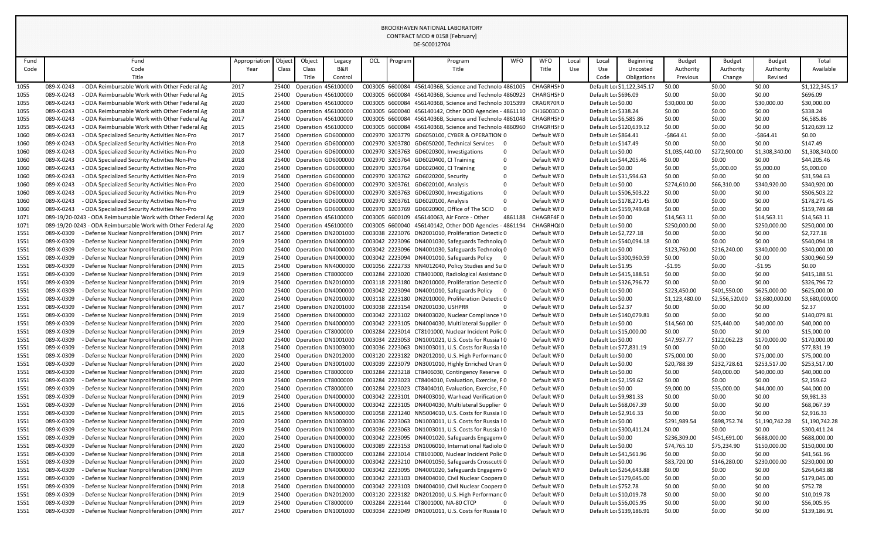|      |                                                              |               |        |                            |                           |     |         | DE-SC0012704                                            |            |             |            |                         |                            |                |                |                |                |
|------|--------------------------------------------------------------|---------------|--------|----------------------------|---------------------------|-----|---------|---------------------------------------------------------|------------|-------------|------------|-------------------------|----------------------------|----------------|----------------|----------------|----------------|
| Fund | Fund                                                         | Appropriation | Object | Object                     | Legacy                    | OCL | Program | Program                                                 | <b>WFO</b> | <b>WFO</b>  | Local      | Local                   | <b>Beginning</b>           | <b>Budget</b>  | <b>Budget</b>  | Budget         | Total          |
| Code | Code                                                         | Year          | Class  | Class                      | B&R                       |     |         | Title                                                   |            | Title       | <b>Use</b> | Use                     | Uncosted                   | Authority      | Authority      | Authority      | Available      |
|      | Title                                                        |               |        | Title                      | Control                   |     |         |                                                         |            |             |            | Code                    | Obligations                | Previous       | Change         | Revised        |                |
| 1055 | 089-X-0243<br>ODA Reimbursable Work with Other Federal Ag    | 2017          | 25400  | Operation 456100000        |                           |     |         | C003005 6600084 45614036B, Science and Technolo 4861005 |            | CHAGRHSI0   |            |                         | Default Lo: \$1,122,345.17 | \$0.00         | \$0.00         | \$0.00         | \$1,122,345.17 |
| 1055 | 089-X-0243<br>- ODA Reimbursable Work with Other Federal Ag  | 2015          |        | 25400 Operation 456100000  |                           |     |         | C003005 6600084 45614036B, Science and Technolo 4860923 |            | CHARGHSI 0  |            | Default Lor \$696.09    |                            | \$0.00         | \$0.00         | \$0.00         | \$696.09       |
| 1055 | 089-X-0243<br>- ODA Reimbursable Work with Other Federal Ag  | 2020          | 25400  | Operation 456100000        |                           |     |         | C003005 6600084 45614036B, Science and Technolo 3015399 |            | CRAGR70R0   |            | Default Loc \$0.00      |                            | \$30,000.00    | \$0.00         | \$30,000.00    | \$30,000.00    |
| 1055 | 089-X-0243<br>- ODA Reimbursable Work with Other Federal Ag  | 2018          | 25400  | <b>Operation 456100000</b> |                           |     |         | C003005 6600040 456140142, Other DOD Agencies - 4861110 |            | CH16003D.0  |            | Default Lor \$338.24    |                            | \$0.00         | \$0.00         | \$0.00         | \$338.24       |
| 1055 | 089-X-0243<br>ODA Reimbursable Work with Other Federal Ag    | 2017          | 25400  | <b>Operation 456100000</b> |                           |     |         | C003005 6600084 45614036B, Science and Technolo 4861048 |            | CHAGRHSI0   |            | Default Loc \$6,585.86  |                            | \$0.00         | \$0.00         | \$0.00         | \$6,585.86     |
| 1055 | 089-X-0243<br>ODA Reimbursable Work with Other Federal Ag    | 2015          | 25400  | Operation 456100000        |                           |     |         | C003005 6600084 45614036B, Science and Technolo 4860960 |            | CHAGRHSI0   |            |                         | Default Loc \$120,639.12   | \$0.00         | \$0.00         | \$0.00         | \$120,639.12   |
| 1060 | 089-X-0243<br>- ODA Specialized Security Activities Non-Pro  | 2017          |        |                            | 25400 Operation GD6000000 |     |         | C002970 3203779 GD6050100, CYBER & OPERATION: 0         |            | Default WF0 |            | Default Loc\$864.41     |                            | $-5864.41$     | \$0.00         | $-5864.41$     | \$0.00         |
| 1060 | 089-X-0243<br>- ODA Specialized Security Activities Non-Pro  | 2018          | 25400  |                            | Operation GD6000000       |     |         | C002970 3203780 GD6050200, Technical Services 0         |            | Default WFO |            | Default Loc \$147.49    |                            | \$0.00         | \$0.00         | \$0.00         | \$147.49       |
| 1060 | 089-X-0243<br>- ODA Specialized Security Activities Non-Pro  | 2020          | 25400  |                            | Operation GD6000000       |     |         | C002970 3203763 GD6020300, Investigations               |            | Default WF0 |            | Default Lor \$0.00      |                            | \$1,035,440.00 | \$272,900.00   | \$1,308,340.00 | \$1,308,340.00 |
| 1060 | 089-X-0243<br>ODA Specialized Security Activities Non-Pro    | 2018          | 25400  |                            | Operation GD6000000       |     |         | C002970 3203764 GD6020400, CI Training                  |            | Default WFO |            |                         | Default Loc \$44,205.46    | \$0.00         | \$0.00         | \$0.00         | \$44,205.46    |
| 1060 | 089-X-0243<br>ODA Specialized Security Activities Non-Pro    | 2020          | 25400  |                            | Operation GD6000000       |     |         | C002970 3203764 GD6020400, CI Training                  |            | Default WFO |            | Default Lor \$0.00      |                            | \$0.00         | \$5,000.00     | \$5,000.00     | \$5,000.00     |
| 1060 | 089-X-0243<br>- ODA Specialized Security Activities Non-Pro  | 2019          |        |                            | 25400 Operation GD6000000 |     |         | C002970 3203762 GD6020200, Security                     |            | Default WF0 |            |                         | Default Loc \$31,594.63    | \$0.00         | \$0.00         | \$0.00         | \$31,594.63    |
| 1060 | 089-X-0243<br>- ODA Specialized Security Activities Non-Pro  | 2020          | 25400  |                            | Operation GD6000000       |     |         | C002970 3203761 GD6020100, Analysis                     |            | Default WFO |            | Default Loc \$0.00      |                            | \$274,610.00   | \$66,310.00    | \$340,920.00   | \$340,920.00   |
| 1060 | 089-X-0243<br>- ODA Specialized Security Activities Non-Pro  | 2019          | 25400  |                            | Operation GD6000000       |     |         | C002970 3203763 GD6020300, Investigations               |            | Default WF0 |            |                         | Default Lor \$506,503.22   | \$0.00         | \$0.00         | \$0.00         | \$506,503.22   |
| 1060 | 089-X-0243<br>ODA Specialized Security Activities Non-Pro    | 2019          | 25400  |                            | Operation GD6000000       |     |         | C002970 3203761 GD6020100, Analysis                     |            | Default WF0 |            |                         | Default Loc \$178,271.45   | \$0.00         | \$0.00         | \$0.00         | \$178,271.45   |
| 1060 | 089-X-0243<br>- ODA Specialized Security Activities Non-Pro  | 2019          | 25400  |                            | Operation GD6000000       |     |         | C002970 3203769 GD6020900, Office of The SCIO           | $\Omega$   | Default WFO |            |                         | Default Loc \$159,749.68   | \$0.00         | \$0.00         | \$0.00         | \$159,749.68   |
| 1071 | 089-19/20-0243 - ODA Reimbursable Work with Other Federal Ag | 2020          | 25400  | <b>Operation 456100000</b> |                           |     |         | C003005 6600109 456140063, Air Force - Other            | 4861188    | CHAGRF4F0   |            | Default Lor \$0.00      |                            | \$14,563.11    | \$0.00         | \$14,563.11    | \$14,563.11    |
| 1071 | 089-19/20-0243 - ODA Reimbursable Work with Other Federal Ag | 2020          | 25400  | Operation 456100000        |                           |     |         | C003005 6600040 456140142, Other DOD Agencies - 4861194 |            | CHAGRHQ(0   |            | Default Lor \$0.00      |                            | \$250,000.00   | \$0.00         | \$250,000.00   | \$250,000.00   |
| 1551 | 089-X-0309<br>- Defense Nuclear Nonproliferation (DNN) Prim  | 2017          | 25400  |                            | Operation DN2001000       |     |         | C003038 2223076 DN2001010, Proliferation Detectic 0     |            | Default WFO |            | Default Loc \$2,727.18  |                            | \$0.00         | \$0.00         | \$0.00         | \$2,727.18     |
| 1551 | 089-X-0309<br>- Defense Nuclear Nonproliferation (DNN) Prim  | 2019          | 25400  |                            | Operation DN4000000       |     |         | C003042 2223096 DN4001030, Safeguards Technolog 0       |            | Default WF0 |            |                         | Default Lor \$540,094.18   | \$0.00         | \$0.00         | \$0.00         | \$540,094.18   |
| 1551 | 089-X-0309<br>- Defense Nuclear Nonproliferation (DNN) Prim  | 2020          | 25400  |                            | Operation DN4000000       |     |         | C003042 2223096 DN4001030, Safeguards Technolog 0       |            | Default WF0 |            | Default Lor \$0.00      |                            | \$123,760.00   | \$216,240.00   | \$340,000.00   | \$340,000.00   |
| 1551 | 089-X-0309<br>- Defense Nuclear Nonproliferation (DNN) Prim  | 2019          | 25400  |                            | Operation DN4000000       |     |         | C003042 2223094 DN4001010, Safeguards Policy 0          |            | Default WFO |            |                         | Default Lor \$300,960.59   | \$0.00         | \$0.00         | \$0.00         | \$300,960.59   |
| 1551 | 089-X-0309<br>- Defense Nuclear Nonproliferation (DNN) Prim  | 2015          | 25400  |                            | Operation NN4000000       |     |         | C001056 2222733 NN4012040, Policy Studies and Su 0      |            | Default WF0 |            | Default Lor \$1.95      |                            | $-51.95$       | \$0.00         | -\$1.95        | \$0.00         |
| 1551 | 089-X-0309<br>- Defense Nuclear Nonproliferation (DNN) Prim  | 2019          | 25400  | Operation CT8000000        |                           |     |         | C003284 2223020 CT8401000, Radiological Assistanc 0     |            | Default WF0 |            |                         | Default Loc \$415,188.51   | \$0.00         | \$0.00         | \$0.00         | \$415,188.51   |
| 1551 | 089-X-0309<br>- Defense Nuclear Nonproliferation (DNN) Prim  | 2019          | 25400  |                            | Operation DN2010000       |     |         | C003118 2223180 DN2010000, Proliferation Detectic 0     |            | Default WIO |            |                         | Default Loc \$326,796.72   | \$0.00         | \$0.00         | \$0.00         | \$326,796.72   |
| 1551 | 089-X-0309<br>- Defense Nuclear Nonproliferation (DNN) Prim  | 2020          |        |                            | 25400 Operation DN4000000 |     |         | C003042 2223094 DN4001010, Safeguards Policy            |            | Default WI0 |            | Default Lor \$0.00      |                            | \$223,450.00   | \$401,550.00   | \$625,000.00   | \$625,000.00   |
| 1551 | 089-X-0309<br>- Defense Nuclear Nonproliferation (DNN) Prim  | 2020          | 25400  |                            | Operation DN2010000       |     |         | C003118 2223180 DN2010000, Proliferation Detectic 0     |            | Default WI0 |            | Default Lor \$0.00      |                            | \$1,123,480.00 | \$2,556,520.00 | \$3,680,000.00 | \$3,680,000.00 |
| 1551 | 089-X-0309<br>- Defense Nuclear Nonproliferation (DNN) Prim  | 2017          | 25400  | Operation DN2001000        |                           |     |         | C003038 2223154 DN2001030, USHPRR                       | 0          | Default WIO |            | Default Loc \$2.37      |                            | \$0.00         | \$0.00         | \$0.00         | \$2.37         |
| 1551 | 089-X-0309<br>- Defense Nuclear Nonproliferation (DNN) Prim  | 2019          | 25400  |                            | Operation DN4000000       |     |         | C003042 2223102 DN4003020, Nuclear Compliance \0        |            | Default WF0 |            |                         | Default Loc \$140,079.81   | \$0.00         | \$0.00         | \$0.00         | \$140,079.81   |
| 1551 | - Defense Nuclear Nonproliferation (DNN) Prim<br>089-X-0309  | 2020          | 25400  |                            | Operation DN4000000       |     |         | C003042 2223105 DN4004030, Multilateral Supplier 0      |            | Default WI0 |            | Default Lor \$0.00      |                            | \$14,560.00    | \$25,440.00    | \$40,000.00    | \$40,000.00    |
| 1551 | 089-X-0309<br>- Defense Nuclear Nonproliferation (DNN) Prim  | 2019          | 25400  | Operation CT8000000        |                           |     |         | C003284 2223014 CT8101000, Nuclear Incident Polic 0     |            | Default WF0 |            | Default Lor \$15,000.00 |                            | \$0.00         | \$0.00         | \$0.00         | \$15,000.00    |
| 1551 | 089-X-0309<br>- Defense Nuclear Nonproliferation (DNN) Prim  | 2020          | 25400  |                            | Operation DN1001000       |     |         | C003034 2223053 DN1001021, U.S. Costs for Russia IO     |            | Default WI0 |            | Default Lor \$0.00      |                            | \$47,937.77    | \$122,062.23   | \$170,000.00   | \$170,000.00   |
| 1551 | 089-X-0309<br>- Defense Nuclear Nonproliferation (DNN) Prim  | 2018          | 25400  |                            | Operation DN1003000       |     |         | C003036 2223063 DN1003011, U.S. Costs for Russia IO     |            | Default WIO |            |                         | Default Loc \$77,831.19    | \$0.00         | \$0.00         | \$0.00         | \$77,831.19    |
| 1551 | 089-X-0309<br>- Defense Nuclear Nonproliferation (DNN) Prim  | 2020          | 25400  |                            | Operation DN2012000       |     |         | C003120 2223182 DN2012010, U.S. High Performanc 0       |            | Default WI0 |            | Default Lor \$0.00      |                            | \$75,000.00    | \$0.00         | \$75,000.00    | \$75,000.00    |
| 1551 | 089-X-0309<br>- Defense Nuclear Nonproliferation (DNN) Prim  | 2020          | 25400  |                            | Operation DN3001000       |     |         | C003039 2223079 DN3001010, Highly Enriched Urani 0      |            | Default WI0 |            | Default Lor \$0.00      |                            | \$20,788.39    | \$232,728.61   | \$253,517.00   | \$253,517.00   |
| 1551 | 089-X-0309<br>- Defense Nuclear Nonproliferation (DNN) Prim  | 2020          | 25400  | Operation CT8000000        |                           |     |         | C003284 2223218 CT8406030, Contingency Reserve 0        |            | Default WF0 |            | Default Lor \$0.00      |                            | \$0.00         | \$40,000.00    | \$40,000.00    | \$40,000.00    |
| 1551 | 089-X-0309<br>- Defense Nuclear Nonproliferation (DNN) Prim  | 2019          | 25400  | Operation CT8000000        |                           |     |         | C003284 2223023 CT8404010, Evaluation, Exercise, F0     |            | Default WIO |            | Default Loc \$2,159.62  |                            | \$0.00         | \$0.00         | \$0.00         | \$2,159.62     |
| 1551 | 089-X-0309<br>- Defense Nuclear Nonproliferation (DNN) Prim  | 2020          | 25400  | Operation CT800000C        |                           |     |         | C003284 2223023 CT8404010, Evaluation, Exercise, F0     |            | Default WIO |            | Default Lor \$0.00      |                            | \$9,000.00     | \$35,000.00    | \$44,000.00    | \$44,000.00    |
| 1551 | 089-X-0309<br>- Defense Nuclear Nonproliferation (DNN) Prim  | 2019          | 25400  |                            | Operation DN4000000       |     |         | C003042 2223101 DN4003010, Warhead Verification 0       |            | Default WI0 |            | Default Loc \$9,981.33  |                            | \$0.00         | \$0.00         | \$0.00         | \$9,981.33     |
| 1551 | 089-X-0309<br>- Defense Nuclear Nonproliferation (DNN) Prim  | 2016          | 25400  |                            | Operation DN4000000       |     |         | C003042 2223105 DN4004030, Multilateral Supplier 0      |            | Default WI0 |            |                         | Default Lo: \$68,067.39    | \$0.00         | \$0.00         | \$0.00         | \$68,067.39    |
| 1551 | 089-X-0309<br>- Defense Nuclear Nonproliferation (DNN) Prim  | 2015          | 25400  |                            | Operation NN5000000       |     |         | C001058 2221240 NN5004010, U.S. Costs for Russia IO     |            | Default WF0 |            | Default Loc \$2,916.33  |                            | \$0.00         | \$0.00         | \$0.00         | \$2,916.33     |
| 1551 | 089-X-0309<br>- Defense Nuclear Nonproliferation (DNN) Prim  | 2020          | 25400  |                            | Operation DN1003000       |     |         | C003036 2223063 DN1003011, U.S. Costs for Russia IO     |            | Default WIO |            | Default Lor \$0.00      |                            | \$291,989.54   | \$898,752.74   | \$1,190,742.28 | \$1,190,742.28 |
| 1551 | 089-X-0309<br>- Defense Nuclear Nonproliferation (DNN) Prim  | 2019          | 25400  |                            | Operation DN1003000       |     |         | C003036 2223063 DN1003011, U.S. Costs for Russia IO     |            | Default WI0 |            |                         | Default Lor \$300,411.24   | \$0.00         | \$0.00         | \$0.00         | \$300,411.24   |
| 1551 | 089-X-0309<br>- Defense Nuclear Nonproliferation (DNN) Prim  | 2020          | 25400  |                            | Operation DN4000000       |     |         | C003042 2223095 DN4001020, Safeguards Engagem 60        |            | Default WFO |            | Default Lor \$0.00      |                            | \$236,309.00   | \$451,691.00   | \$688,000.00   | \$688,000.00   |
| 1551 | 089-X-0309<br>- Defense Nuclear Nonproliferation (DNN) Prim  | 2020          | 25400  |                            | Operation DN1006000       |     |         | C003089 2223153 DN1006010, International Radiolo 0      |            | Default WI0 |            | Default Lor \$0.00      |                            | \$74,765.10    | \$75,234.90    | \$150,000.00   | \$150,000.00   |
| 1551 | 089-X-0309<br>- Defense Nuclear Nonproliferation (DNN) Prim  | 2018          | 25400  | Operation CT8000000        |                           |     |         | C003284 2223014 CT8101000, Nuclear Incident Polic 0     |            | Default WF0 |            |                         | Default Loc \$41,561.96    | \$0.00         | \$0.00         | \$0.00         | \$41,561.96    |
| 1551 | 089-X-0309<br>- Defense Nuclear Nonproliferation (DNN) Prim  | 2020          | 25400  |                            | Operation DN4000000       |     |         | C003042 2223210 DN4001050, Safeguards Crosscutti 0      |            | Default WIO |            | Default Lor \$0.00      |                            | \$83,720.00    | \$146,280.00   | \$230,000.00   | \$230,000.00   |
| 1551 | 089-X-0309<br>- Defense Nuclear Nonproliferation (DNN) Prim  | 2019          | 25400  |                            | Operation DN4000000       |     |         | C003042 2223095 DN4001020, Safeguards Engagem (0        |            | Default WI0 |            |                         | Default Loc \$264,643.88   | \$0.00         | \$0.00         | \$0.00         | \$264,643.88   |
| 1551 | 089-X-0309<br>- Defense Nuclear Nonproliferation (DNN) Prim  | 2019          | 25400  |                            | Operation DN4000000       |     |         | C003042 2223103 DN4004010, Civil Nuclear Coopera 0      |            | Default WFO |            |                         | Default Lor \$179,045.00   | \$0.00         | \$0.00         | \$0.00         | \$179,045.00   |
| 1551 | 089-X-0309<br>- Defense Nuclear Nonproliferation (DNN) Prim  | 2018          | 25400  |                            | Operation DN4000000       |     |         | C003042 2223103 DN4004010, Civil Nuclear Coopera 0      |            | Default WIO |            | Default Loc \$752.78    |                            | \$0.00         | \$0.00         | \$0.00         | \$752.78       |
| 1551 | 089-X-0309<br>- Defense Nuclear Nonproliferation (DNN) Prim  | 2019          | 25400  |                            | Operation DN2012000       |     |         | C003120 2223182 DN2012010, U.S. High Performanc 0       |            | Default WF0 |            |                         | Default Loc \$10,019.78    | \$0.00         | \$0.00         | \$0.00         | \$10,019.78    |
| 1551 | 089-X-0309<br>- Defense Nuclear Nonproliferation (DNN) Prim  | 2019          | 25400  | Operation CT8000000        |                           |     |         | C003284 2223144 CT8001000, NA-80 CTCP                   | $\Omega$   | Default WIO |            |                         | Default Loc \$56,005.95    | \$0.00         | \$0.00         | \$0.00         | \$56,005.95    |
| 1551 | - Defense Nuclear Nonproliferation (DNN) Prim<br>089-X-0309  | 2017          | 25400  |                            | Operation DN1001000       |     |         | C003034 2223049 DN1001011, U.S. Costs for Russia IO     |            | Default WIO |            |                         | Default Loc \$139,186.91   | \$0.00         | \$0.00         | \$0.00         | \$139,186.91   |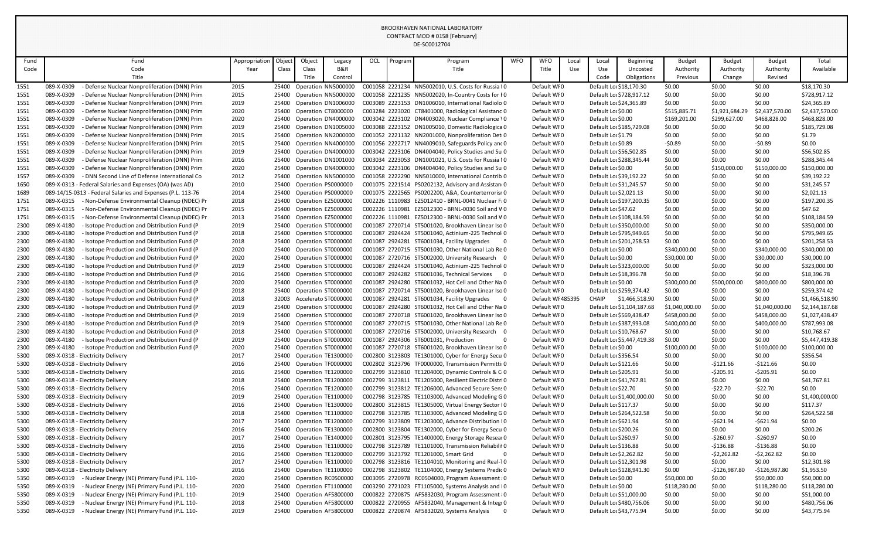|              |                                                                                                                            |               |                |                           |                                                  |     |         | DE-SC0012704                                                                                              |            |                            |       |                                               |                            |                  |                        |                        |                             |
|--------------|----------------------------------------------------------------------------------------------------------------------------|---------------|----------------|---------------------------|--------------------------------------------------|-----|---------|-----------------------------------------------------------------------------------------------------------|------------|----------------------------|-------|-----------------------------------------------|----------------------------|------------------|------------------------|------------------------|-----------------------------|
| Fund         | Fund                                                                                                                       | Appropriation | Object         | Object                    | Legacy                                           | OCL | Program | Program                                                                                                   | <b>WFO</b> | <b>WFO</b>                 | Local | Local                                         | <b>Beginning</b>           | <b>Budget</b>    | <b>Budget</b>          | <b>Budget</b>          | Total                       |
| Code         | Code                                                                                                                       | Year          | Class          | Class                     | B&R                                              |     |         | Title                                                                                                     |            | Title                      | Use   | Use                                           | Uncosted                   | Authority        | Authority              | Authority              | Available                   |
|              | Title                                                                                                                      |               |                | Title                     | Control                                          |     |         |                                                                                                           |            |                            |       | Code                                          | Obligations                | Previous         | Change                 | Revised                |                             |
| 1551         | 089-X-0309<br>Defense Nuclear Nonproliferation (DNN) Prim                                                                  | 2015          | 25400          |                           | Operation NN5000000                              |     |         | C001058 2221234 NN5002010, U.S. Costs for Russia IO                                                       |            | Default WI0                |       | Default Lor \$18,170.30                       |                            | \$0.00           | \$0.00                 | \$0.00                 | \$18,170.30                 |
| 1551         | 089-X-0309<br>- Defense Nuclear Nonproliferation (DNN) Prim                                                                | 2015          |                |                           | 25400 Operation NN5000000                        |     |         | C001058 2221235 NN5002020, In-Country Costs for FO                                                        |            | Default WF0                |       |                                               | Default Loc \$728,917.12   | \$0.00           | \$0.00                 | \$0.00                 | \$728,917.12                |
| 1551         | 089-X-0309<br>- Defense Nuclear Nonproliferation (DNN) Prim                                                                | 2019          | 25400          |                           | Operation DN1006000                              |     |         | C003089 2223153 DN1006010, International Radiolo 0                                                        |            | Default WF0                |       | Default Loc \$24,365.89                       |                            | \$0.00           | \$0.00                 | \$0.00                 | \$24,365.89                 |
| 1551         | 089-X-0309<br>- Defense Nuclear Nonproliferation (DNN) Prim                                                                | 2020          | 25400          |                           | Operation CT8000000                              |     |         | C003284 2223020 CT8401000, Radiological Assistanc 0                                                       |            | Default WI0                |       | Default Lor \$0.00                            |                            | \$515,885.71     | \$1,921,684.29         | \$2,437,570.00         | \$2,437,570.00              |
| 1551         | Defense Nuclear Nonproliferation (DNN) Prim<br>089-X-0309                                                                  | 2020          | 25400          |                           | Operation DN4000000                              |     |         | C003042 2223102 DN4003020, Nuclear Compliance \0                                                          |            | Default WI0                |       | Default Loc \$0.00                            |                            | \$169,201.00     | \$299,627.00           | \$468,828.00           | \$468,828.00                |
| 1551         | 089-X-0309<br>- Defense Nuclear Nonproliferation (DNN) Prim                                                                | 2019          | 25400          |                           | Operation DN1005000                              |     |         | C003088 2223152 DN1005010, Domestic Radiologica 0                                                         |            | Default WF0                |       |                                               | Default Lor \$185,729.08   | \$0.00           | \$0.00                 | \$0.00                 | \$185,729.08                |
| 1551         | 089-X-0309<br>- Defense Nuclear Nonproliferation (DNN) Prim                                                                | 2015          |                |                           | 25400 Operation NN2000000                        |     |         | C001052 2221132 NN2001000, Nonproliferation Det 0                                                         |            | Default WF0                |       | Default Loc \$1.79                            |                            | \$0.00           | \$0.00                 | \$0.00                 | \$1.79                      |
| 1551         | 089-X-0309<br>- Defense Nuclear Nonproliferation (DNN) Prim                                                                | 2015          | 25400          |                           | Operation NN4000000                              |     |         | C001056 2222717 NN4009010, Safeguards Policy and 0                                                        |            | Default WIO                |       | Default Loc \$0.89                            |                            | $-50.89$         | \$0.00                 | $-50.89$               | \$0.00                      |
| 1551         | 089-X-0309<br>- Defense Nuclear Nonproliferation (DNN) Prim                                                                | 2019          | 25400          |                           | Operation DN4000000                              |     |         | C003042 2223106 DN4004040, Policy Studies and Su 0                                                        |            | Default WI0                |       | Default Lor \$56,502.85                       |                            | \$0.00           | \$0.00                 | \$0.00                 | \$56,502.85                 |
| 1551         | 089-X-0309<br>- Defense Nuclear Nonproliferation (DNN) Prim<br>089-X-0309<br>- Defense Nuclear Nonproliferation (DNN) Prim | 2016          | 25400          |                           | Operation DN1001000                              |     |         | C003034 2223053 DN1001021, U.S. Costs for Russia IO<br>C003042 2223106 DN4004040, Policy Studies and Su 0 |            | Default WF0                |       |                                               | Default Lor \$288,345.44   | \$0.00           | \$0.00                 | \$0.00                 | \$288,345.44                |
| 1551<br>1557 | 089-X-0309<br>- DNN Second Line of Defense International Co                                                                | 2020<br>2012  | 25400          |                           | Operation DN4000000<br>25400 Operation NN5000000 |     |         | C001058 2222290 NN5010000, International Contrib 0                                                        |            | Default WF0<br>Default WF0 |       | Default Lor \$0.00<br>Default Lor \$39,192.22 |                            | \$0.00<br>\$0.00 | \$150,000.00<br>\$0.00 | \$150,000.00<br>\$0.00 | \$150,000.00<br>\$39,192.22 |
| 1650         | 089-X-0313 - Federal Salaries and Expenses (OA) (was AD)                                                                   | 2010          | 25400          | Operation PS0000000       |                                                  |     |         | C001075 2221514 PS0202132, Advisory and Assistan(0                                                        |            | Default WI0                |       | Default Loc \$31,245.57                       |                            | \$0.00           | \$0.00                 | \$0.00                 | \$31,245.57                 |
| 1689         | 089-14/15-0313 - Federal Salaries and Expenses (P.L. 113-76                                                                | 2014          | 25400          |                           | Operation PS0000000                              |     |         | C001075 2222565 PS0202200, A&A, Counterterrorisr 0                                                        |            | Default WF0                |       | Default Loc \$2,021.13                        |                            | \$0.00           | \$0.00                 | \$0.00                 | \$2,021.13                  |
| 1751         | 089-X-0315<br>- Non-Defense Environmental Cleanup (NDEC) Pr                                                                | 2018          | 25400          | Operation EZ5000000       |                                                  |     |         | C002226 1110983 EZ5012410 - BRNL-0041 Nuclear Fi0                                                         |            | Default WI0                |       |                                               | Default Loc \$197,200.35   | \$0.00           | \$0.00                 | \$0.00                 | \$197,200.35                |
| 1751         | 089-X-0315<br>- Non-Defense Environmental Cleanup (NDEC) Pr                                                                | 2015          | 25400          | Operation EZ5000000       |                                                  |     |         | C002226 1110981 EZ5012300 - BRNL-0030 Soil and VO                                                         |            | Default WF0                |       | Default Loc \$47.62                           |                            | \$0.00           | \$0.00                 | \$0.00                 | \$47.62                     |
| 1751         | 089-X-0315<br>- Non-Defense Environmental Cleanup (NDEC) Pr                                                                | 2013          |                | 25400 Operation EZ5000000 |                                                  |     |         | C002226 1110981 EZ5012300 - BRNL-0030 Soil and VO                                                         |            | Default WF0                |       |                                               | Default Lor \$108,184.59   | \$0.00           | \$0.00                 | \$0.00                 | \$108,184.59                |
| 2300         | 089-X-4180<br>- Isotope Production and Distribution Fund (P                                                                | 2019          | 25400          | Operation ST0000000       |                                                  |     |         | C001087 2720714 ST5001020, Brookhaven Linear Iso 0                                                        |            | Default WF0                |       |                                               | Default Lor \$350,000.00   | \$0.00           | \$0.00                 | \$0.00                 | \$350,000.00                |
| 2300         | 089-X-4180<br>- Isotope Production and Distribution Fund (P                                                                | 2018          | 25400          | Operation ST0000000       |                                                  |     |         | C001087 2924424 ST5001040, Actinium-225 Technol 0                                                         |            | Default WI0                |       |                                               | Default Loc \$795,949.65   | \$0.00           | \$0.00                 | \$0.00                 | \$795,949.65                |
| 2300         | 089-X-4180<br>Isotope Production and Distribution Fund (P                                                                  | 2018          | 25400          | Operation ST0000000       |                                                  |     |         | C001087 2924281 ST6001034, Facility Upgrades<br>- 0                                                       |            | Default WF0                |       |                                               | Default Loc \$201,258.53   | \$0.00           | \$0.00                 | \$0.00                 | \$201,258.53                |
| 2300         | 089-X-4180<br>- Isotope Production and Distribution Fund (P                                                                | 2020          | 25400          | Operation ST0000000       |                                                  |     |         | C001087 2720715 ST5001030, Other National Lab Re 0                                                        |            | Default WF0                |       | Default Lor \$0.00                            |                            | \$340,000.00     | \$0.00                 | \$340,000.00           | \$340,000.00                |
| 2300         | 089-X-4180<br>- Isotope Production and Distribution Fund (P                                                                | 2020          | 25400          | Operation ST0000000       |                                                  |     |         | C001087 2720716 ST5002000, University Research 0                                                          |            | Default WF0                |       | Default Lor \$0.00                            |                            | \$30,000.00      | \$0.00                 | \$30,000.00            | \$30,000.00                 |
| 2300         | 089-X-4180<br>- Isotope Production and Distribution Fund (P                                                                | 2019          | 25400          | Operation ST0000000       |                                                  |     |         | C001087 2924424 ST5001040, Actinium-225 Technol 0                                                         |            | Default WF0                |       |                                               | Default Lor \$323,000.00   | \$0.00           | \$0.00                 | \$0.00                 | \$323,000.00                |
| 2300         | 089-X-4180<br>Isotope Production and Distribution Fund (P)                                                                 | 2016          | 25400          | Operation ST0000000       |                                                  |     |         | C001087 2924282 ST6001036, Technical Services                                                             |            | Default WF0                |       | Default Loc \$18,396.78                       |                            | \$0.00           | \$0.00                 | \$0.00                 | \$18,396.78                 |
| 2300         | 089-X-4180<br>- Isotope Production and Distribution Fund (P                                                                | 2020          | 25400          |                           | Operation ST0000000                              |     |         | C001087 2924280 ST6001032, Hot Cell and Other Na 0                                                        |            | Default WI0                |       | Default Lor \$0.00                            |                            | \$300,000.00     | \$500,000.00           | \$800,000.00           | \$800,000.00                |
| 2300         | 089-X-4180<br>- Isotope Production and Distribution Fund (P                                                                | 2018          |                |                           | 25400 Operation ST0000000                        |     |         | C001087 2720714 ST5001020, Brookhaven Linear Iso 0                                                        |            | Default WI0                |       |                                               | Default Lor \$259,374.42   | \$0.00           | \$0.00                 | \$0.00                 | \$259,374.42                |
| 2300         | 089-X-4180<br>- Isotope Production and Distribution Fund (P                                                                | 2018          |                |                           | Accelerato ST0000000                             |     |         | C001087 2924281 ST6001034, Facility Upgrades<br><b>U</b>                                                  |            | Default WI 485395          |       | <b>CHAIP</b>                                  | \$1,466,518.90             | \$0.00           | \$0.00                 | \$0.00                 | \$1,466,518.90              |
| 2300         | 089-X-4180<br>- Isotope Production and Distribution Fund (P                                                                | 2019          | 25400          | Operation ST0000000       |                                                  |     |         | C001087 2924280 ST6001032, Hot Cell and Other Na 0                                                        |            | Default WI0                |       |                                               | Default Loc \$1,104,187.68 | \$1,040,000.00   | \$0.00                 | \$1,040,000.00         | \$2,144,187.68              |
| 2300         | 089-X-4180<br>- Isotope Production and Distribution Fund (P                                                                | 2019          |                |                           | 25400 Operation ST0000000                        |     |         | C001087 2720718 ST6001020, Brookhaven Linear Iso 0                                                        |            | Default WF0                |       |                                               | Default Lor \$569,438.47   | \$458,000.00     | \$0.00                 | \$458,000.00           | \$1,027,438.47              |
| 2300         | 089-X-4180<br>- Isotope Production and Distribution Fund (P                                                                | 2019          |                |                           | 25400 Operation ST0000000                        |     |         | C001087 2720715 ST5001030, Other National Lab Re 0                                                        |            | Default WI0                |       |                                               | Default Lo: \$387,993.08   | \$400,000.00     | \$0.00                 | \$400,000.00           | \$787,993.08                |
| 2300         | 089-X-4180<br>- Isotope Production and Distribution Fund (P                                                                | 2018          | 25400          | Operation ST0000000       |                                                  |     |         | C001087 2720716 ST5002000, University Research 0                                                          |            | Default WI0                |       | Default Loc \$10,768.67                       |                            | \$0.00           | \$0.00                 | \$0.00                 | \$10,768.67                 |
| 2300         | 089-X-4180<br>- Isotope Production and Distribution Fund (P                                                                | 2019          |                | 25400 Operation ST0000000 |                                                  |     |         | C001087 2924306 ST6001031, Production<br>0                                                                |            | Default WI0                |       |                                               | Default Loc \$5,447,419.38 | \$0.00           | \$0.00                 | \$0.00                 | \$5,447,419.38              |
| 2300         | 089-X-4180<br>- Isotope Production and Distribution Fund (P                                                                | 2020          | 25400          | Operation ST0000000       |                                                  |     |         | C001087 2720718 ST6001020, Brookhaven Linear Iso 0<br>C002800 3123803 TE1301000, Cyber for Energy Secu 0  |            | Default WI0                |       | Default Lor \$0.00                            |                            | \$100,000.00     | \$0.00                 | \$100,000.00           | \$100,000.00                |
| 5300<br>5300 | 089-X-0318 - Electricity Delivery<br>089-X-0318 - Electricity Delivery                                                     | 2017<br>2016  | 25400<br>25400 |                           | Operation TE1300000<br>Operation TF0000000       |     |         | C002802 3123796 TF0000000, Transmission Permittii 0                                                       |            | Default WF0<br>Default WI0 |       | Default Loc \$356.54<br>Default Loc \$121.66  |                            | \$0.00<br>\$0.00 | \$0.00<br>$-$121.66$   | \$0.00<br>$-$121.66$   | \$356.54<br>\$0.00          |
| 5300         | 089-X-0318 - Electricity Delivery                                                                                          | 2016          | 25400          | Operation TE1200000       |                                                  |     |         | C002799 3123810 TE1204000, Dynamic Controls & CO                                                          |            | Default WI0                |       | Default Lor \$205.91                          |                            | \$0.00           | $-5205.91$             | $-5205.91$             | \$0.00                      |
| 5300         | 089-X-0318 - Electricity Delivery                                                                                          | 2018          | 25400          |                           | Operation TE1200000                              |     |         | C002799 3123811 TE1205000, Resilient Electric Distri0                                                     |            | Default WI0                |       | Default Loc \$41,767.81                       |                            | \$0.00           | \$0.00                 | \$0.00                 | \$41,767.81                 |
| 5300         | 089-X-0318 - Electricity Delivery                                                                                          | 2016          | 25400          | Operation TE1200000       |                                                  |     |         | C002799 3123812 TE1206000, Advanced Secure Sens 0                                                         |            | Default WI0                |       | Default Loc \$22.70                           |                            | \$0.00           | $-522.70$              | $-$ \$22.70            | \$0.00                      |
| 5300         | 089-X-0318 - Electricity Delivery                                                                                          | 2019          | 25400          |                           | Operation TE1100000                              |     |         | C002798 3123785 TE1103000, Advanced Modeling GO                                                           |            | Default WF0                |       |                                               | Default Lor \$1,400,000.00 | \$0.00           | \$0.00                 | \$0.00                 | \$1,400,000.00              |
| 5300         | 089-X-0318 - Electricity Delivery                                                                                          | 2016          |                |                           | 25400 Operation TE1300000                        |     |         | C002800 3123815 TE1305000, Virtual Energy Sector IO                                                       |            | Default WI0                |       | Default Loc \$117.37                          |                            | \$0.00           | \$0.00                 | \$0.00                 | \$117.37                    |
| 5300         | 089-X-0318 - Electricity Delivery                                                                                          | 2018          | 25400          |                           | Operation TE1100000                              |     |         | C002798 3123785 TE1103000, Advanced Modeling GO                                                           |            | Default WI0                |       |                                               | Default Loc \$264,522.58   | \$0.00           | \$0.00                 | \$0.00                 | \$264,522.58                |
| 5300         | 089-X-0318 - Electricity Delivery                                                                                          | 2017          | 25400          |                           | Operation TE1200000                              |     |         | C002799 3123809 TE1203000, Advance Distribution I0                                                        |            | Default WI0                |       | Default Loc \$621.94                          |                            | \$0.00           | $-5621.94$             | -\$621.94              | \$0.00                      |
| 5300         | 089-X-0318 - Electricity Delivery                                                                                          | 2016          | 25400          |                           | Operation TE1300000                              |     |         | C002800 3123804 TE1302000, Cyber for Energy Secu 0                                                        |            | Default WI0                |       | Default Lor \$200.26                          |                            | \$0.00           | \$0.00                 | \$0.00                 | \$200.26                    |
| 5300         | 089-X-0318 - Electricity Delivery                                                                                          | 2017          |                |                           | 25400 Operation TE1400000                        |     |         | C002801 3123795 TE1400000, Energy Storage Resear 0                                                        |            | Default WF0                |       | Default Lor \$260.97                          |                            | \$0.00           | $-5260.97$             | -\$260.97              | \$0.00                      |
| 5300         | 089-X-0318 - Electricity Delivery                                                                                          | 2016          |                |                           | 25400 Operation TE1100000                        |     |         | C002798 3123789 TE1101000, Transmission Reliabilit 0                                                      |            | Default WI0                |       | Default Loc \$136.88                          |                            | \$0.00           | $-$136.88$             | $-5136.88$             | \$0.00                      |
| 5300         | 089-X-0318 - Electricity Delivery                                                                                          | 2016          | 25400          | Operation TE1200000       |                                                  |     |         | C002799 3123792 TE1201000, Smart Grid<br>$\mathbf 0$                                                      |            | Default WI0                |       | Default Loc \$2,262.82                        |                            | \$0.00           | $-52,262.82$           | -\$2,262.82            | \$0.00                      |
| 5300         | 089-X-0318 - Electricity Delivery                                                                                          | 2017          | 25400          |                           | Operation TE1100000                              |     |         | C002798 3123816 TE1104010, Monitoring and Real-10                                                         |            | Default WI0                |       | Default Loc \$12,301.98                       |                            | \$0.00           | \$0.00                 | \$0.00                 | \$12,301.98                 |
| 5300         | 089-X-0318 - Electricity Delivery                                                                                          | 2016          | 25400          |                           | Operation TE1100000                              |     |         | C002798 3123802 TE1104000, Energy Systems Predic 0                                                        |            | Default WI0                |       |                                               | Default Lor \$128,941.30   | \$0.00           | $-$126,987.80$         | $-$126,987.80$         | \$1,953.50                  |
| 5350         | 089-X-0319<br>- Nuclear Energy (NE) Primary Fund (P.L. 110-                                                                | 2020          |                |                           | 25400 Operation RC0500000                        |     |         | C003095 2720978 RC0504000, Program Assessment (0                                                          |            | Default WFO                |       | Default Lor \$0.00                            |                            | \$50,000.00      | \$0.00                 | \$50,000.00            | \$50,000.00                 |
| 5350         | 089-X-0319<br>- Nuclear Energy (NE) Primary Fund (P.L. 110-                                                                | 2020          | 25400          |                           | Operation FT1100000                              |     |         | C003290 2721023 FT1105000, Systems Analysis and IO                                                        |            | Default WI0                |       | Default Lor \$0.00                            |                            | \$118,280.00     | \$0.00                 | \$118,280.00           | \$118,280.00                |
| 5350         | 089-X-0319<br>- Nuclear Energy (NE) Primary Fund (P.L. 110-                                                                | 2019          | 25400          |                           | Operation AF5800000                              |     |         | C000822 2720875 AF5832030, Program Assessment {0}                                                         |            | Default WI0                |       | Default Loc \$51,000.00                       |                            | \$0.00           | \$0.00                 | \$0.00                 | \$51,000.00                 |
| 5350         | - Nuclear Energy (NE) Primary Fund (P.L. 110-<br>089-X-0319                                                                | 2018          | 25400          |                           | Operation AF5800000                              |     |         | C000822 2720955 AF5832040, Management & Integr0                                                           |            | Default WI0                |       |                                               | Default Lor \$480,756.06   | \$0.00           | \$0.00                 | \$0.00                 | \$480,756.06                |
| 5350         | - Nuclear Energy (NE) Primary Fund (P.L. 110-<br>089-X-0319                                                                | 2019          |                |                           | 25400 Operation AF5800000                        |     |         | C000822 2720874 AF5832020, Systems Analysis<br>$\overline{\mathbf{0}}$                                    |            | Default WI0                |       | Default Loc \$43,775.94                       |                            | \$0.00           | \$0.00                 | \$0.00                 | \$43,775.94                 |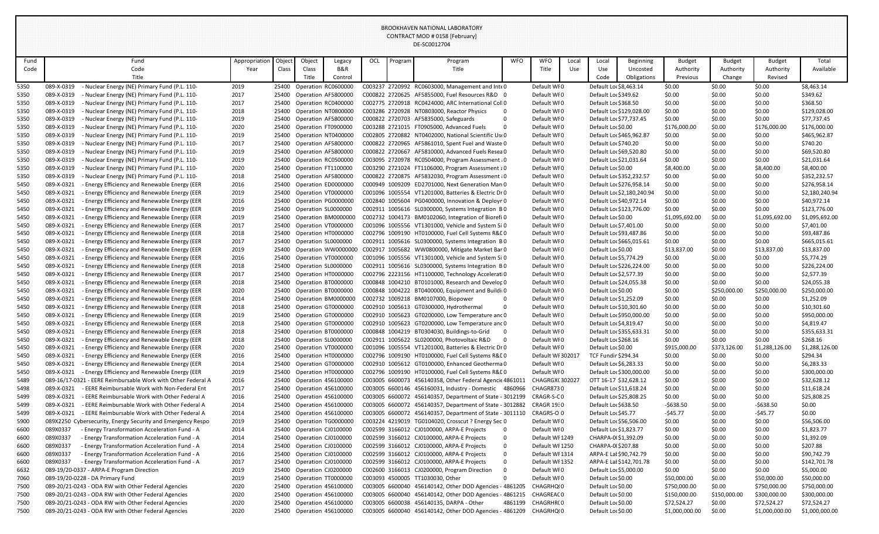|              |                                                                                                                            |               |                |                           |                                            |     |         | DE-SC0012704                                                                                                         |            |                                 |       |                                                   |                            |                         |                  |                         |                           |
|--------------|----------------------------------------------------------------------------------------------------------------------------|---------------|----------------|---------------------------|--------------------------------------------|-----|---------|----------------------------------------------------------------------------------------------------------------------|------------|---------------------------------|-------|---------------------------------------------------|----------------------------|-------------------------|------------------|-------------------------|---------------------------|
| Fund         | Fund                                                                                                                       | Appropriation | Object         | Object                    |                                            | OCL | 'rogram | Program                                                                                                              | <b>WFO</b> | <b>WFO</b>                      | Local | Local                                             | Beginning                  | <b>Budget</b>           | <b>Budget</b>    | <b>Budget</b>           | Total                     |
| Code         | Code                                                                                                                       | Year          | <b>Class</b>   | Class                     | Legacy<br><b>B&amp;R</b>                   |     |         | Title                                                                                                                |            | Title                           | Use   | Use                                               | Uncosted                   | Authority               | Authority        | Authority               | Available                 |
|              | Title                                                                                                                      |               |                | Title                     | Control                                    |     |         |                                                                                                                      |            |                                 |       | Code                                              | Obligations                | Previous                | Change           | Revised                 |                           |
| 5350         | 089-X-0319<br>- Nuclear Energy (NE) Primary Fund (P.L. 110-                                                                | 2019          | 25400          |                           | Operation RC0600000                        |     |         | C003237 2720992 RC0603000, Management and Inte 0                                                                     |            | Default WI0                     |       | Default Lo: \$8,463.14                            |                            | \$0.00                  | \$0.00           | \$0.00                  | \$8,463.14                |
| 5350         | 089-X-0319<br>Nuclear Energy (NE) Primary Fund (P.L. 110-                                                                  | 2017          | 25400          |                           | Operation AF5800000                        |     |         | C000822 2720625 AF5855000, Fuel Resources R&D 0                                                                      |            | Default WI0                     |       | Default Lor \$349.62                              |                            | \$0.00                  | \$0.00           | \$0.00                  | \$349.62                  |
| 5350         | 089-X-0319<br>Nuclear Energy (NE) Primary Fund (P.L. 110-                                                                  | 2017          | 25400          |                           | Operation RC0400000                        |     |         | C002775 2720918 RC0424000, ARC International Coll 0                                                                  |            | Default WI0                     |       | Default Lor \$368.50                              |                            | \$0.00                  | \$0.00           | \$0.00                  | \$368.50                  |
| 5350         | 089-X-0319<br>Nuclear Energy (NE) Primary Fund (P.L. 110-                                                                  | 2018          | 25400          |                           | Operation NT0800000                        |     |         | C003286 2720928 NT0803000, Reactor Physics                                                                           |            | Default WI0                     |       |                                                   | Default Lor \$129,028.00   | \$0.00                  | \$0.00           | \$0.00                  | \$129,028.00              |
| 5350         | 089-X-0319<br>Nuclear Energy (NE) Primary Fund (P.L. 110-                                                                  | 2019          | 25400          | Operation AF5800000       |                                            |     |         | C000822 2720703 AF5835000, Safeguards                                                                                |            | Default WI0                     |       | Default Lo: \$77,737.45                           |                            | \$0.00                  | \$0.00           | \$0.00                  | \$77,737.45               |
| 5350         | 089-X-0319<br>Nuclear Energy (NE) Primary Fund (P.L. 110-                                                                  | 2020          | 25400          | Operation FT0900000       |                                            |     |         | C003288 2721015 FT0905000, Advanced Fuels                                                                            |            | Default WI0                     |       | Default Lor \$0.00                                |                            | \$176,000.00            | \$0.00           | \$176,000.00            | \$176,000.00              |
| 5350         | 089-X-0319<br>Nuclear Energy (NE) Primary Fund (P.L. 110-                                                                  | 2019          | 25400          |                           | Operation NT0400000                        |     |         | C002805 2720882 NT0402000, National Scientific Us(0                                                                  |            | Default WI0                     |       |                                                   | Default Lor \$465,962.87   | \$0.00                  | \$0.00           | \$0.00                  | \$465,962.87              |
| 5350         | 089-X-0319<br>Nuclear Energy (NE) Primary Fund (P.L. 110-                                                                  | 2017          | 25400          |                           | Operation AF5800000                        |     |         | C000822 2720965 AF5861010, Spent Fuel and Waste 0                                                                    |            | Default WI0                     |       | Default Lor \$740.20                              |                            | \$0.00                  | \$0.00           | \$0.00                  | \$740.20                  |
| 5350         | 089-X-0319<br>Nuclear Energy (NE) Primary Fund (P.L. 110-                                                                  | 2019          | 25400          | Operation AF5800000       |                                            |     |         | C000822 2720667 AF5810000, Advanced Fuels Resea 0                                                                    |            | Default WI0                     |       | Default Lor \$69,520.80                           |                            | \$0.00                  | \$0.00           | \$0.00                  | \$69,520.80               |
| 5350         | 089-X-0319<br>- Nuclear Energy (NE) Primary Fund (P.L. 110-                                                                | 2019          | 25400          |                           | Operation RC0500000                        |     |         | C003095 2720978 RC0504000, Program Assessment (0                                                                     |            | Default WI0                     |       | Default Lor \$21,031.64                           |                            | \$0.00                  | \$0.00           | \$0.00                  | \$21,031.64               |
| 5350         | 089-X-0319<br>Nuclear Energy (NE) Primary Fund (P.L. 110-                                                                  | 2020          | 25400          | Operation FT1100000       |                                            |     |         | C003290 2721024 FT1106000, Program Assessment a 0                                                                    |            | Default WI0                     |       | Default Lor \$0.00                                |                            | \$8,400.00              | \$0.00           | \$8,400.00              | \$8,400.00                |
| 5350         | 089-X-0319<br>Nuclear Energy (NE) Primary Fund (P.L. 110-                                                                  | 2018          | 25400          |                           | Operation AF5800000                        |     |         | C000822 2720875 AF5832030, Program Assessment {0                                                                     |            | Default WI0                     |       |                                                   | Default Loc \$352,232.57   | \$0.00                  | \$0.00           | \$0.00                  | \$352,232.57              |
| 5450         | 089-X-0321<br>- Energy Efficiency and Renewable Energy (EER                                                                | 2016          | 25400          |                           | Operation ED0000000                        |     |         | C000949 1009209 ED2701000, Next Generation Man 0                                                                     |            | Default WI0                     |       |                                                   | Default Loc \$276,958.14   | \$0.00                  | \$0.00           | \$0.00                  | \$276,958.14              |
| 5450         | 089-X-0321<br>- Energy Efficiency and Renewable Energy (EER                                                                | 2019          | 25400          |                           | Operation VT0000000                        |     |         | C001096 1005554 VT1201000, Batteries & Electric Dr 0                                                                 |            | Default WI0                     |       |                                                   | Default Loc \$2,180,240.94 | \$0.00                  | \$0.00           | \$0.00                  | \$2,180,240.94            |
| 5450         | 089-X-0321<br>- Energy Efficiency and Renewable Energy (EER                                                                | 2016          | 25400          |                           | Operation PG0000000                        |     |         | C002840 1005604 PG0400000, Innovation & Deployn 0                                                                    |            | Default WI0                     |       | Default Lor \$40,972.14                           |                            | \$0.00                  | \$0.00           | \$0.00                  | \$40,972.14               |
| 5450         | 089-X-0321<br>- Energy Efficiency and Renewable Energy (EER                                                                | 2019          | 25400          | Operation SL0000000       |                                            |     |         | C002911 1005616 SL0300000, Systems Integration BO                                                                    |            | Default WI0                     |       |                                                   | Default Loc \$123,776.00   | \$0.00                  | \$0.00           | \$0.00                  | \$123,776.00              |
| 5450         | 089-X-0321<br>- Energy Efficiency and Renewable Energy (EER                                                                | 2019          | 25400          |                           | Operation BM0000000                        |     |         | C002732 1004173 BM0102060, Integration of Biorefi 0                                                                  |            | Default WI0                     |       | Default Lor \$0.00                                |                            | \$1,095,692.00          | \$0.00           | \$1,095,692.00          | \$1,095,692.00            |
| 5450         | 089-X-0321<br>- Energy Efficiency and Renewable Energy (EER<br>089-X-0321<br>- Energy Efficiency and Renewable Energy (EER | 2017<br>2018  | 25400<br>25400 |                           | Operation VT0000000                        |     |         | C001096 1005556 VT1301000, Vehicle and System Si 0<br>C002796 1009190 HT0100000, Fuel Cell Systems R&L0              |            | Default WI0<br>Default WI0      |       | Default Lor \$7,401.00<br>Default Lor \$93,487.86 |                            | \$0.00<br>\$0.00        | \$0.00<br>\$0.00 | \$0.00<br>\$0.00        | \$7,401.00<br>\$93,487.86 |
| 5450         | 089-X-0321<br>- Energy Efficiency and Renewable Energy (EER                                                                | 2017          | 25400          | Operation SL0000000       | Operation HT0000000                        |     |         | C002911 1005616 SL0300000, Systems Integration BO                                                                    |            | Default WI0                     |       |                                                   | Default Lor \$665,015.61   | \$0.00                  | \$0.00           | \$0.00                  | \$665,015.61              |
| 5450<br>5450 | 089-X-0321<br>- Energy Efficiency and Renewable Energy (EER                                                                | 2019          | 25400          |                           | Operation WW0000000                        |     |         | C002917 1005682 WW0800000, Mitigate Market Bar 0                                                                     |            | Default WI0                     |       | Default Lor \$0.00                                |                            | \$13,837.00             | \$0.00           | \$13,837.00             | \$13,837.00               |
| 5450         | 089-X-0321<br>- Energy Efficiency and Renewable Energy (EER                                                                | 2016          | 25400          |                           | Operation VT0000000                        |     |         | C001096 1005556 VT1301000, Vehicle and System Si 0                                                                   |            | Default WI0                     |       | Default Lo: \$5,774.29                            |                            | \$0.00                  | \$0.00           | \$0.00                  | \$5,774.29                |
| 5450         | 089-X-0321<br>- Energy Efficiency and Renewable Energy (EER                                                                | 2018          | 25400          | Operation SL0000000       |                                            |     |         | C002911 1005616 SL0300000, Systems Integration BO                                                                    |            | Default WI0                     |       |                                                   | Default Lor \$226,224.00   | \$0.00                  | \$0.00           | \$0.00                  | \$226,224.00              |
| 5450         | 089-X-0321<br>- Energy Efficiency and Renewable Energy (EER                                                                | 2017          | 25400          |                           | Operation HT0000000                        |     |         | C002796 2223156 HT1100000, Technology AcceleratiO                                                                    |            | Default WI0                     |       | Default Lo: \$2,577.39                            |                            | \$0.00                  | \$0.00           | \$0.00                  | \$2,577.39                |
| 5450         | 089-X-0321<br>- Energy Efficiency and Renewable Energy (EER                                                                | 2018          | 25400          | Operation BT000000C       |                                            |     |         | C000848 1004210 BT0101000, Research and Develor 0                                                                    |            | Default WI0                     |       | Default Loc \$24,055.38                           |                            | \$0.00                  | \$0.00           | \$0.00                  | \$24,055.38               |
| 5450         | 089-X-0321<br>- Energy Efficiency and Renewable Energy (EER                                                                | 2020          |                |                           | 25400 Operation BT0000000                  |     |         | C000848 1004222 BT0400000, Equipment and Buildi 0                                                                    |            | Default WI0                     |       | Default Lor \$0.00                                |                            | \$0.00                  | \$250,000.00     | \$250,000.00            | \$250,000.00              |
| 5450         | 089-X-0321<br>- Energy Efficiency and Renewable Energy (EER                                                                | 2014          |                |                           | Operation BM0000000                        |     |         | C002732 1009218 BM0107000, Biopower                                                                                  |            | Default WFO                     |       | Default Lor \$1,252.09                            |                            | \$0.00                  | \$0.00           | \$0.00                  | \$1,252.09                |
| 5450         | 089-X-0321<br>- Energy Efficiency and Renewable Energy (EER                                                                | 2018          | 25400          |                           | Operation GT0000000                        |     |         | C002910 1005613 GT0300000, Hydrothermal                                                                              |            | Default WI0                     |       | Default Lor \$10,301.60                           |                            | \$0.00                  | \$0.00           | \$0.00                  | \$10,301.60               |
| 5450         | 089-X-0321<br>- Energy Efficiency and Renewable Energy (EER                                                                | 2019          | 25400          |                           | Operation GT0000000                        |     |         | C002910 1005623 GT0200000, Low Temperature and 0                                                                     |            | Default WI0                     |       |                                                   | Default Lor \$950,000.00   | \$0.00                  | \$0.00           | \$0.00                  | \$950,000.00              |
| 5450         | - Energy Efficiency and Renewable Energy (EER<br>089-X-0321                                                                | 2018          | 25400          |                           | Operation GT0000000                        |     |         | C002910 1005623 GT0200000, Low Temperature and 0                                                                     |            | Default WI0                     |       | Default Loc \$4,819.47                            |                            | \$0.00                  | \$0.00           | \$0.00                  | \$4,819.47                |
| 5450         | 089-X-0321<br>- Energy Efficiency and Renewable Energy (EER                                                                | 2018          | 25400          |                           | Operation BT0000000                        |     |         | C000848 1004219 BT0304030, Buildings-to-Grid                                                                         |            | Default WI0                     |       |                                                   | Default Loc \$355,633.31   | \$0.00                  | \$0.00           | \$0.00                  | \$355,633.31              |
| 5450         | 089-X-0321<br><b>Energy Efficiency and Renewable Energy (EER</b>                                                           | 2018          | 25400          | Operation SL0000000       |                                            |     |         | C002911 1005622 SL0200000, Photovoltaic R&D                                                                          |            | Default WI0                     |       | Default Lor \$268.16                              |                            | \$0.00                  | \$0.00           | \$0.00                  | \$268.16                  |
| 5450         | 089-X-0321<br>- Energy Efficiency and Renewable Energy (EER                                                                | 2020          | 25400          |                           | Operation VT0000000                        |     |         | C001096 1005554 VT1201000, Batteries & Electric Dr 0                                                                 |            | Default WI0                     |       | Default Lor \$0.00                                |                            | \$915,000.00            | \$373,126.00     | \$1,288,126.00          | \$1,288,126.00            |
| 5450         | - Energy Efficiency and Renewable Energy (EER<br>089-X-0321                                                                | 2016          | 25400          |                           | Operation HT0000000                        |     |         | C002796 1009190 HT0100000, Fuel Cell Systems R&LO                                                                    |            | Default WI 302017               |       | <b>TCF Fundir \$294.34</b>                        |                            | \$0.00                  | \$0.00           | \$0.00                  | \$294.34                  |
| 5450         | - Energy Efficiency and Renewable Energy (EER<br>089-X-0321                                                                | 2014          | 25400          |                           | Operation GT0000000                        |     |         | C002910 1005612 GT0100000, Enhanced Geotherma 0                                                                      |            | Default WI0                     |       | Default Loc \$6,283.33                            |                            | \$0.00                  | \$0.00           | \$0.00                  | \$6,283.33                |
| 5450         | 089-X-0321<br>- Energy Efficiency and Renewable Energy (EER                                                                | 2019          | 25400          |                           | Operation HT0000000                        |     |         | C002796 1009190 HT0100000, Fuel Cell Systems R&LO                                                                    |            | Default WI0                     |       |                                                   | Default Lor \$300,000.00   | \$0.00                  | \$0.00           | \$0.00                  | \$300,000.00              |
| 5489         | 089-16/17-0321 - EERE Reimbursable Work with Other Federal A                                                               | 2016          | 25400          |                           | Operation 456100000                        |     |         | C003005 6600073 456140358, Other Federal Agencic 4861011                                                             |            | CHAGRGX(302027                  |       | OTT 16-17 \$32,628.12                             |                            | \$0.00                  | \$0.00           | \$0.00                  | \$32,628.12               |
| 5498         | - EERE Reimbursable Work with Non-Federal Ent<br>089-X-0321                                                                | 2017          | 25400          |                           | <b>Operation 456100000</b>                 |     |         | C003005 6600146 456160031, Industry - Domestic 4860966                                                               |            | CHAGR8730                       |       | Default Lor \$11,618.24                           |                            | \$0.00                  | \$0.00           | \$0.00                  | \$11,618.24               |
| 5499         | 089-X-0321<br>- EERE Reimbursable Work with Other Federal A<br>089-X-0321<br>- EERE Reimbursable Work with Other Federal A | 2016          | 25400<br>25400 |                           | Operation 456100000<br>Operation 456100000 |     |         | C003005 6600072 456140357, Department of State - 3012199<br>C003005 6600072 456140357, Department of State - 3012882 |            | CRAGR-S-CO<br><b>CRAGR 19:0</b> |       | Default Lor \$25,808.25<br>Default Lor \$638.50   |                            | \$0.00                  | \$0.00           | \$0.00                  | \$25,808.25               |
| 5499<br>5499 | 089-X-0321<br>- EERE Reimbursable Work with Other Federal A                                                                | 2014<br>2014  | 25400          |                           | Operation 456100000                        |     |         | C003005 6600072 456140357, Department of State - 3011110                                                             |            | CRAGRS-O 0                      |       | Default Loc \$45.77                               |                            | $-5638.50$<br>$-545.77$ | \$0.00<br>\$0.00 | $-5638.50$<br>$-$45.77$ | \$0.00<br>\$0.00          |
| 5900         | 089X2250 Cybersecurity, Energy Security and Emergency Respo                                                                | 2019          | 25400          |                           | Operation TG0000000                        |     |         | C003224 4219019 TG0104020, Crosscut ? Energy Sec 0                                                                   |            | Default WI0                     |       | Default Lor \$56,506.00                           |                            | \$0.00                  | \$0.00           | \$0.00                  | \$56,506.00               |
| 6600         | 089X0337<br>- Energy Transformation Acceleration Fund - A                                                                  | 2014          | 25400          | Operation CJ0100000       |                                            |     |         | C002599 3166012 CJ0100000, ARPA-E Projects                                                                           |            | Default WI0                     |       | Default Loc \$1,823.77                            |                            | \$0.00                  | \$0.00           | \$0.00                  | \$1,823.77                |
| 6600         | 089X0337<br>- Energy Transformation Acceleration Fund - A                                                                  | 2014          | 25400          | Operation CJ0100000       |                                            |     |         | C002599 3166012 CJ0100000, ARPA-E Projects                                                                           |            | Default WI 1249                 |       | CHARPA-0(\$1,392.09                               |                            | \$0.00                  | \$0.00           | \$0.00                  | \$1,392.09                |
| 6600         | 089X0337<br>- Energy Transformation Acceleration Fund - A                                                                  | 2014          | 25400          | Operation CJ0100000       |                                            |     |         | C002599 3166012 CJ0100000, ARPA-E Projects                                                                           |            | Default WI 1250                 |       | CHARPA-0(\$207.88                                 |                            | \$0.00                  | \$0.00           | \$0.00                  | \$207.88                  |
| 6600         | 089X0337<br>- Energy Transformation Acceleration Fund - A                                                                  | 2016          | 25400          | Operation CJ0100000       |                                            |     |         | C002599 3166012 CJ0100000, ARPA-E Projects                                                                           |            | Default WI 1314                 |       | ARPA-E Lal \$90,742.79                            |                            | \$0.00                  | \$0.00           | \$0.00                  | \$90,742.79               |
| 6600         | 089X0337<br>- Energy Transformation Acceleration Fund - A                                                                  | 2017          |                | 25400 Operation CJ0100000 |                                            |     |         | C002599 3166012 CJ0100000, ARPA-E Projects                                                                           |            | Default WI 1352                 |       |                                                   | ARPA-E Lal \$142,701.78    | \$0.00                  | \$0.00           | \$0.00                  | \$142,701.78              |
| 6632         | 089-19/20-0337 - ARPA-E Program Direction                                                                                  | 2019          | 25400          | Operation CJ0200000       |                                            |     |         | C002600 3166013 CJ0200000, Program Direction                                                                         |            | Default WI0                     |       | Default Lor \$5,000.00                            |                            | \$0.00                  | \$0.00           | \$0.00                  | \$5,000.00                |
| 7060         | 089-19/20-0228 - DA Primary Fund                                                                                           | 2019          | 25400          | Operation TT0000000       |                                            |     |         | C003093 4500005 TT1030030, Other                                                                                     |            | Default WI0                     |       | Default Lor \$0.00                                |                            | \$50,000.00             | \$0.00           | \$50,000.00             | \$50,000.00               |
| 7500         | 089-20/21-0243 - ODA RW with Other Federal Agencies                                                                        | 2020          | 25400          | Operation 456100000       |                                            |     |         | C003005 6600040 456140142, Other DOD Agencies - 4861205                                                              |            | CHAGRHQ(0                       |       | Default Lor \$0.00                                |                            | \$750,000.00            | \$0.00           | \$750,000.00            | \$750,000.00              |
| 7500         | 089-20/21-0243 - ODA RW with Other Federal Agencies                                                                        | 2020          | 25400          |                           | <b>Operation 456100000</b>                 |     |         | C003005 6600040 456140142, Other DOD Agencies - 4861215                                                              |            | CHAGREAC 0                      |       | Default Lor \$0.00                                |                            | \$150,000.00            | \$150,000.00     | \$300,000.00            | \$300,000.00              |
| 7500         | 089-20/21-0243 - ODA RW with Other Federal Agencies                                                                        | 2020          | 25400          |                           | <b>Operation 456100000</b>                 |     |         | C003005 6600038 456140135, DARPA - Other                                                                             | 4861199    | CHAGRHR(0                       |       | Default Lor \$0.00                                |                            | \$72,524.27             | \$0.00           | \$72,524.27             | \$72,524.27               |
| 7500         | 089-20/21-0243 - ODA RW with Other Federal Agencies                                                                        | 2020          |                |                           | 25400 Operation 456100000                  |     |         | C003005 6600040 456140142, Other DOD Agencies - 4861209                                                              |            | CHAGRHQ(0                       |       | Default Lor \$0.00                                |                            | \$1,000,000.00          | \$0.00           | \$1,000,000.00          | \$1,000,000.00            |